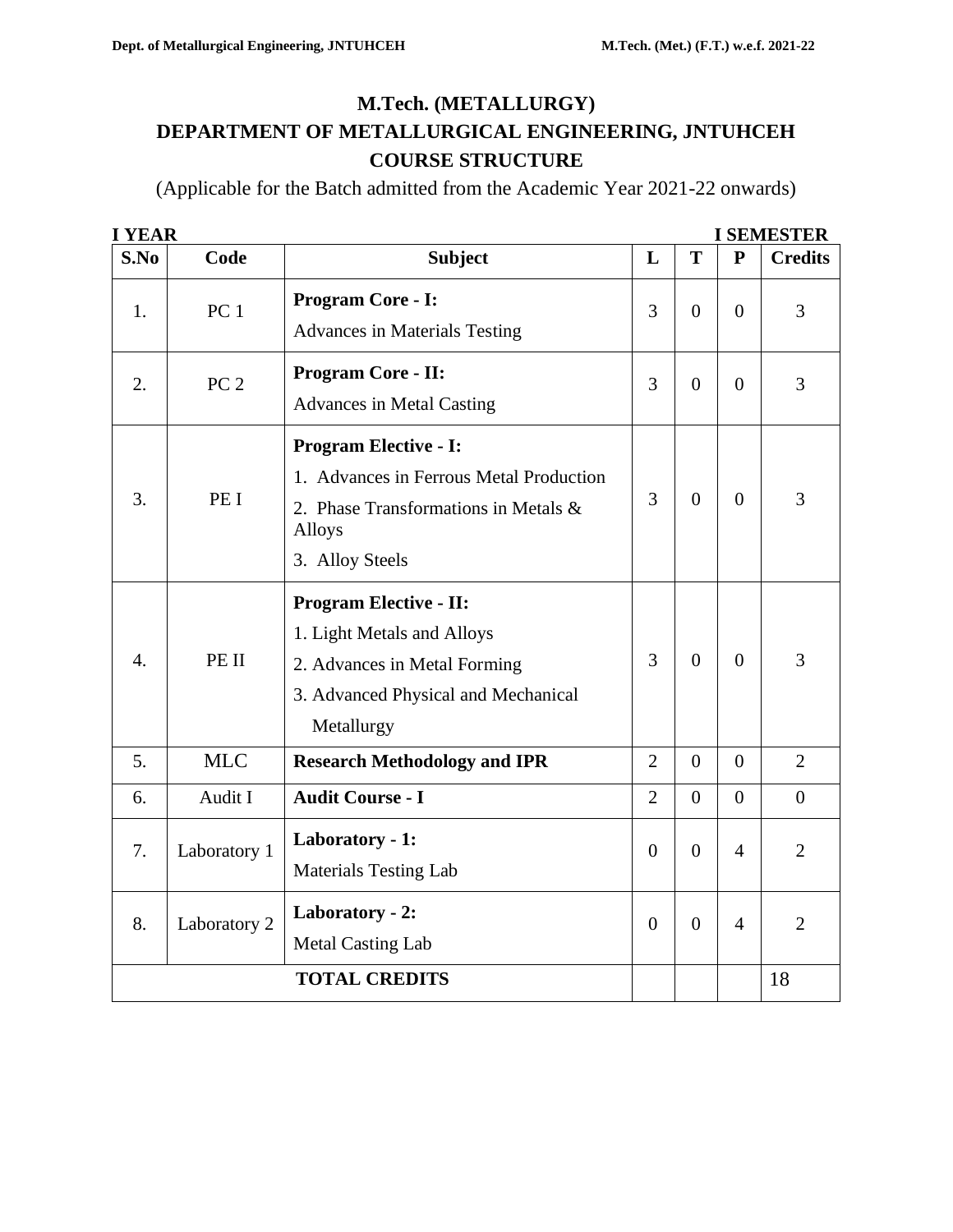# **M.Tech. (METALLURGY) DEPARTMENT OF METALLURGICAL ENGINEERING, JNTUHCEH COURSE STRUCTURE**

(Applicable for the Batch admitted from the Academic Year 2021-22 onwards)

| <b>I YEAR</b>    |                 |                                                                                                                                                     |                |                  |                | <b>I SEMESTER</b> |
|------------------|-----------------|-----------------------------------------------------------------------------------------------------------------------------------------------------|----------------|------------------|----------------|-------------------|
| S.No             | Code            | <b>Subject</b>                                                                                                                                      | L              | T                | ${\bf P}$      | <b>Credits</b>    |
| 1.               | PC <sub>1</sub> | <b>Program Core - I:</b><br><b>Advances in Materials Testing</b>                                                                                    | 3              | $\Omega$         | $\overline{0}$ | 3                 |
| 2.               | PC <sub>2</sub> | <b>Program Core - II:</b><br><b>Advances in Metal Casting</b>                                                                                       | 3              | $\Omega$         | $\theta$       | 3                 |
| 3.               | PE I            | <b>Program Elective - I:</b><br>1. Advances in Ferrous Metal Production<br>2. Phase Transformations in Metals &<br><b>Alloys</b><br>3. Alloy Steels | $\overline{3}$ | $\theta$         | $\overline{0}$ | 3                 |
| $\overline{4}$ . | PE II           | <b>Program Elective - II:</b><br>1. Light Metals and Alloys<br>2. Advances in Metal Forming<br>3. Advanced Physical and Mechanical<br>Metallurgy    | 3              | $\overline{0}$   | $\theta$       | 3                 |
| 5 <sub>1</sub>   | <b>MLC</b>      | <b>Research Methodology and IPR</b>                                                                                                                 | $\overline{2}$ | $\Omega$         | $\theta$       | 2                 |
| 6.               | Audit I         | <b>Audit Course - I</b>                                                                                                                             | $\overline{2}$ | $\Omega$         | $\theta$       | $\theta$          |
| 7.               | Laboratory 1    | Laboratory - 1:<br><b>Materials Testing Lab</b>                                                                                                     | $\theta$       | $\overline{0}$   | $\overline{4}$ | $\overline{2}$    |
| 8.               | Laboratory 2    | Laboratory - 2:<br><b>Metal Casting Lab</b>                                                                                                         | $\overline{0}$ | $\boldsymbol{0}$ | $\overline{4}$ | $\overline{2}$    |
|                  |                 | <b>TOTAL CREDITS</b>                                                                                                                                |                |                  |                | 18                |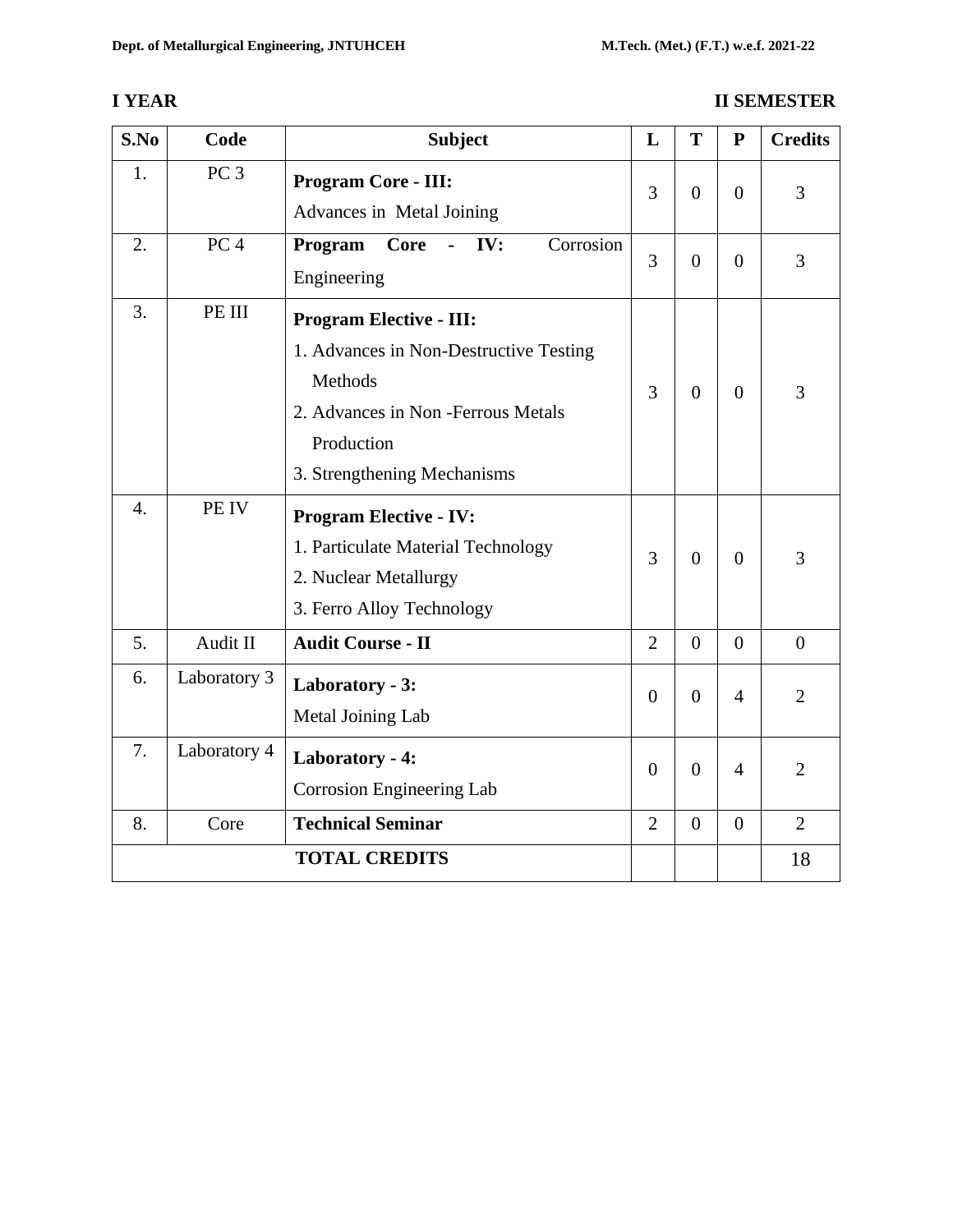# **I YEAR II SEMESTER**

| S.No             | Code            | <b>Subject</b>                                                                                                                                                        |                | T              | ${\bf P}$      | <b>Credits</b> |
|------------------|-----------------|-----------------------------------------------------------------------------------------------------------------------------------------------------------------------|----------------|----------------|----------------|----------------|
| 1.               | PC <sub>3</sub> | <b>Program Core - III:</b><br>Advances in Metal Joining                                                                                                               | 3              | $\overline{0}$ | $\overline{0}$ | 3              |
| 2.               | PC <sub>4</sub> | Program<br>IV:<br>Corrosion<br>Core<br>$\mathbf{r}$<br>Engineering                                                                                                    | $\overline{3}$ | $\Omega$       | $\overline{0}$ | 3              |
| 3.               | PE III          | <b>Program Elective - III:</b><br>1. Advances in Non-Destructive Testing<br>Methods<br>2. Advances in Non-Ferrous Metals<br>Production<br>3. Strengthening Mechanisms | 3              | $\overline{0}$ | $\overline{0}$ | 3              |
| $\overline{4}$ . | PE IV           | <b>Program Elective - IV:</b><br>1. Particulate Material Technology<br>2. Nuclear Metallurgy<br>3. Ferro Alloy Technology                                             | $\overline{3}$ | $\overline{0}$ | $\overline{0}$ | 3              |
| 5.               | Audit II        | <b>Audit Course - II</b>                                                                                                                                              | $\overline{2}$ | $\overline{0}$ | $\overline{0}$ | $\theta$       |
| 6.               | Laboratory 3    | Laboratory - 3:<br>Metal Joining Lab                                                                                                                                  | $\overline{0}$ | $\overline{0}$ | $\overline{4}$ | $\overline{2}$ |
| 7.               | Laboratory 4    | Laboratory - 4:<br><b>Corrosion Engineering Lab</b>                                                                                                                   | $\Omega$       | $\theta$       | $\overline{4}$ | $\overline{2}$ |
| 8.               | Core            | <b>Technical Seminar</b>                                                                                                                                              | $\overline{2}$ | $\overline{0}$ | $\overline{0}$ | $\overline{2}$ |
|                  |                 | <b>TOTAL CREDITS</b>                                                                                                                                                  |                |                |                | 18             |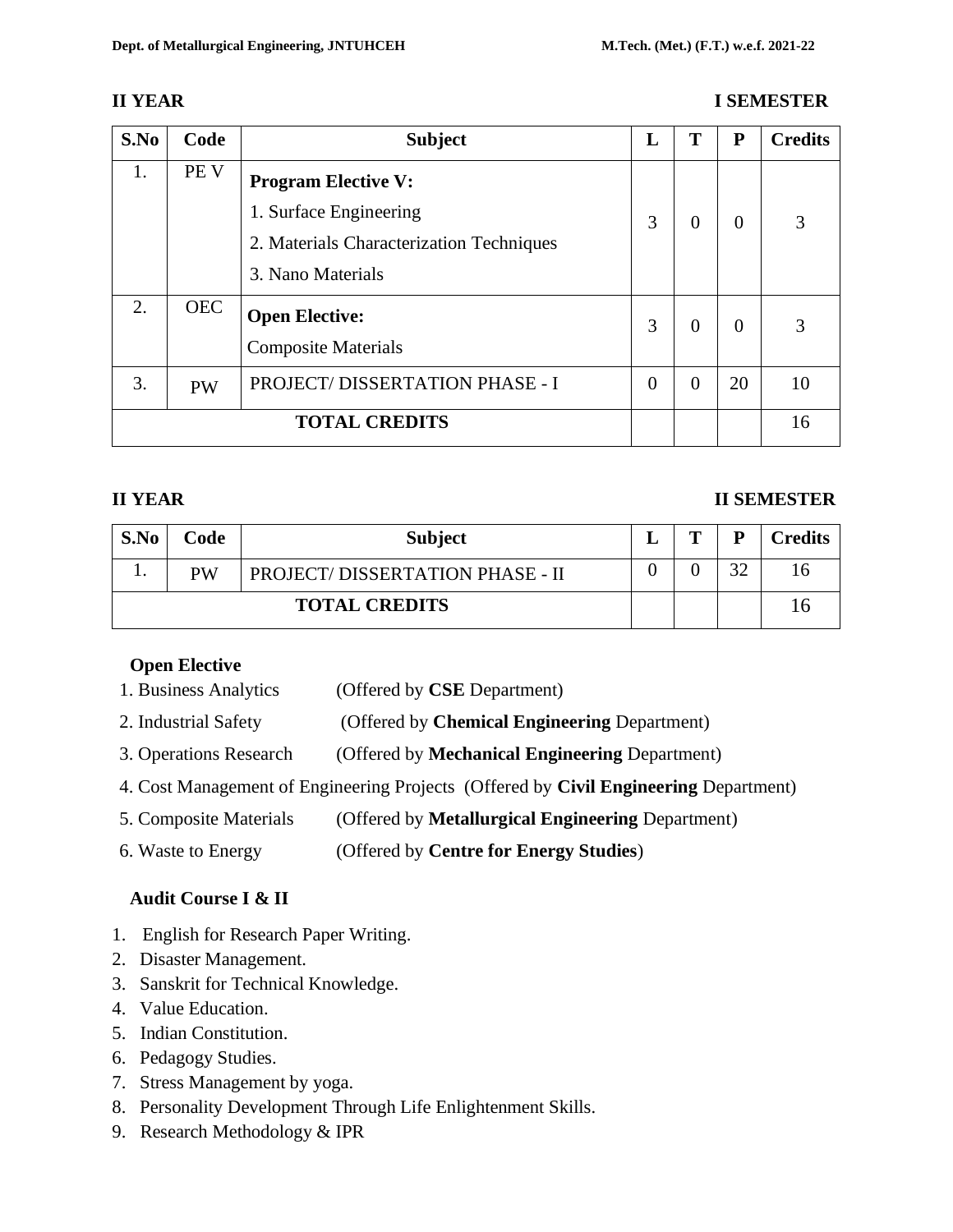#### **II YEAR I SEMESTER**

| S.No                 | Code       | <b>Subject</b>                           | L        | T              | P        | <b>Credits</b> |
|----------------------|------------|------------------------------------------|----------|----------------|----------|----------------|
| 1.                   | PE V       | <b>Program Elective V:</b>               |          |                |          |                |
|                      |            | 1. Surface Engineering                   | 3        | $\theta$       | $\Omega$ | 3              |
|                      |            | 2. Materials Characterization Techniques |          |                |          |                |
|                      |            | 3. Nano Materials                        |          |                |          |                |
| 2.                   | <b>OEC</b> | <b>Open Elective:</b>                    | 3        | $\theta$       | 0        | 3              |
|                      |            | <b>Composite Materials</b>               |          |                |          |                |
| 3.                   | <b>PW</b>  | PROJECT/DISSERTATION PHASE - I           | $\theta$ | $\overline{0}$ | 20       | 10             |
| <b>TOTAL CREDITS</b> |            |                                          |          |                |          | 16             |

#### **II YEAR II SEMESTER**

| S.No                 | Code | <b>Subject</b>                  | m | D              | <b>Credits</b> |
|----------------------|------|---------------------------------|---|----------------|----------------|
|                      | PW   | PROJECT/DISSERTATION PHASE - II |   | $\mathfrak{D}$ |                |
| <b>TOTAL CREDITS</b> |      |                                 |   |                |                |

#### **Open Elective**

- 1. Business Analytics (Offered by **CSE** Department)
- 2. Industrial Safety (Offered by **Chemical Engineering** Department)
- 3. Operations Research (Offered by **Mechanical Engineering** Department)
- 4. Cost Management of Engineering Projects (Offered by **Civil Engineering** Department)
- 5. Composite Materials (Offered by **Metallurgical Engineering** Department)

6. Waste to Energy (Offered by **Centre for Energy Studies**)

# **Audit Course I & II**

- 1. English for Research Paper Writing.
- 2. Disaster Management.
- 3. Sanskrit for Technical Knowledge.
- 4. Value Education.
- 5. Indian Constitution.
- 6. Pedagogy Studies.
- 7. Stress Management by yoga.
- 8. Personality Development Through Life Enlightenment Skills.
- 9. Research Methodology & IPR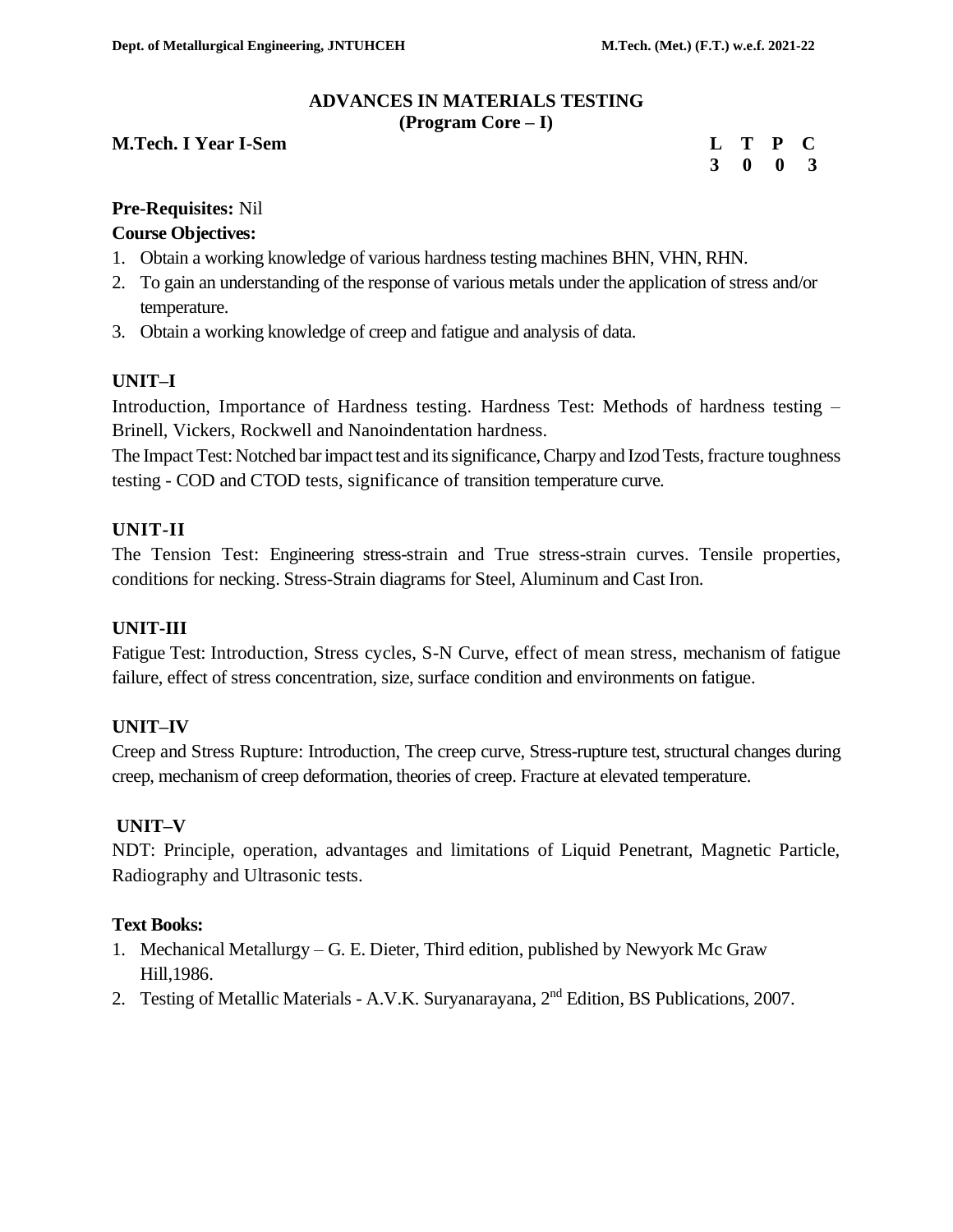# **ADVANCES IN MATERIALS TESTING**

**(Program Core – I)**

#### **M.Tech. I Year I-Sem L T P CONSUMING THE CONSUMING T**

| L | Т | P | C.           |
|---|---|---|--------------|
| 3 | 0 | 0 | $\mathbf{3}$ |

#### **Pre-Requisites:** Nil

#### **Course Objectives:**

- 1. Obtain a working knowledge of various hardness testing machines BHN, VHN, RHN.
- 2. To gain an understanding of the response of various metals under the application of stress and/or temperature.
- 3. Obtain a working knowledge of creep and fatigue and analysis of data.

# **UNIT–I**

Introduction, Importance of Hardness testing. Hardness Test: Methods of hardness testing – Brinell, Vickers, Rockwell and Nanoindentation hardness.

The Impact Test: Notched bar impact test and its significance, Charpy and Izod Tests, fracture toughness testing - COD and CTOD tests, significance of transition temperature curve.

#### **UNIT-II**

The Tension Test: Engineering stress-strain and True stress-strain curves. Tensile properties, conditions for necking. Stress-Strain diagrams for Steel, Aluminum and Cast Iron.

#### **UNIT-III**

Fatigue Test: Introduction, Stress cycles, S-N Curve, effect of mean stress, mechanism of fatigue failure, effect of stress concentration, size, surface condition and environments on fatigue.

# **UNIT–IV**

Creep and Stress Rupture: Introduction, The creep curve, Stress-rupture test, structural changes during creep, mechanism of creep deformation, theories of creep. Fracture at elevated temperature.

# **UNIT–V**

NDT: Principle, operation, advantages and limitations of Liquid Penetrant, Magnetic Particle, Radiography and Ultrasonic tests.

#### **Text Books:**

- 1. Mechanical Metallurgy G. E. Dieter, Third edition, published by Newyork Mc Graw Hill,1986.
- 2. Testing of Metallic Materials A.V.K. Suryanarayana, 2nd Edition, BS Publications, 2007.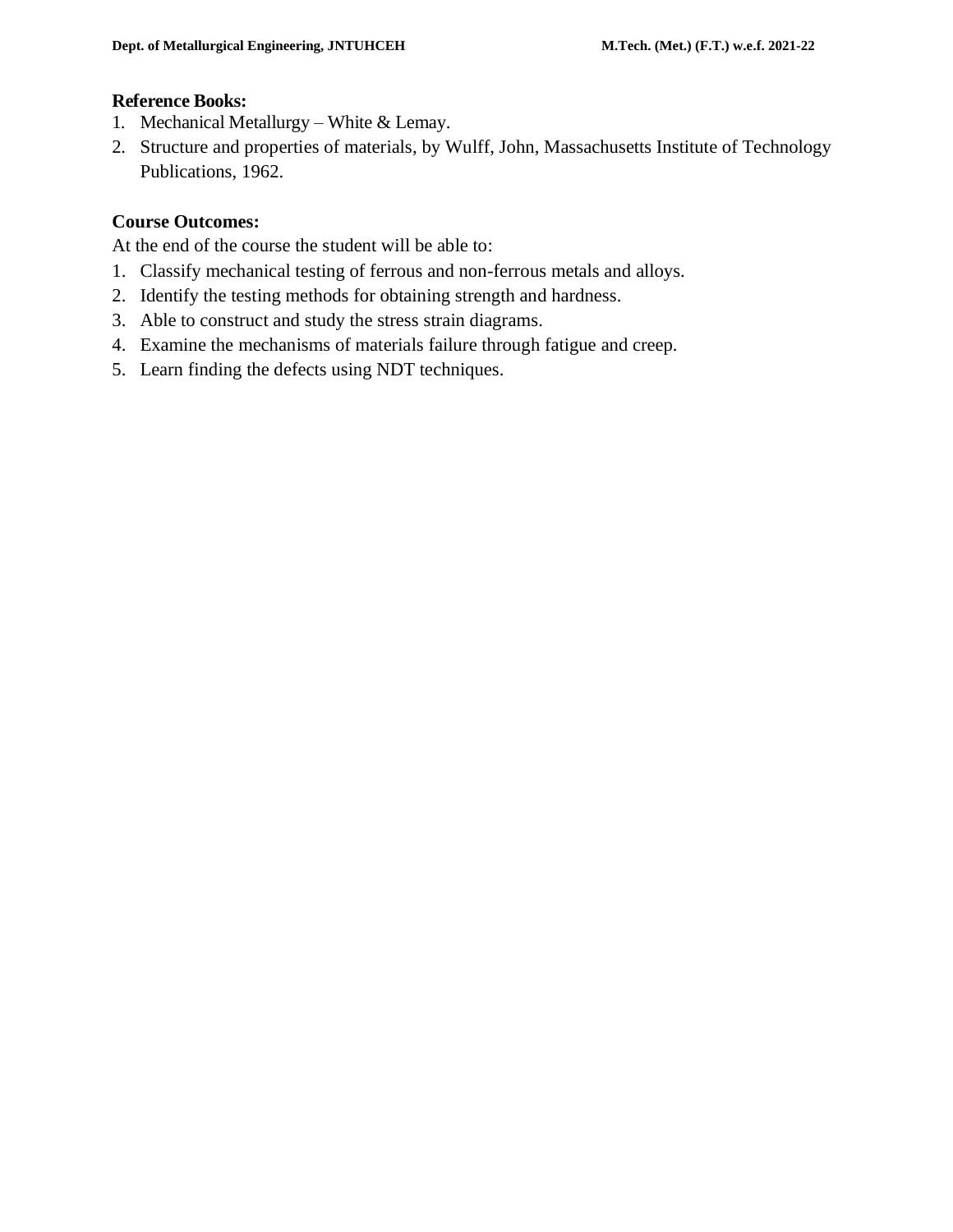#### **Reference Books:**

- 1. Mechanical Metallurgy White  $&$  Lemay.
- 2. Structure and properties of materials, by [Wulff, John, Massachusetts Institute of Technology](https://archive.org/search.php?query=creator%3A%22Wulff%2C+John%2C+1903-+ed%22) [Publications,](https://archive.org/search.php?query=creator%3A%22Wulff%2C+John%2C+1903-+ed%22) 1962.

# **Course Outcomes:**

At the end of the course the student will be able to:

- 1. Classify mechanical testing of ferrous and non-ferrous metals and alloys.
- 2. Identify the testing methods for obtaining strength and hardness.
- 3. Able to construct and study the stress strain diagrams.
- 4. Examine the mechanisms of materials failure through fatigue and creep.
- 5. Learn finding the defects using NDT techniques.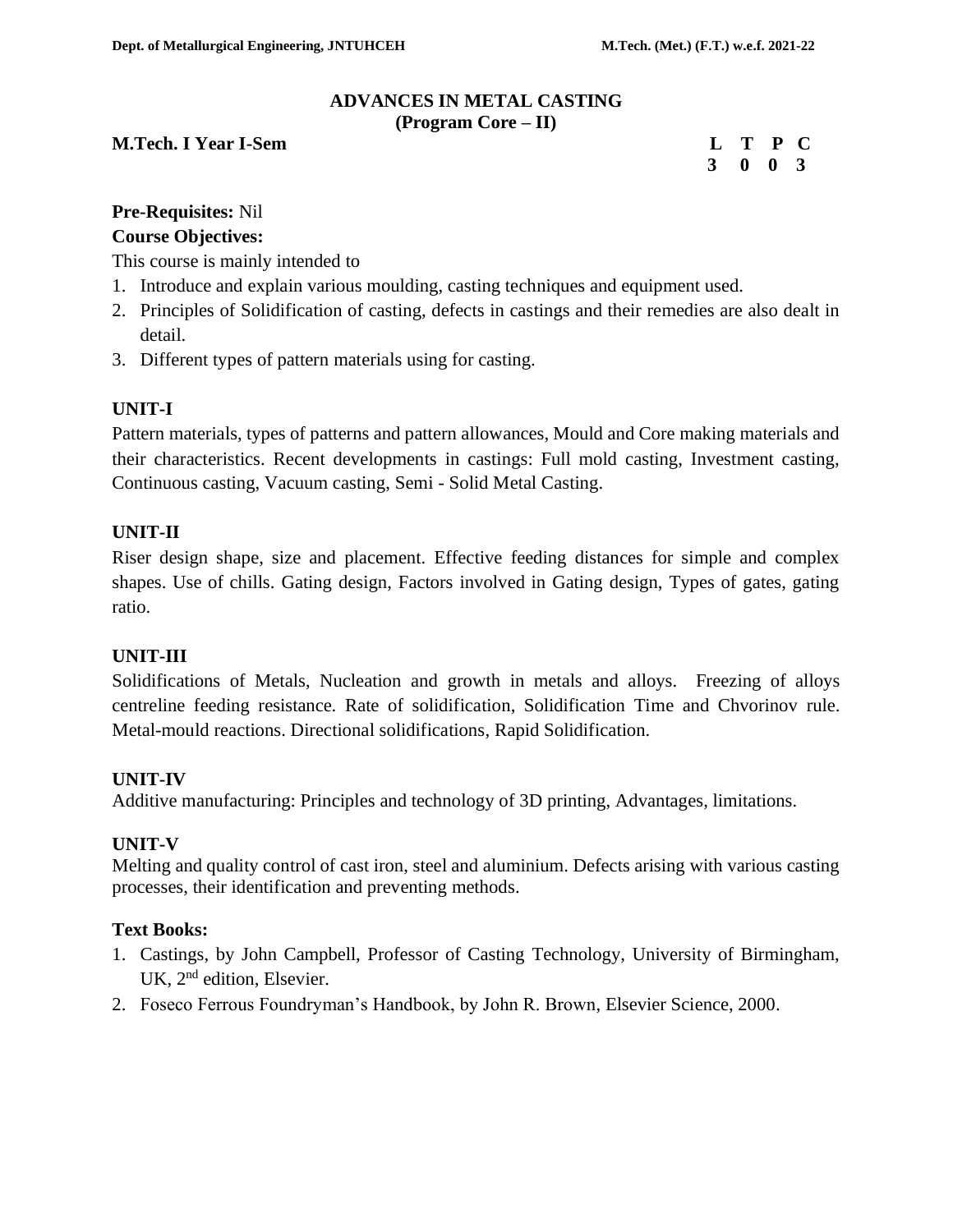#### **ADVANCES IN METAL CASTING (Program Core – II)**

#### **M.Tech. I Year I-Sem Letter that the contract of the C** and **L** T P C

 **3 0 0 3**

# **Pre-Requisites:** Nil

#### **Course Objectives:**

This course is mainly intended to

- 1. Introduce and explain various moulding, casting techniques and equipment used.
- 2. Principles of Solidification of casting, defects in castings and their remedies are also dealt in detail.
- 3. Different types of pattern materials using for casting.

# **UNIT-I**

Pattern materials, types of patterns and pattern allowances, Mould and Core making materials and their characteristics. Recent developments in castings: Full mold casting, Investment casting, Continuous casting, Vacuum casting, Semi - Solid Metal Casting.

#### **UNIT-II**

Riser design shape, size and placement. Effective feeding distances for simple and complex shapes. Use of chills. Gating design, Factors involved in Gating design, Types of gates, gating ratio.

# **UNIT-III**

Solidifications of Metals, Nucleation and growth in metals and alloys. Freezing of alloys centreline feeding resistance. Rate of solidification, Solidification Time and Chvorinov rule. Metal-mould reactions. Directional solidifications, Rapid Solidification.

# **UNIT-IV**

Additive manufacturing: Principles and technology of 3D printing, Advantages, limitations.

#### **UNIT-V**

Melting and quality control of cast iron, steel and aluminium. Defects arising with various casting processes, their identification and preventing methods.

#### **Text Books:**

- 1. Castings, by John Campbell, Professor of Casting Technology, University of Birmingham, UK, 2<sup>nd</sup> edition, Elsevier.
- 2. Foseco Ferrous Foundryman's Handbook, by John R. Brown, Elsevier Science, 2000.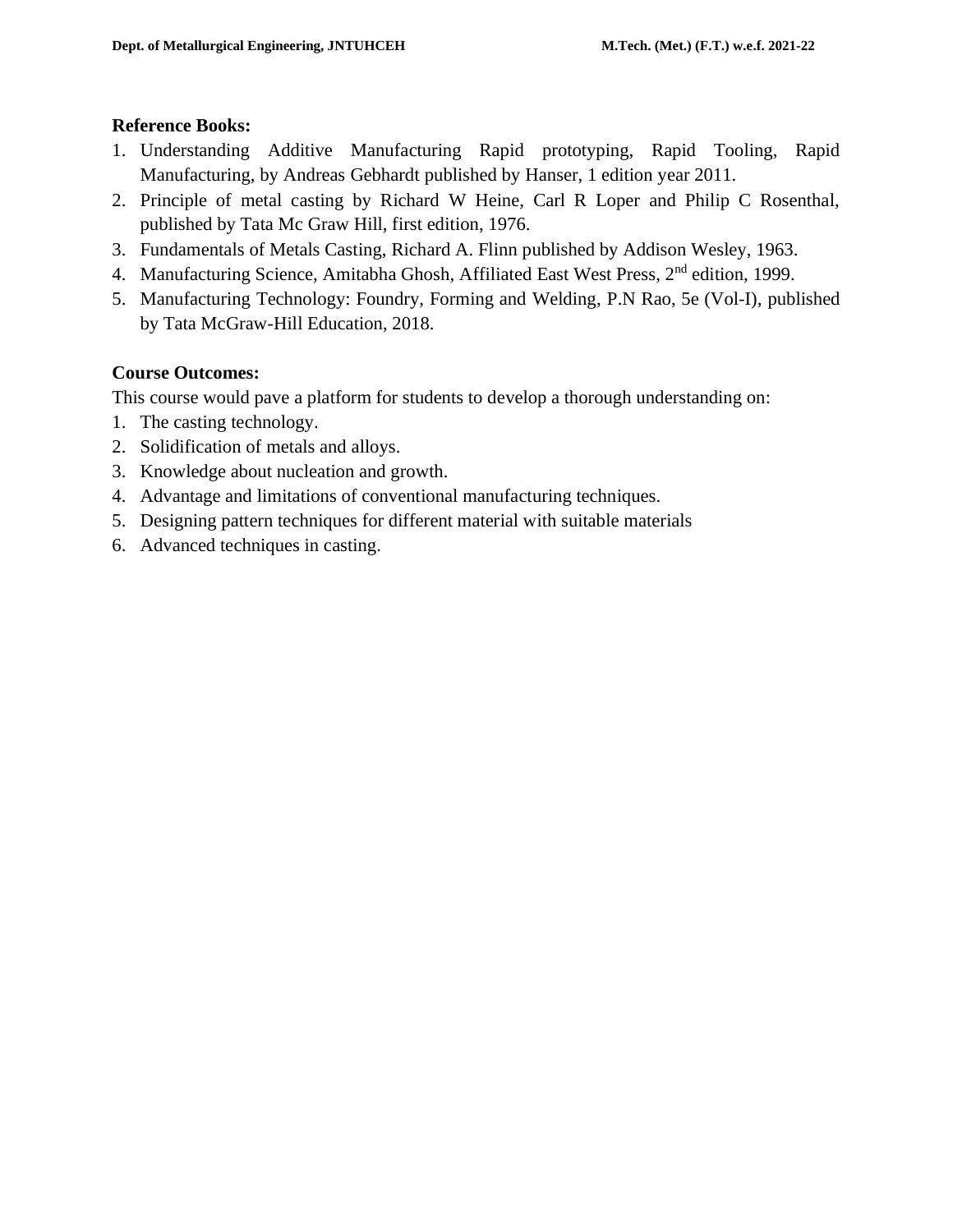#### **Reference Books:**

- 1. Understanding Additive Manufacturing Rapid prototyping, Rapid Tooling, Rapid Manufacturing, by Andreas Gebhardt published by Hanser, 1 edition year 2011.
- 2. Principle of metal casting by Richard W Heine, Carl R Loper and Philip C Rosenthal, published by Tata Mc Graw Hill, first edition, 1976.
- 3. Fundamentals of Metals Casting, Richard A. Flinn published by Addison Wesley, 1963.
- 4. Manufacturing Science, Amitabha Ghosh, Affiliated East West Press, 2<sup>nd</sup> edition, 1999.
- 5. Manufacturing Technology: Foundry, Forming and Welding, P.N Rao, 5e (Vol-I), published by Tata McGraw-Hill Education, 2018.

# **Course Outcomes:**

This course would pave a platform for students to develop a thorough understanding on:

- 1. The casting technology.
- 2. Solidification of metals and alloys.
- 3. Knowledge about nucleation and growth.
- 4. Advantage and limitations of conventional manufacturing techniques.
- 5. Designing pattern techniques for different material with suitable materials
- 6. Advanced techniques in casting.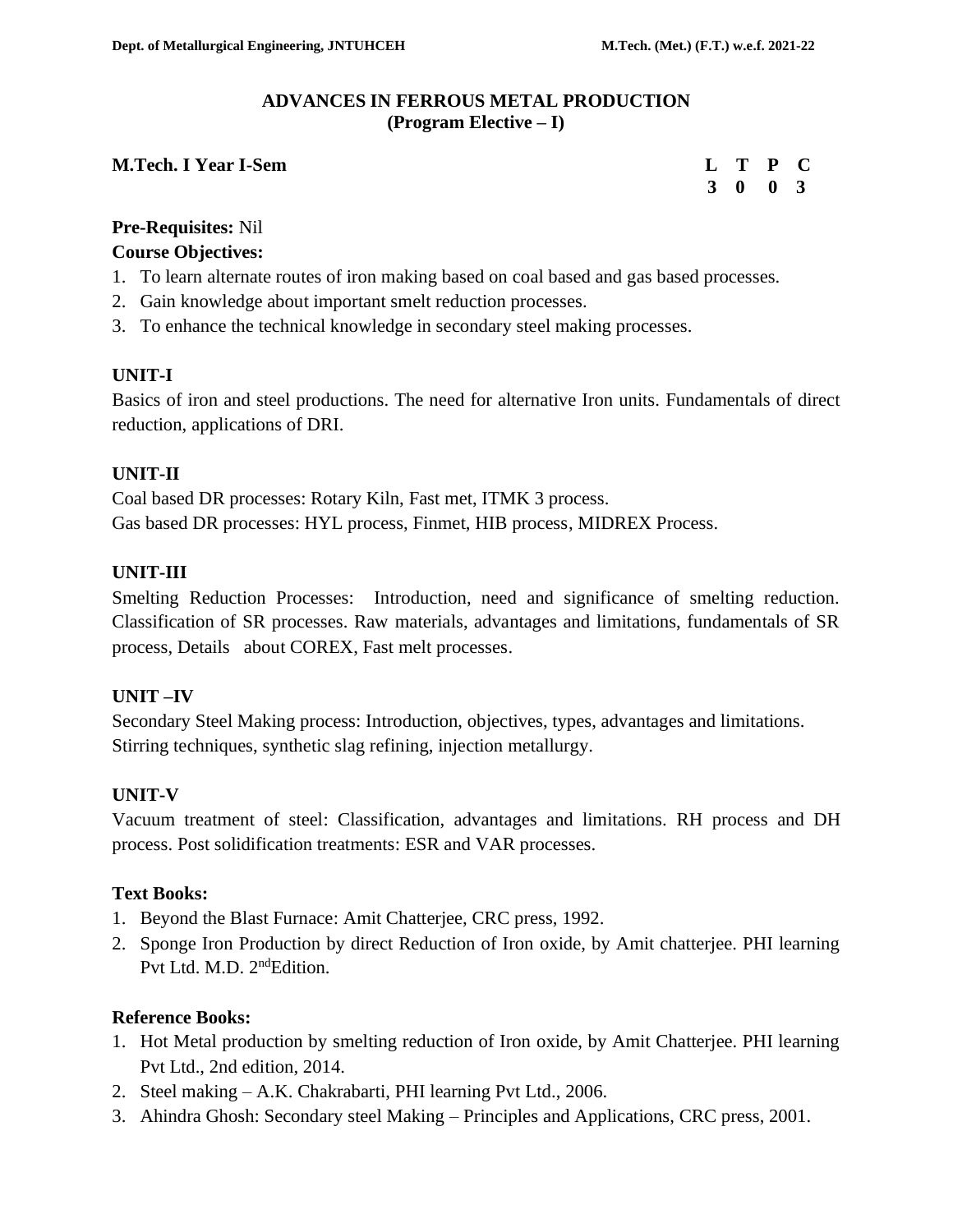#### **ADVANCES IN FERROUS METAL PRODUCTION (Program Elective – I)**

#### **M.Tech. I Year I-Sem**

| $\mathbf{L}$ | Т  | $\mathbf P$  | C                       |
|--------------|----|--------------|-------------------------|
| 3            | -0 | $\mathbf{0}$ | $\overline{\mathbf{3}}$ |

# **Pre-Requisites:** Nil

#### **Course Objectives:**

- 1. To learn alternate routes of iron making based on coal based and gas based processes.
- 2. Gain knowledge about important smelt reduction processes.
- 3. To enhance the technical knowledge in secondary steel making processes.

#### **UNIT-I**

Basics of iron and steel productions. The need for alternative Iron units. Fundamentals of direct reduction, applications of DRI.

#### **UNIT-II**

Coal based DR processes: Rotary Kiln, Fast met, ITMK 3 process. Gas based DR processes: HYL process, Finmet, HIB process, MIDREX Process.

#### **UNIT-III**

Smelting Reduction Processes: Introduction, need and significance of smelting reduction. Classification of SR processes. Raw materials, advantages and limitations, fundamentals of SR process, Details about COREX, Fast melt processes.

# **UNIT –IV**

Secondary Steel Making process: Introduction, objectives, types, advantages and limitations. Stirring techniques, synthetic slag refining, injection metallurgy.

# **UNIT-V**

Vacuum treatment of steel: Classification, advantages and limitations. RH process and DH process. Post solidification treatments: ESR and VAR processes.

#### **Text Books:**

- 1. Beyond the Blast Furnace: Amit Chatterjee, CRC press, 1992.
- 2. Sponge Iron Production by direct Reduction of Iron oxide, by Amit chatterjee. PHI learning Pvt Ltd. M.D. 2<sup>nd</sup>Edition.

#### **Reference Books:**

- 1. Hot Metal production by smelting reduction of Iron oxide, by Amit Chatterjee. PHI learning Pvt Ltd., 2nd edition, 2014.
- 2. Steel making A.K. Chakrabarti, PHI learning Pvt Ltd., 2006.
- 3. Ahindra Ghosh: Secondary steel Making Principles and Applications, CRC press, 2001.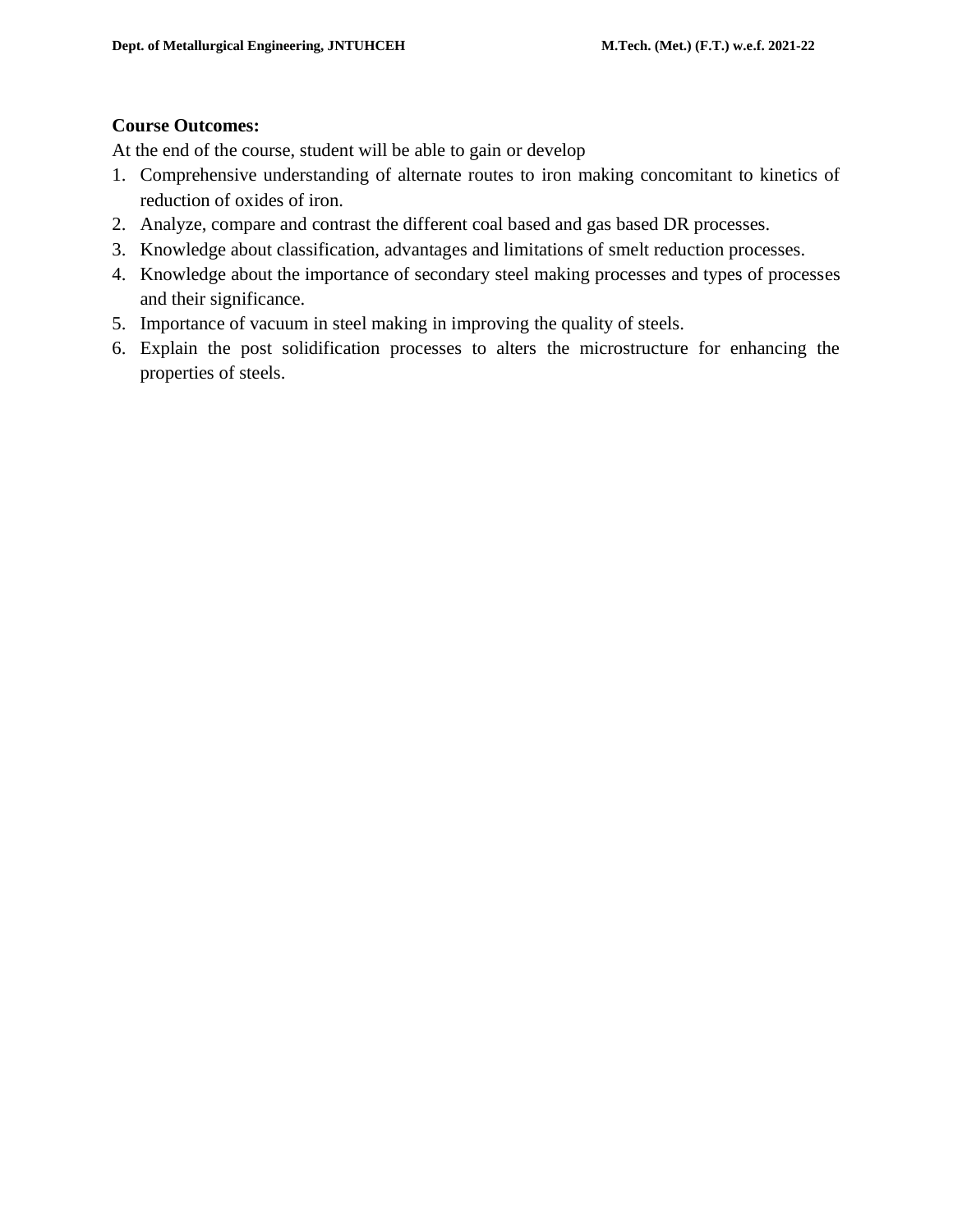# **Course Outcomes:**

At the end of the course, student will be able to gain or develop

- 1. Comprehensive understanding of alternate routes to iron making concomitant to kinetics of reduction of oxides of iron.
- 2. Analyze, compare and contrast the different coal based and gas based DR processes.
- 3. Knowledge about classification, advantages and limitations of smelt reduction processes.
- 4. Knowledge about the importance of secondary steel making processes and types of processes and their significance.
- 5. Importance of vacuum in steel making in improving the quality of steels.
- 6. Explain the post solidification processes to alters the microstructure for enhancing the properties of steels.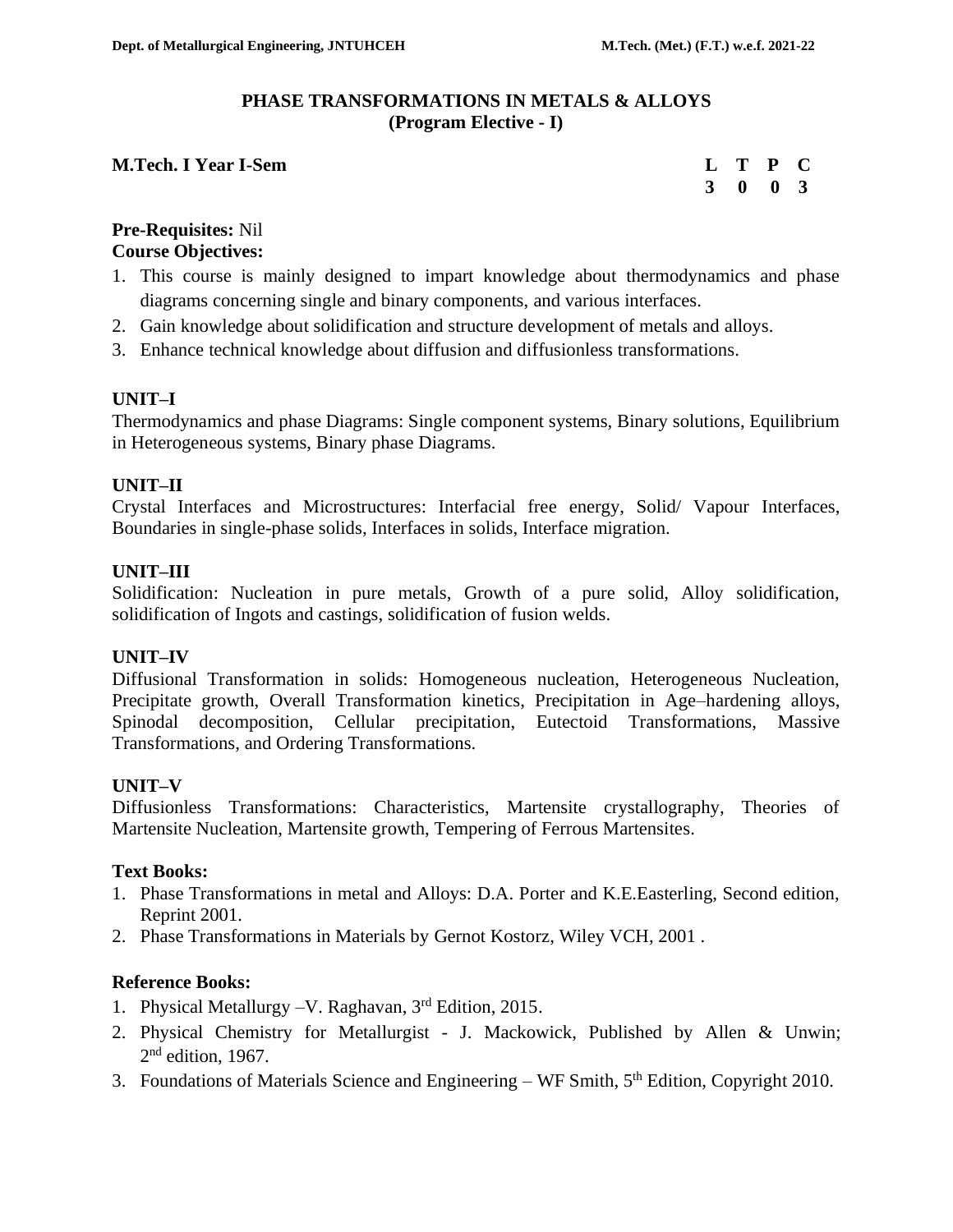#### **PHASE TRANSFORMATIONS IN METALS & ALLOYS (Program Elective - I)**

#### **M.Tech. I Year I-Sem**

| $\mathbf L$ | T           | $\mathbf{P}$ | C                       |
|-------------|-------------|--------------|-------------------------|
| 3           | $\mathbf 0$ | $\bf{0}$     | $\overline{\mathbf{3}}$ |

#### **Pre-Requisites:** Nil **Course Objectives:**

- 1. This course is mainly designed to impart knowledge about thermodynamics and phase diagrams concerning single and binary components, and various interfaces.
- 2. Gain knowledge about solidification and structure development of metals and alloys.
- 3. Enhance technical knowledge about diffusion and diffusionless transformations.

#### **UNIT–I**

Thermodynamics and phase Diagrams: Single component systems, Binary solutions, Equilibrium in Heterogeneous systems, Binary phase Diagrams.

#### **UNIT–II**

Crystal Interfaces and Microstructures: Interfacial free energy, Solid/ Vapour Interfaces, Boundaries in single-phase solids, Interfaces in solids, Interface migration.

#### **UNIT–III**

Solidification: Nucleation in pure metals, Growth of a pure solid, Alloy solidification, solidification of Ingots and castings, solidification of fusion welds.

#### **UNIT–IV**

Diffusional Transformation in solids: Homogeneous nucleation, Heterogeneous Nucleation, Precipitate growth, Overall Transformation kinetics, Precipitation in Age–hardening alloys, Spinodal decomposition, Cellular precipitation, Eutectoid Transformations, Massive Transformations, and Ordering Transformations.

#### **UNIT–V**

Diffusionless Transformations: Characteristics, Martensite crystallography, Theories of Martensite Nucleation, Martensite growth, Tempering of Ferrous Martensites.

#### **Text Books:**

- 1. Phase Transformations in metal and Alloys: D.A. Porter and K.E.Easterling, Second edition, Reprint 2001.
- 2. Phase Transformations in Materials by [Gernot Kostorz,](https://www.amazon.com/s/ref=dp_byline_sr_book_1?ie=UTF8&text=Gernot+Kostorz&search-alias=books&field-author=Gernot+Kostorz&sort=relevancerank) Wiley VCH, 2001 .

#### **Reference Books:**

- 1. Physical Metallurgy –V. Raghavan, 3rd Edition, 2015.
- 2. Physical Chemistry for Metallurgist J. Mackowick, Published by Allen & Unwin;  $2<sup>nd</sup>$  edition, 1967.
- 3. Foundations of Materials Science and Engineering WF Smith,  $5<sup>th</sup>$  Edition, Copyright 2010.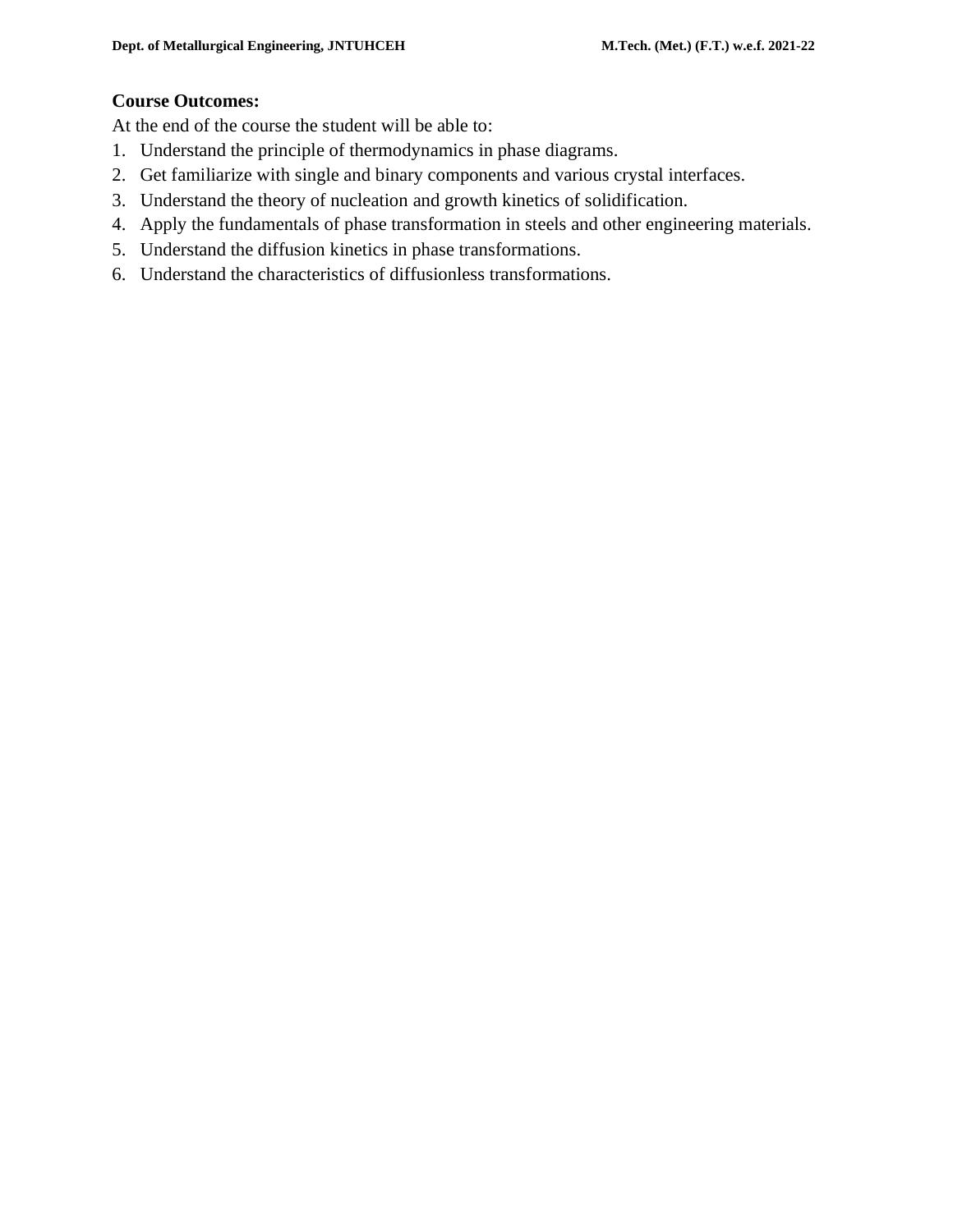#### **Course Outcomes:**

At the end of the course the student will be able to:

- 1. Understand the principle of thermodynamics in phase diagrams.
- 2. Get familiarize with single and binary components and various crystal interfaces.
- 3. Understand the theory of nucleation and growth kinetics of solidification.
- 4. Apply the fundamentals of phase transformation in steels and other engineering materials.
- 5. Understand the diffusion kinetics in phase transformations.
- 6. Understand the characteristics of diffusionless transformations.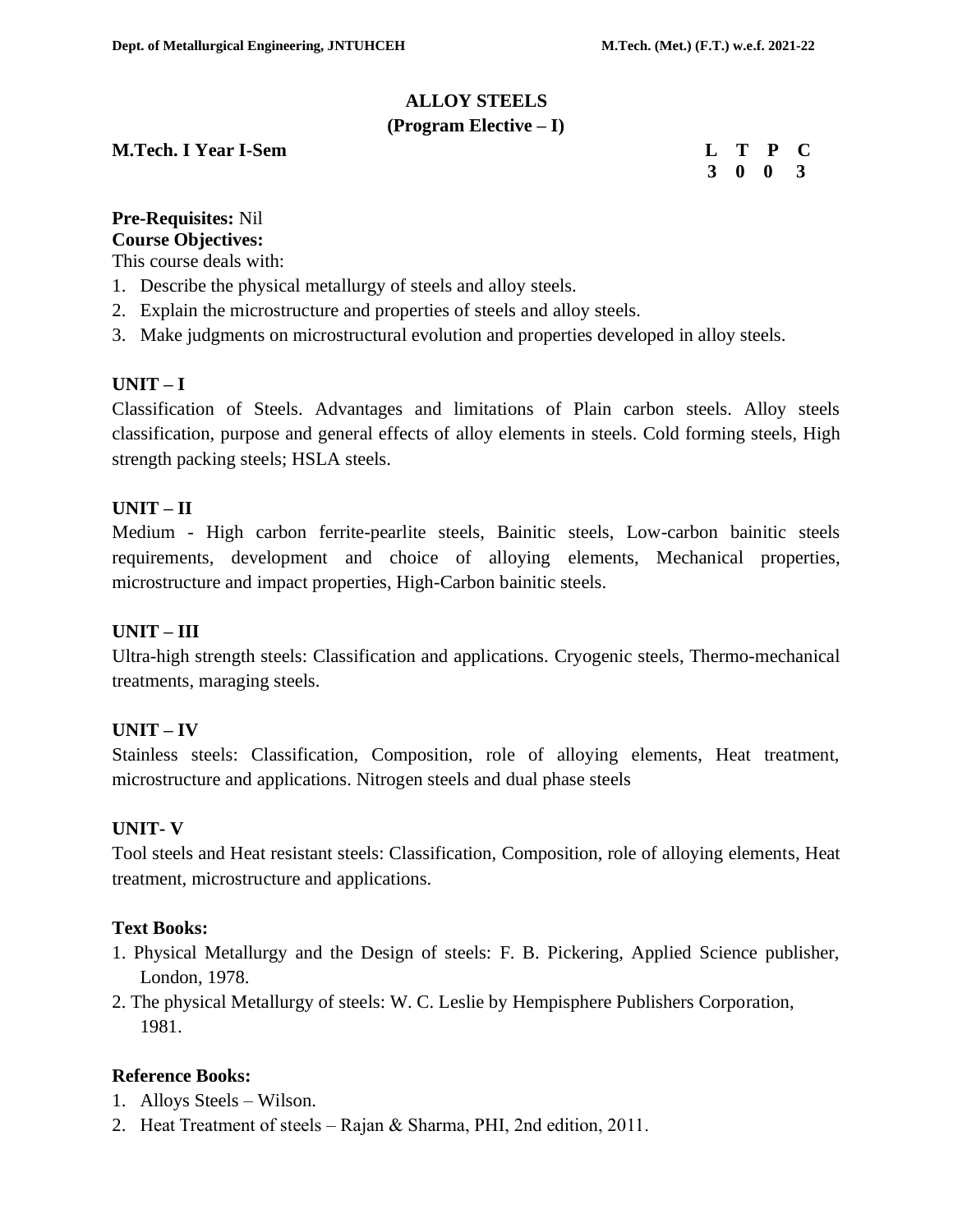# **ALLOY STEELS**

#### **(Program Elective – I)**

#### **M.Tech. I Year I-Sem L 2008**

|  | L T P C                     |  |
|--|-----------------------------|--|
|  | $3 \quad 0 \quad 0 \quad 3$ |  |

# **Pre-Requisites:** Nil

**Course Objectives:** 

This course deals with:

- 1. Describe the physical metallurgy of steels and alloy steels.
- 2. Explain the microstructure and properties of steels and alloy steels.
- 3. Make judgments on microstructural evolution and properties developed in alloy steels.

# **UNIT – I**

Classification of Steels. Advantages and limitations of Plain carbon steels. Alloy steels classification, purpose and general effects of alloy elements in steels. Cold forming steels, High strength packing steels; HSLA steels.

# **UNIT – II**

Medium - High carbon ferrite-pearlite steels, Bainitic steels, Low-carbon bainitic steels requirements, development and choice of alloying elements, Mechanical properties, microstructure and impact properties, High-Carbon bainitic steels.

# **UNIT – III**

Ultra-high strength steels: Classification and applications. Cryogenic steels, Thermo-mechanical treatments, maraging steels.

# **UNIT – IV**

Stainless steels: Classification, Composition, role of alloying elements, Heat treatment, microstructure and applications. Nitrogen steels and dual phase steels

#### **UNIT- V**

Tool steels and Heat resistant steels: Classification, Composition, role of alloying elements, Heat treatment, microstructure and applications.

#### **Text Books:**

- 1. Physical Metallurgy and the Design of steels: F. B. Pickering, Applied Science publisher, London, 1978.
- 2. The physical Metallurgy of steels: W. C. Leslie by Hempisphere Publishers Corporation, 1981.

#### **Reference Books:**

- 1. Alloys Steels Wilson.
- 2. Heat Treatment of steels Rajan & Sharma, PHI, 2nd edition, 2011.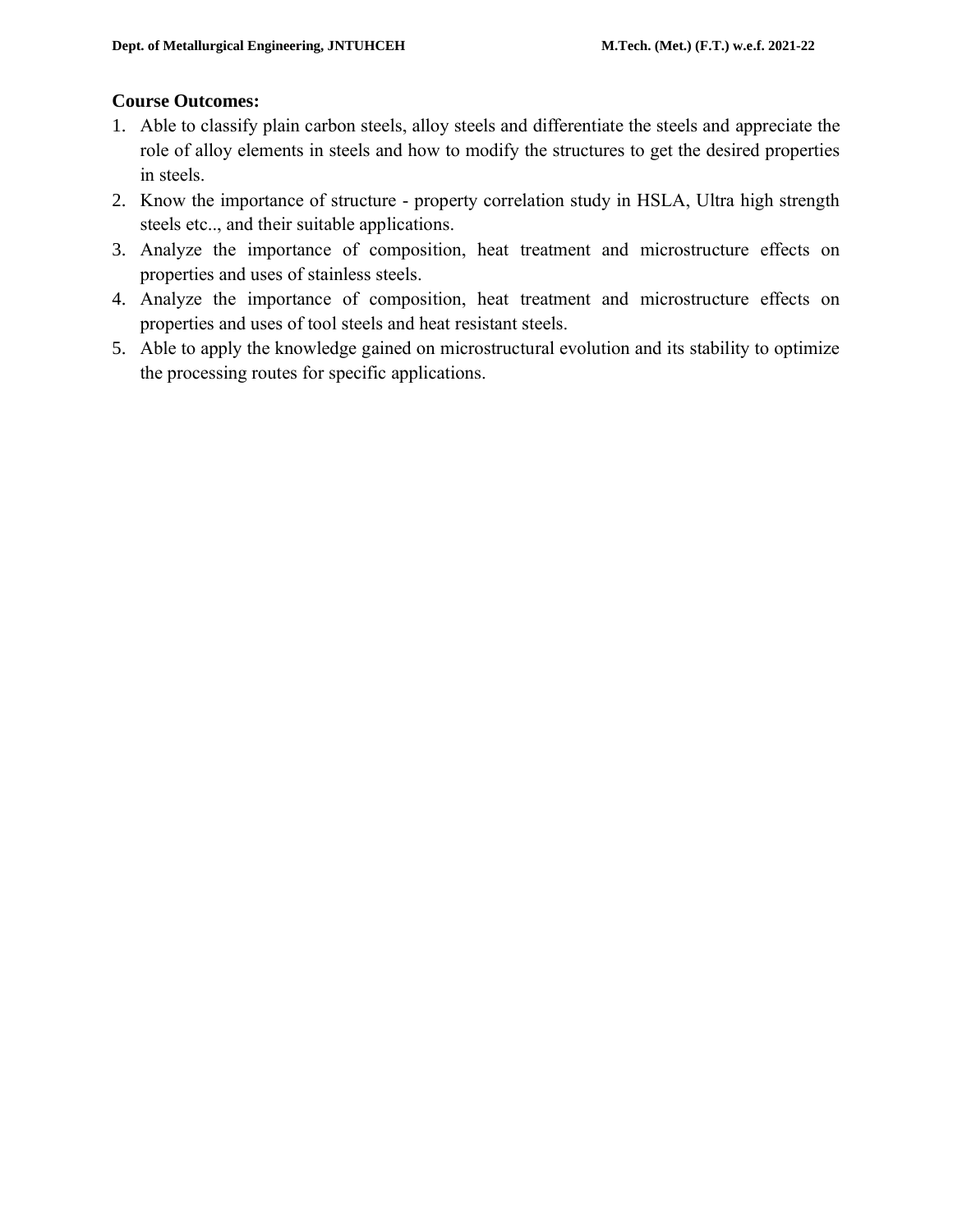# **Course Outcomes:**

- 1. Able to classify plain carbon steels, alloy steels and differentiate the steels and appreciate the role of alloy elements in steels and how to modify the structures to get the desired properties in steels.
- 2. Know the importance of structure property correlation study in HSLA, Ultra high strength steels etc.., and their suitable applications.
- 3. Analyze the importance of composition, heat treatment and microstructure effects on properties and uses of stainless steels.
- 4. Analyze the importance of composition, heat treatment and microstructure effects on properties and uses of tool steels and heat resistant steels.
- 5. Able to apply the knowledge gained on microstructural evolution and its stability to optimize the processing routes for specific applications.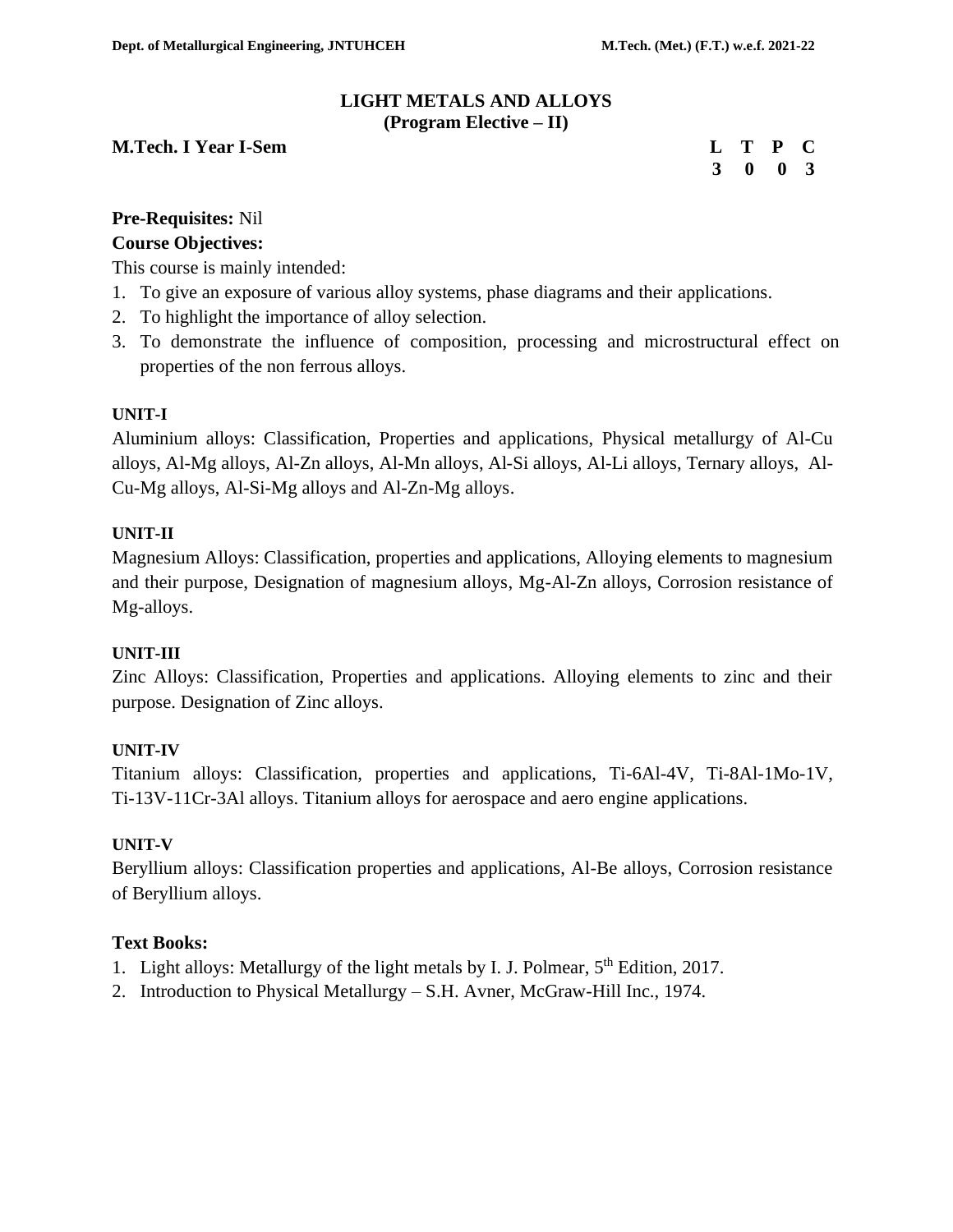#### **LIGHT METALS AND ALLOYS (Program Elective – II)**

#### **M.Tech. I Year I-Sem Let us a contract of C Let us a contract of C Let us a contract of C Let us a contract of C**

|  | L T P C                     |  |
|--|-----------------------------|--|
|  | $3 \quad 0 \quad 0 \quad 3$ |  |

# **Pre-Requisites:** Nil **Course Objectives:**

This course is mainly intended:

- 1. To give an exposure of various alloy systems, phase diagrams and their applications.
- 2. To highlight the importance of alloy selection.
- 3. To demonstrate the influence of composition, processing and microstructural effect on properties of the non ferrous alloys.

#### **UNIT-I**

Aluminium alloys: Classification, Properties and applications, Physical metallurgy of Al-Cu alloys, Al-Mg alloys, Al-Zn alloys, Al-Mn alloys, Al-Si alloys, Al-Li alloys, Ternary alloys, Al-Cu-Mg alloys, Al-Si-Mg alloys and Al-Zn-Mg alloys.

#### **UNIT-II**

Magnesium Alloys: Classification, properties and applications, Alloying elements to magnesium and their purpose, Designation of magnesium alloys, Mg-Al-Zn alloys, Corrosion resistance of Mg-alloys.

#### **UNIT-III**

Zinc Alloys: Classification, Properties and applications. Alloying elements to zinc and their purpose. Designation of Zinc alloys.

#### **UNIT-IV**

Titanium alloys: Classification, properties and applications, Ti-6Al-4V, Ti-8Al-1Mo-1V, Ti-13V-11Cr-3Al alloys. Titanium alloys for aerospace and aero engine applications.

#### **UNIT-V**

Beryllium alloys: Classification properties and applications, Al-Be alloys, Corrosion resistance of Beryllium alloys.

# **Text Books:**

- 1. Light alloys: Metallurgy of the light metals by I. J. Polmear,  $5<sup>th</sup>$  Edition, 2017.
- 2. Introduction to Physical Metallurgy S.H. Avner, McGraw-Hill Inc., 1974.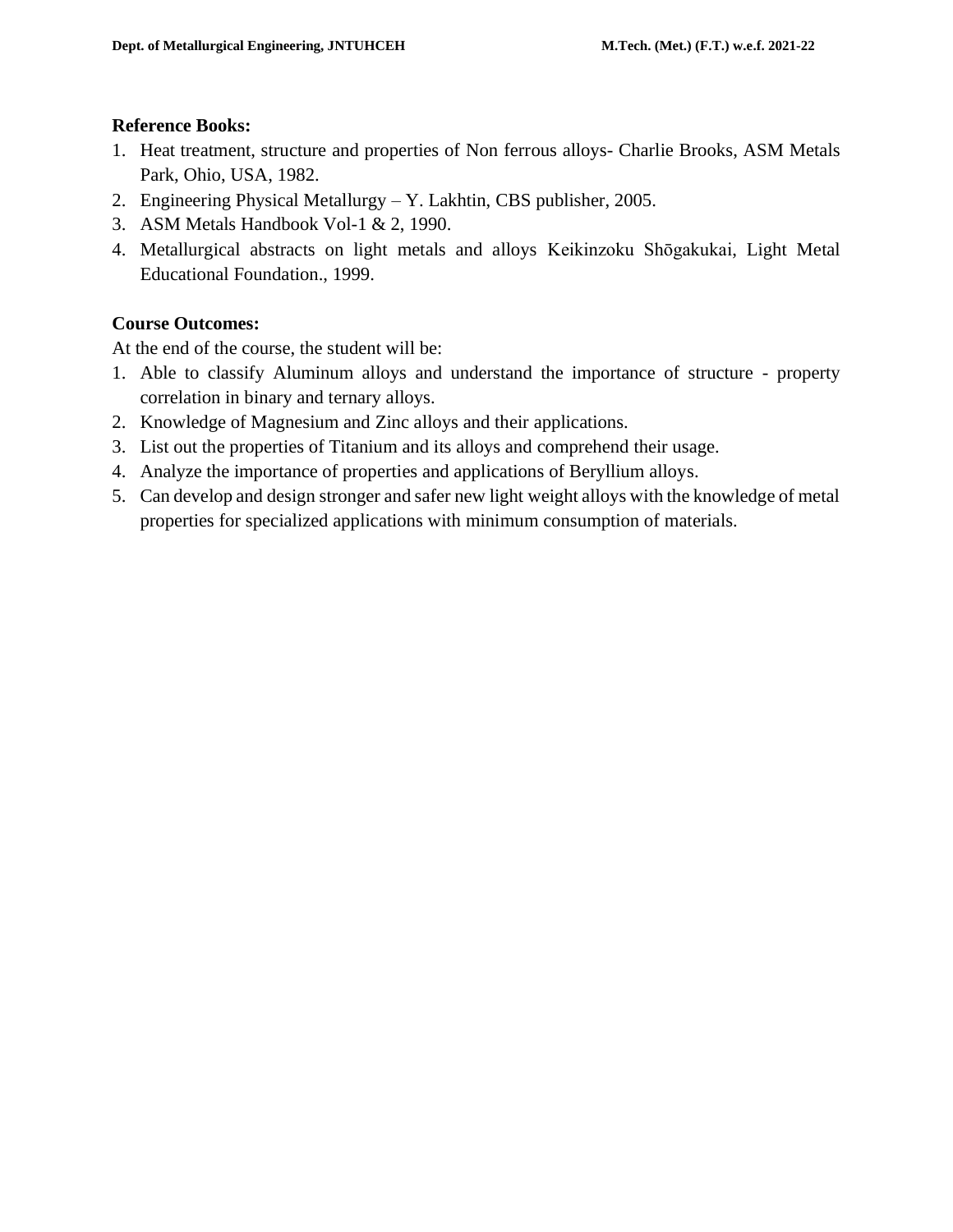#### **Reference Books:**

- 1. Heat treatment, structure and properties of Non ferrous alloys- Charlie Brooks, ASM Metals Park, Ohio, USA, 1982.
- 2. Engineering Physical Metallurgy Y. Lakhtin, CBS publisher, 2005.
- 3. ASM Metals Handbook Vol-1 & 2, 1990.
- 4. Metallurgical abstracts on light metals and alloys [Keikinzoku Shōgakukai,](http://www.google.co.in/search?tbs=bks:1&tbo=p&q=+inauthor:%22Keikinzoku+Sh%C5%8Dgakukai%22) Light Metal Educational Foundation., 1999.

# **Course Outcomes:**

At the end of the course, the student will be:

- 1. Able to classify Aluminum alloys and understand the importance of structure property correlation in binary and ternary alloys.
- 2. Knowledge of Magnesium and Zinc alloys and their applications.
- 3. List out the properties of Titanium and its alloys and comprehend their usage.
- 4. Analyze the importance of properties and applications of Beryllium alloys.
- 5. Can develop and design stronger and safer new light weight alloys with the knowledge of metal properties for specialized applications with minimum consumption of materials.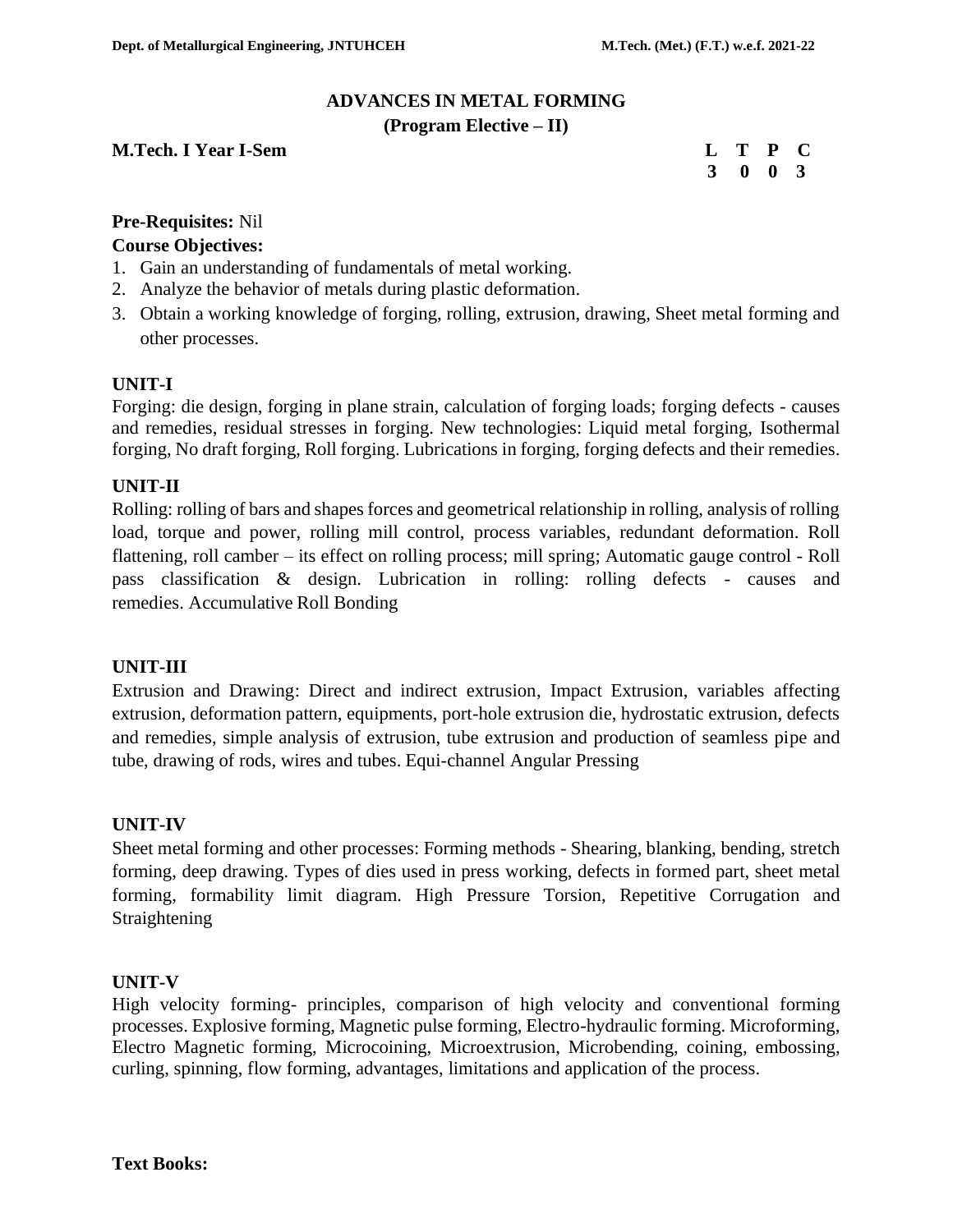# **ADVANCES IN METAL FORMING**

#### **(Program Elective – II)**

#### **M.Tech. I Year I-Sem L 2008**

|   | Т | P           | C |
|---|---|-------------|---|
| 3 | 0 | $\mathbf 0$ | 3 |

#### **Pre-Requisites:** Nil

#### **Course Objectives:**

- 1. Gain an understanding of fundamentals of metal working.
- 2. Analyze the behavior of metals during plastic deformation.
- 3. Obtain a working knowledge of forging, rolling, extrusion, drawing, Sheet metal forming and other processes.

#### **UNIT-I**

Forging: die design, forging in plane strain, calculation of forging loads; forging defects - causes and remedies, residual stresses in forging. New technologies: Liquid metal forging, Isothermal forging, No draft forging, Roll forging. Lubrications in forging, forging defects and their remedies.

# **UNIT-II**

Rolling: rolling of bars and shapes forces and geometrical relationship in rolling, analysis of rolling load, torque and power, rolling mill control, process variables, redundant deformation. Roll flattening, roll camber – its effect on rolling process; mill spring; Automatic gauge control - Roll pass classification & design. Lubrication in rolling: rolling defects - causes and remedies. Accumulative Roll Bonding

# **UNIT-III**

Extrusion and Drawing: Direct and indirect extrusion, Impact Extrusion, variables affecting extrusion, deformation pattern, equipments, port-hole extrusion die, hydrostatic extrusion, defects and remedies, simple analysis of extrusion, tube extrusion and production of seamless pipe and tube, drawing of rods, wires and tubes. Equi-channel Angular Pressing

#### **UNIT-IV**

Sheet metal forming and other processes: Forming methods - Shearing, blanking, bending, stretch forming, deep drawing. Types of dies used in press working, defects in formed part, sheet metal forming, formability limit diagram. High Pressure Torsion, Repetitive Corrugation and Straightening

#### **UNIT-V**

High velocity forming- principles, comparison of high velocity and conventional forming processes. Explosive forming, Magnetic pulse forming, Electro-hydraulic forming. Microforming, Electro Magnetic forming, Microcoining, Microextrusion, Microbending, coining, embossing, curling, spinning, flow forming, advantages, limitations and application of the process.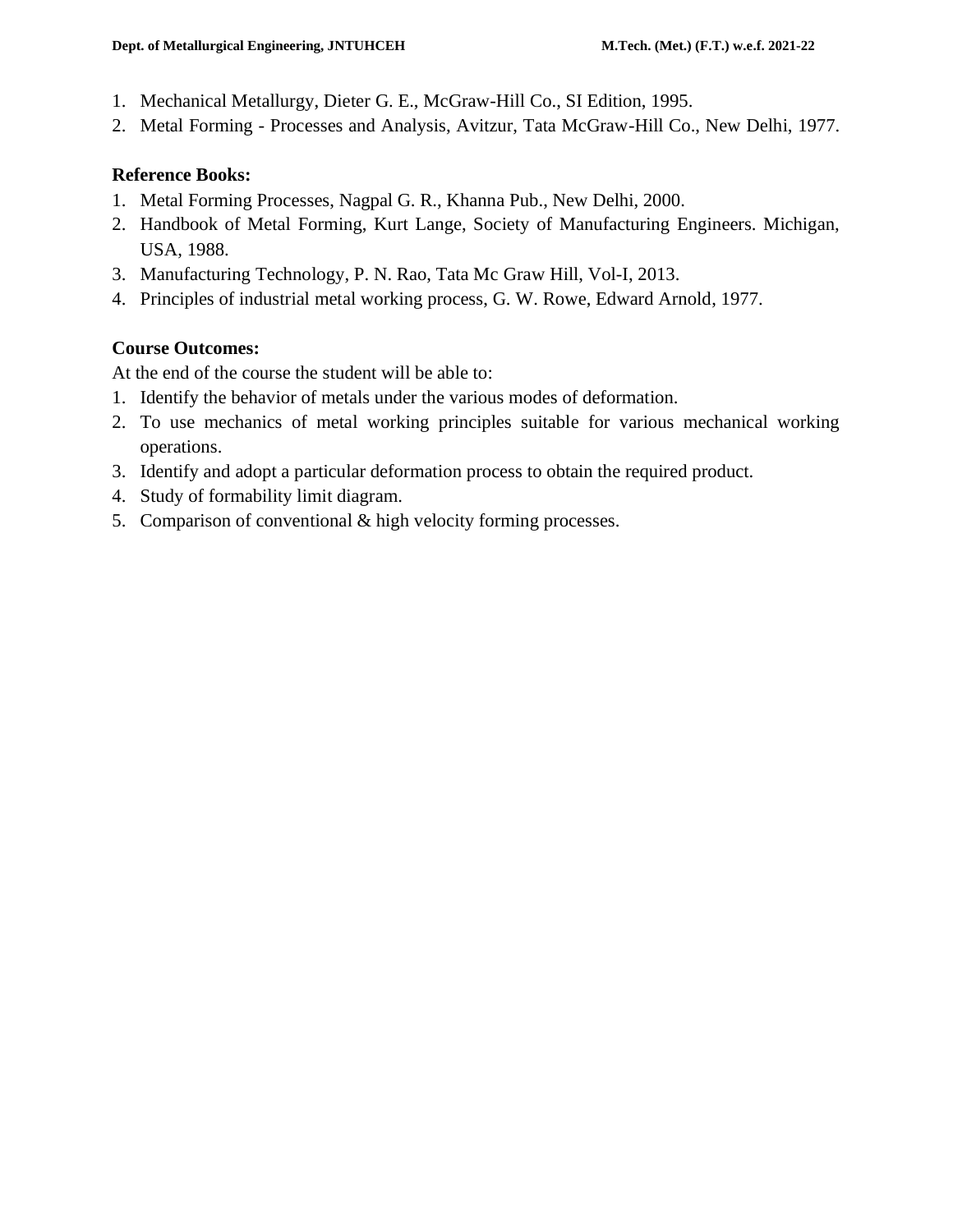- 1. Mechanical Metallurgy, Dieter G. E., McGraw-Hill Co., SI Edition, 1995.
- 2. Metal Forming Processes and Analysis, Avitzur, Tata McGraw-Hill Co., New Delhi, 1977.

#### **Reference Books:**

- 1. Metal Forming Processes, Nagpal G. R., Khanna Pub., New Delhi, 2000.
- 2. Handbook of Metal Forming, Kurt Lange, Society of Manufacturing Engineers. Michigan, USA, 1988.
- 3. Manufacturing Technology, P. N. Rao, Tata Mc Graw Hill, Vol-I, 2013.
- 4. Principles of industrial metal working process, G. W. Rowe, Edward Arnold, 1977.

# **Course Outcomes:**

At the end of the course the student will be able to:

- 1. Identify the behavior of metals under the various modes of deformation.
- 2. To use mechanics of metal working principles suitable for various mechanical working operations.
- 3. Identify and adopt a particular deformation process to obtain the required product.
- 4. Study of formability limit diagram.
- 5. Comparison of conventional & high velocity forming processes.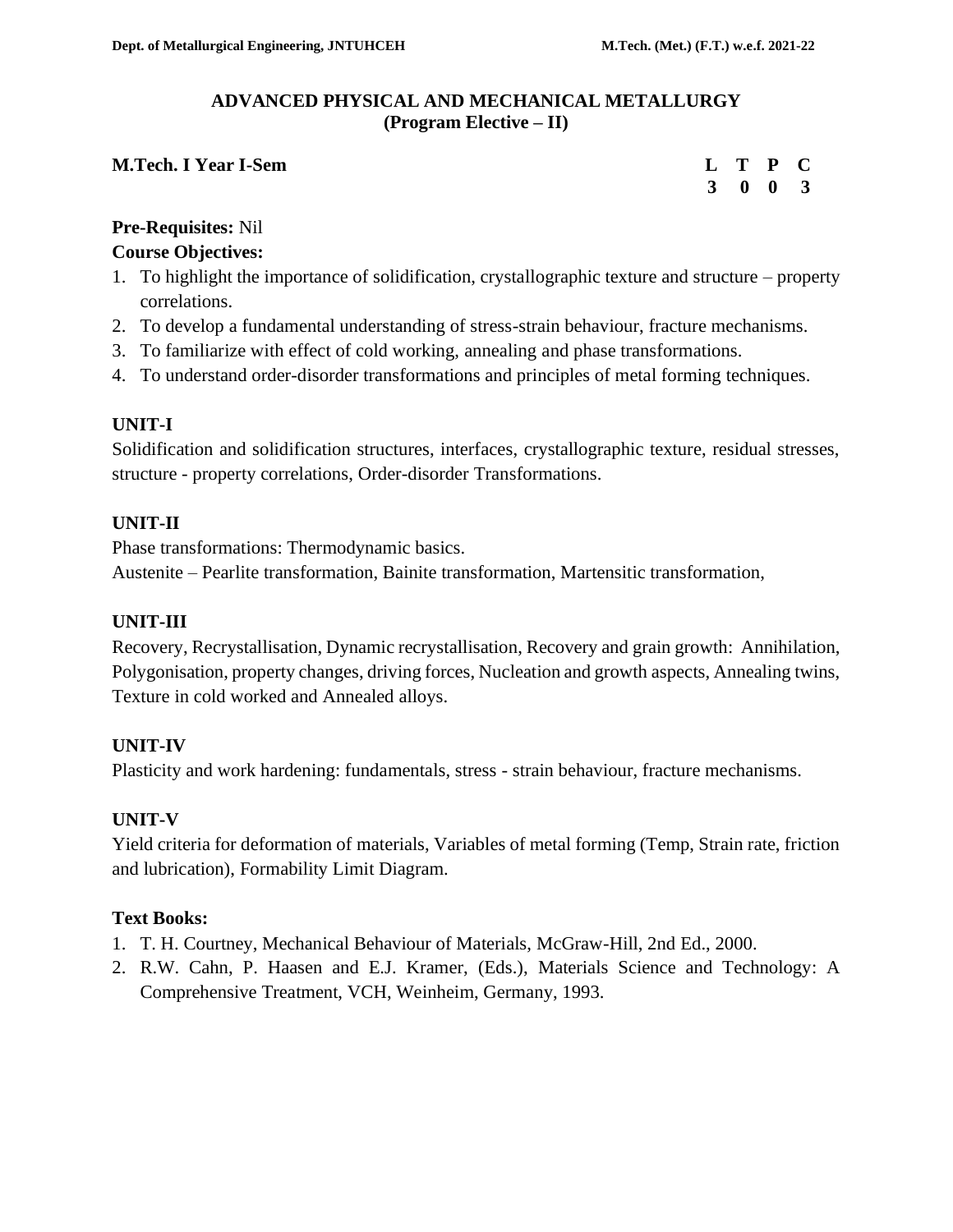#### **ADVANCED PHYSICAL AND MECHANICAL METALLURGY (Program Elective – II)**

#### **M.Tech. I Year I-Sem**

|  | L T P C                     |  |
|--|-----------------------------|--|
|  | $3 \quad 0 \quad 0 \quad 3$ |  |

# **Pre-Requisites:** Nil

# **Course Objectives:**

- 1. To highlight the importance of solidification, crystallographic texture and structure property correlations.
- 2. To develop a fundamental understanding of stress-strain behaviour, fracture mechanisms.
- 3. To familiarize with effect of cold working, annealing and phase transformations.
- 4. To understand order-disorder transformations and principles of metal forming techniques.

# **UNIT-I**

Solidification and solidification structures, interfaces, crystallographic texture, residual stresses, structure - property correlations, Order-disorder Transformations.

# **UNIT-II**

Phase transformations: Thermodynamic basics. Austenite – Pearlite transformation, Bainite transformation, Martensitic transformation,

# **UNIT-III**

Recovery, Recrystallisation, Dynamic recrystallisation, Recovery and grain growth: Annihilation, Polygonisation, property changes, driving forces, Nucleation and growth aspects, Annealing twins, Texture in cold worked and Annealed alloys.

# **UNIT-IV**

Plasticity and work hardening: fundamentals, stress - strain behaviour, fracture mechanisms.

# **UNIT-V**

Yield criteria for deformation of materials, Variables of metal forming (Temp, Strain rate, friction and lubrication), Formability Limit Diagram.

# **Text Books:**

- 1. T. H. Courtney, Mechanical Behaviour of Materials, McGraw-Hill, 2nd Ed., 2000.
- 2. R.W. Cahn, P. Haasen and E.J. Kramer, (Eds.), Materials Science and Technology: A Comprehensive Treatment, VCH, Weinheim, Germany, 1993.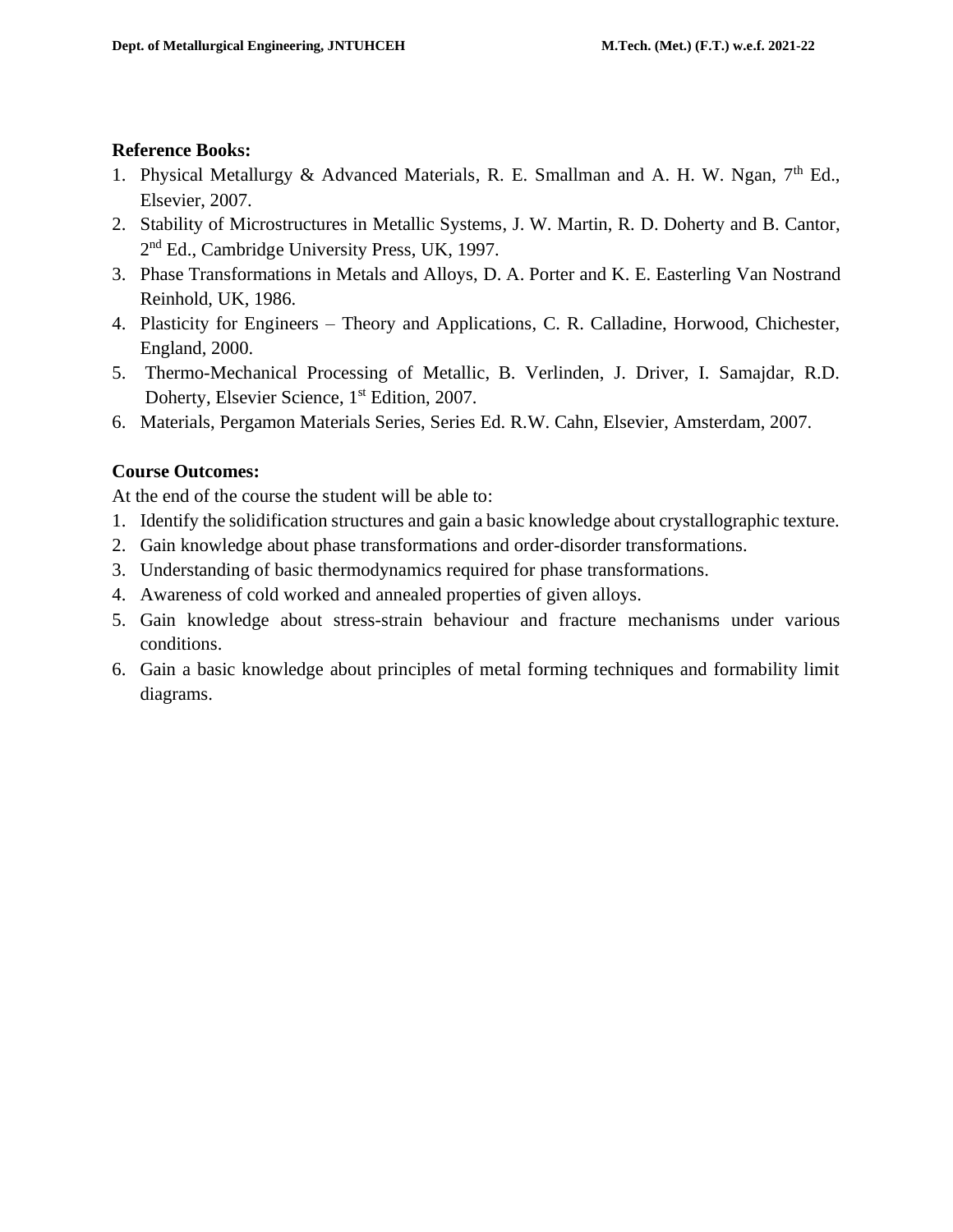#### **Reference Books:**

- 1. Physical Metallurgy & Advanced Materials, R. E. Smallman and A. H. W. Ngan, 7<sup>th</sup> Ed., Elsevier, 2007.
- 2. Stability of Microstructures in Metallic Systems, J. W. Martin, R. D. Doherty and B. Cantor, 2<sup>nd</sup> Ed., Cambridge University Press, UK, 1997.
- 3. Phase Transformations in Metals and Alloys, D. A. Porter and K. E. Easterling Van Nostrand Reinhold, UK, 1986.
- 4. Plasticity for Engineers Theory and Applications, C. R. Calladine, Horwood, Chichester, England, 2000.
- 5. Thermo-Mechanical Processing of Metallic, B. Verlinden, J. Driver, I. Samajdar, R.D. Doherty, Elsevier Science, 1<sup>st</sup> Edition, 2007.
- 6. Materials, Pergamon Materials Series, Series Ed. R.W. Cahn, Elsevier, Amsterdam, 2007.

# **Course Outcomes:**

At the end of the course the student will be able to:

- 1. Identify the solidification structures and gain a basic knowledge about crystallographic texture.
- 2. Gain knowledge about phase transformations and order-disorder transformations.
- 3. Understanding of basic thermodynamics required for phase transformations.
- 4. Awareness of cold worked and annealed properties of given alloys.
- 5. Gain knowledge about stress-strain behaviour and fracture mechanisms under various conditions.
- 6. Gain a basic knowledge about principles of metal forming techniques and formability limit diagrams.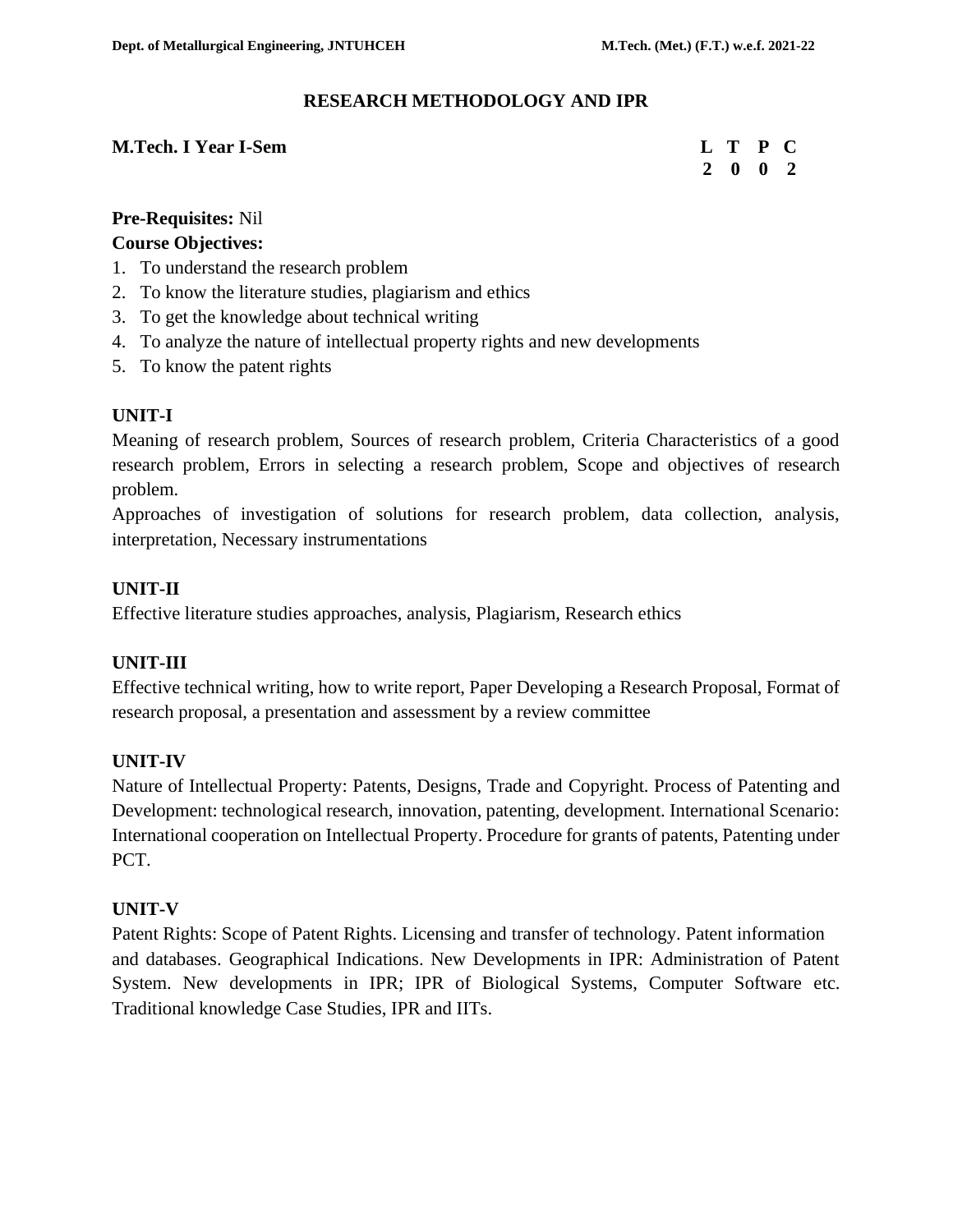#### **RESEARCH METHODOLOGY AND IPR**

#### **M.Tech. I Year I-Sem L C L T P C**

 **2 0 0 2**

# **Pre-Requisites:** Nil

#### **Course Objectives:**

- 1. To understand the research problem
- 2. To know the literature studies, plagiarism and ethics
- 3. To get the knowledge about technical writing
- 4. To analyze the nature of intellectual property rights and new developments
- 5. To know the patent rights

# **UNIT-I**

Meaning of research problem, Sources of research problem, Criteria Characteristics of a good research problem, Errors in selecting a research problem, Scope and objectives of research problem.

Approaches of investigation of solutions for research problem, data collection, analysis, interpretation, Necessary instrumentations

# **UNIT-II**

Effective literature studies approaches, analysis, Plagiarism, Research ethics

# **UNIT-III**

Effective technical writing, how to write report, Paper Developing a Research Proposal, Format of research proposal, a presentation and assessment by a review committee

# **UNIT-IV**

Nature of Intellectual Property: Patents, Designs, Trade and Copyright. Process of Patenting and Development: technological research, innovation, patenting, development. International Scenario: International cooperation on Intellectual Property. Procedure for grants of patents, Patenting under PCT.

# **UNIT-V**

Patent Rights: Scope of Patent Rights. Licensing and transfer of technology. Patent information and databases. Geographical Indications. New Developments in IPR: Administration of Patent System. New developments in IPR; IPR of Biological Systems, Computer Software etc. Traditional knowledge Case Studies, IPR and IITs.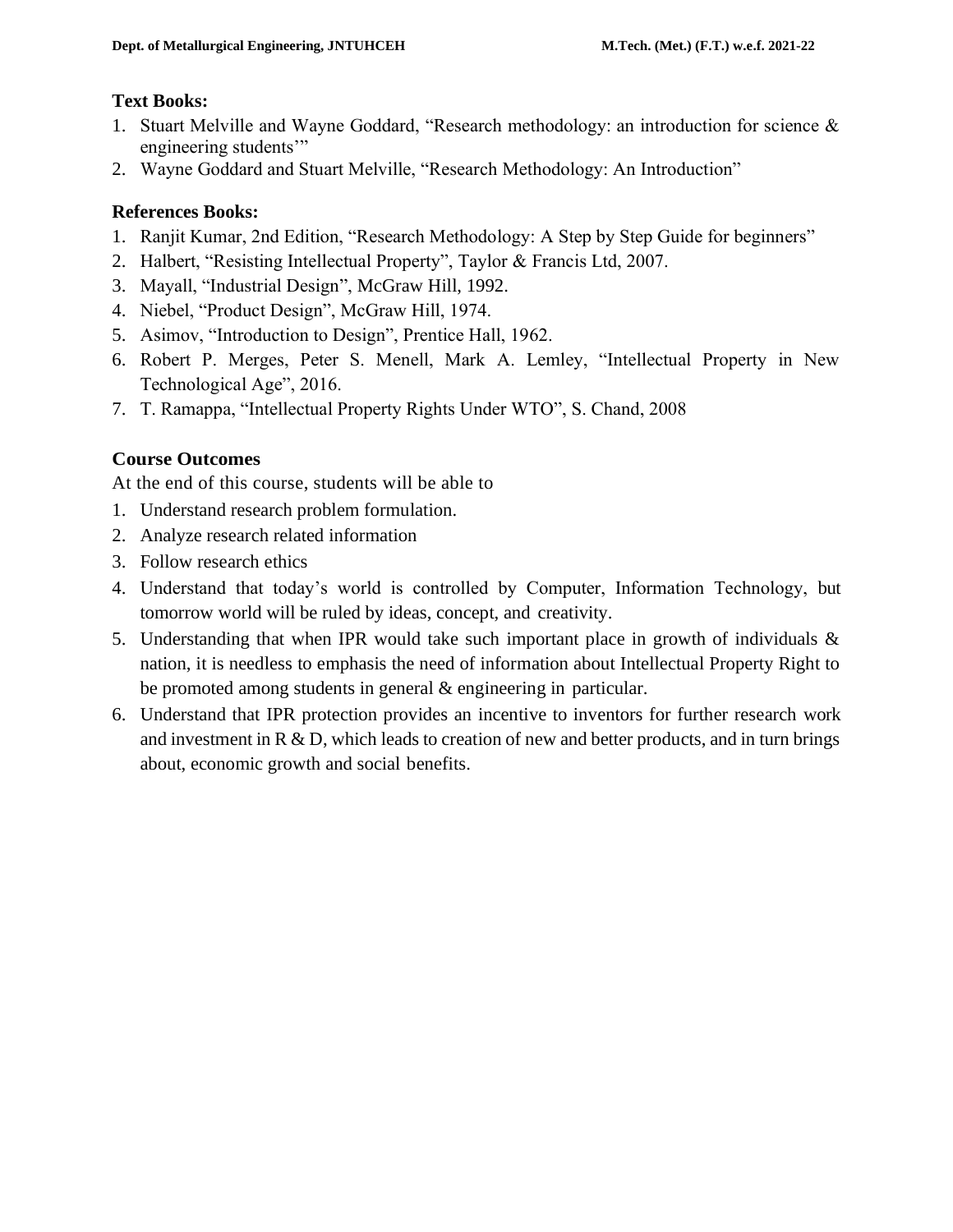#### **Text Books:**

- 1. Stuart Melville and Wayne Goddard, "Research methodology: an introduction for science & engineering students'"
- 2. Wayne Goddard and Stuart Melville, "Research Methodology: An Introduction"

# **References Books:**

- 1. Ranjit Kumar, 2nd Edition, "Research Methodology: A Step by Step Guide for beginners"
- 2. Halbert, "Resisting Intellectual Property", Taylor & Francis Ltd, 2007.
- 3. Mayall, "Industrial Design", McGraw Hill, 1992.
- 4. Niebel, "Product Design", McGraw Hill, 1974.
- 5. Asimov, "Introduction to Design", Prentice Hall, 1962.
- 6. Robert P. Merges, Peter S. Menell, Mark A. Lemley, "Intellectual Property in New Technological Age", 2016.
- 7. T. Ramappa, "Intellectual Property Rights Under WTO", S. Chand, 2008

# **Course Outcomes**

At the end of this course, students will be able to

- 1. Understand research problem formulation.
- 2. Analyze research related information
- 3. Follow research ethics
- 4. Understand that today's world is controlled by Computer, Information Technology, but tomorrow world will be ruled by ideas, concept, and creativity.
- 5. Understanding that when IPR would take such important place in growth of individuals & nation, it is needless to emphasis the need of information about Intellectual Property Right to be promoted among students in general & engineering in particular.
- 6. Understand that IPR protection provides an incentive to inventors for further research work and investment in  $R \& D$ , which leads to creation of new and better products, and in turn brings about, economic growth and social benefits.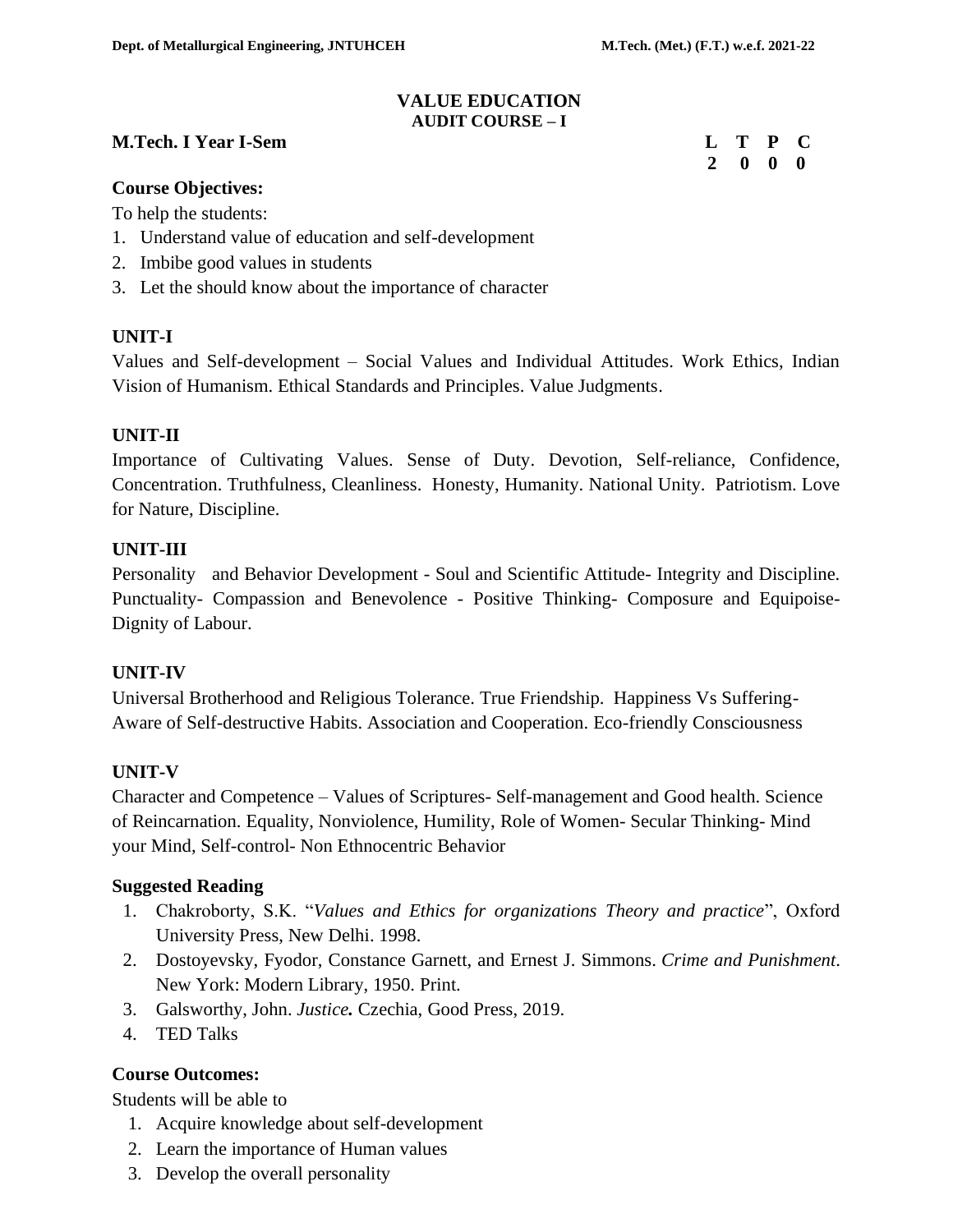#### **VALUE EDUCATION AUDIT COURSE – I**

#### **M.Tech. I Year I-Sem Letter Contract the Contract Contract Contract Contract Contract Contract Contract Contract Contract Contract Contract Contract Contract Contract Contract Contract Contract Contract Contract Contract**

 **2 0 0 0**

#### **Course Objectives:**

To help the students:

- 1. Understand value of education and self-development
- 2. Imbibe good values in students
- 3. Let the should know about the importance of character

#### **UNIT-I**

Values and Self-development – Social Values and Individual Attitudes. Work Ethics, Indian Vision of Humanism. Ethical Standards and Principles. Value Judgments.

#### **UNIT-II**

Importance of Cultivating Values. Sense of Duty. Devotion, Self-reliance, Confidence, Concentration. Truthfulness, Cleanliness. Honesty, Humanity. National Unity. Patriotism. Love for Nature, Discipline.

#### **UNIT-III**

Personality and Behavior Development - Soul and Scientific Attitude- Integrity and Discipline. Punctuality- Compassion and Benevolence - Positive Thinking- Composure and Equipoise-Dignity of Labour.

# **UNIT-IV**

Universal Brotherhood and Religious Tolerance. True Friendship. Happiness Vs Suffering-Aware of Self-destructive Habits. Association and Cooperation. Eco-friendly Consciousness

# **UNIT-V**

Character and Competence – Values of Scriptures- Self-management and Good health. Science of Reincarnation. Equality, Nonviolence, Humility, Role of Women- Secular Thinking- Mind your Mind, Self-control- Non Ethnocentric Behavior

#### **Suggested Reading**

- 1. Chakroborty, S.K. "*Values and Ethics for organizations Theory and practice*", Oxford University Press, New Delhi. 1998.
- 2. Dostoyevsky, Fyodor, Constance Garnett, and Ernest J. Simmons. *Crime and Punishment*. New York: Modern Library, 1950. Print.
- 3. Galsworthy, John. *Justice.* Czechia, Good Press, 2019.
- 4. TED Talks

# **Course Outcomes:**

Students will be able to

- 1. Acquire knowledge about self-development
- 2. Learn the importance of Human values
- 3. Develop the overall personality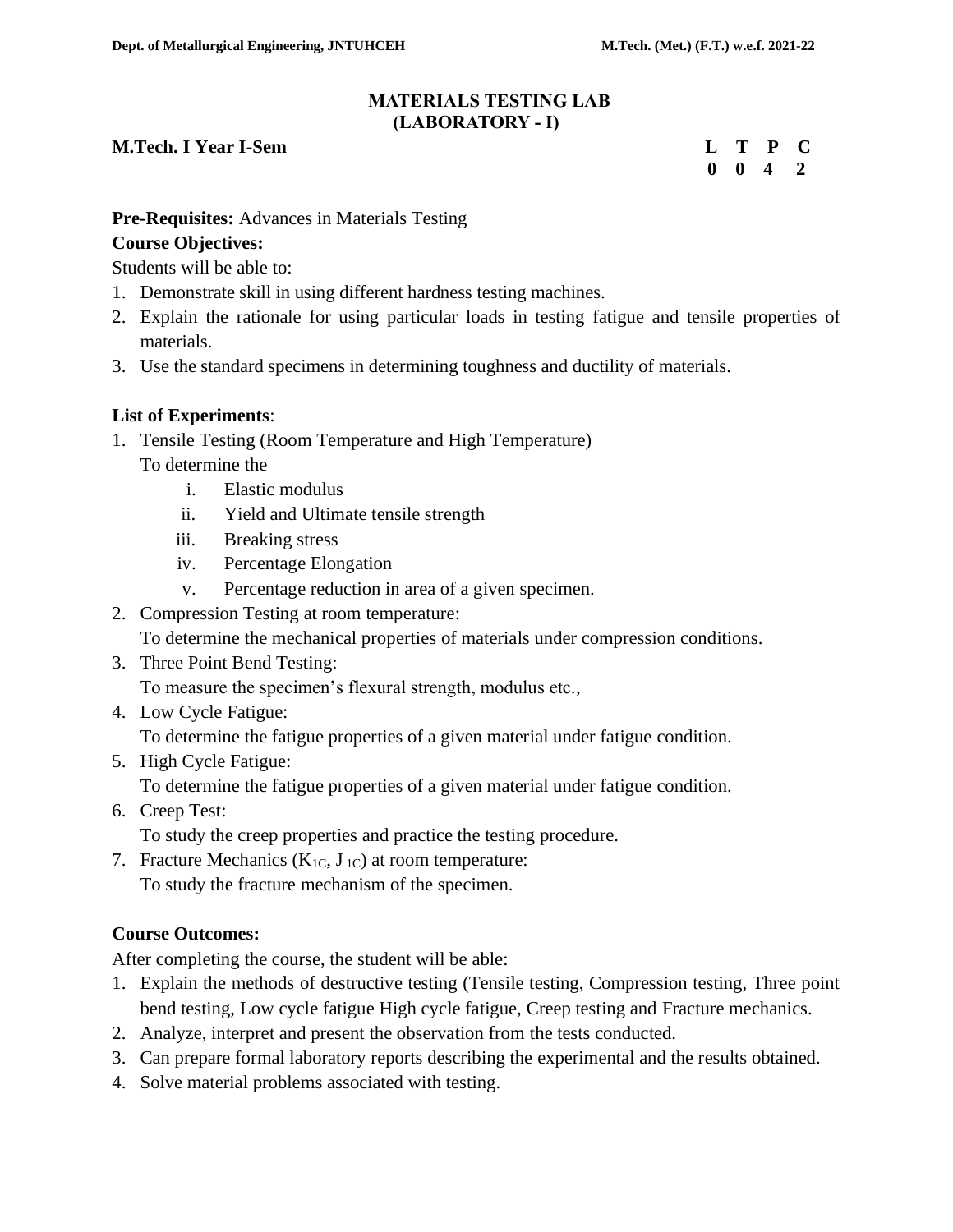#### **MATERIALS TESTING LAB (LABORATORY - I)**

#### **M.Tech. I Year I-Sem Letter Contract the Contract Contract Contract Contract Contract Contract Contract Contract Contract Contract Contract Contract Contract Contract Contract Contract Contract Contract Contract Contract**

**0 0 4 2**

# **Pre-Requisites:** Advances in Materials Testing

# **Course Objectives:**

Students will be able to:

- 1. Demonstrate skill in using different hardness testing machines.
- 2. Explain the rationale for using particular loads in testing fatigue and tensile properties of materials.
- 3. Use the standard specimens in determining toughness and ductility of materials.

# **List of Experiments**:

- 1. Tensile Testing (Room Temperature and High Temperature) To determine the
	- i. Elastic modulus
	- ii. Yield and Ultimate tensile strength
	- iii. Breaking stress
	- iv. Percentage Elongation
	- v. Percentage reduction in area of a given specimen.
- 2. Compression Testing at room temperature:
	- To determine the mechanical properties of materials under compression conditions.
- 3. Three Point Bend Testing: To measure the specimen's flexural strength, modulus etc.,
- 4. Low Cycle Fatigue: To determine the fatigue properties of a given material under fatigue condition.
- 5. High Cycle Fatigue: To determine the fatigue properties of a given material under fatigue condition.
- 6. Creep Test:

To study the creep properties and practice the testing procedure.

7. Fracture Mechanics  $(K_{1C}, J_{1C})$  at room temperature: To study the fracture mechanism of the specimen.

# **Course Outcomes:**

After completing the course, the student will be able:

- 1. Explain the methods of destructive testing (Tensile testing, Compression testing, Three point bend testing, Low cycle fatigue High cycle fatigue, Creep testing and Fracture mechanics.
- 2. Analyze, interpret and present the observation from the tests conducted.
- 3. Can prepare formal laboratory reports describing the experimental and the results obtained.
- 4. Solve material problems associated with testing.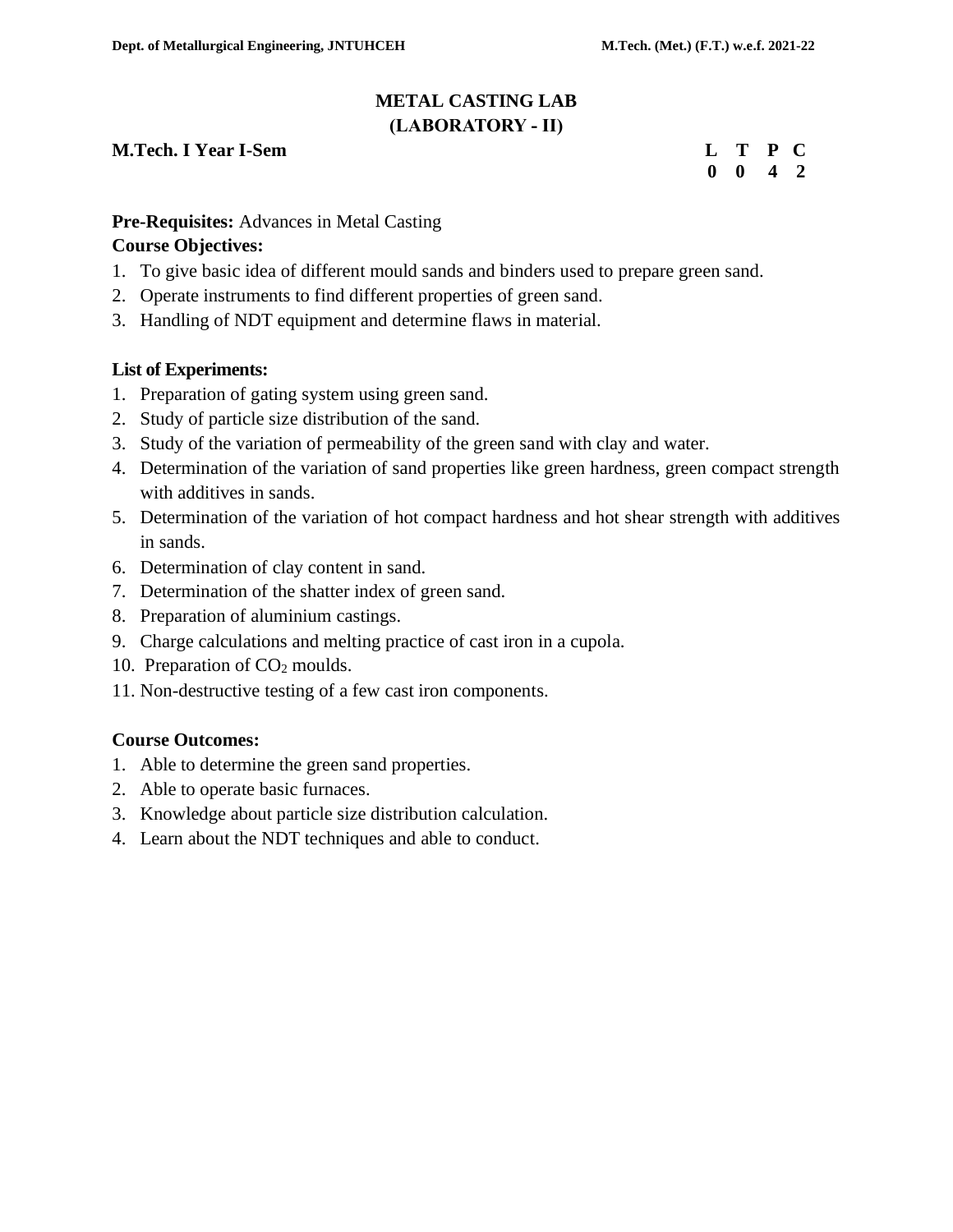# **METAL CASTING LAB (LABORATORY - II)**

# **M.Tech. I Year I-Sem L 2008**

|  | L T P C                     |  |
|--|-----------------------------|--|
|  | $0 \quad 0 \quad 4 \quad 2$ |  |

#### **Pre-Requisites:** Advances in Metal Casting

#### **Course Objectives:**

- 1. To give basic idea of different mould sands and binders used to prepare green sand.
- 2. Operate instruments to find different properties of green sand.
- 3. Handling of NDT equipment and determine flaws in material.

#### **List of Experiments:**

- 1. Preparation of gating system using green sand.
- 2. Study of particle size distribution of the sand.
- 3. Study of the variation of permeability of the green sand with clay and water.
- 4. Determination of the variation of sand properties like green hardness, green compact strength with additives in sands.
- 5. Determination of the variation of hot compact hardness and hot shear strength with additives in sands.
- 6. Determination of clay content in sand.
- 7. Determination of the shatter index of green sand.
- 8. Preparation of aluminium castings.
- 9. Charge calculations and melting practice of cast iron in a cupola.
- 10. Preparation of CO<sub>2</sub> moulds.
- 11. Non-destructive testing of a few cast iron components.

# **Course Outcomes:**

- 1. Able to determine the green sand properties.
- 2. Able to operate basic furnaces.
- 3. Knowledge about particle size distribution calculation.
- 4. Learn about the NDT techniques and able to conduct.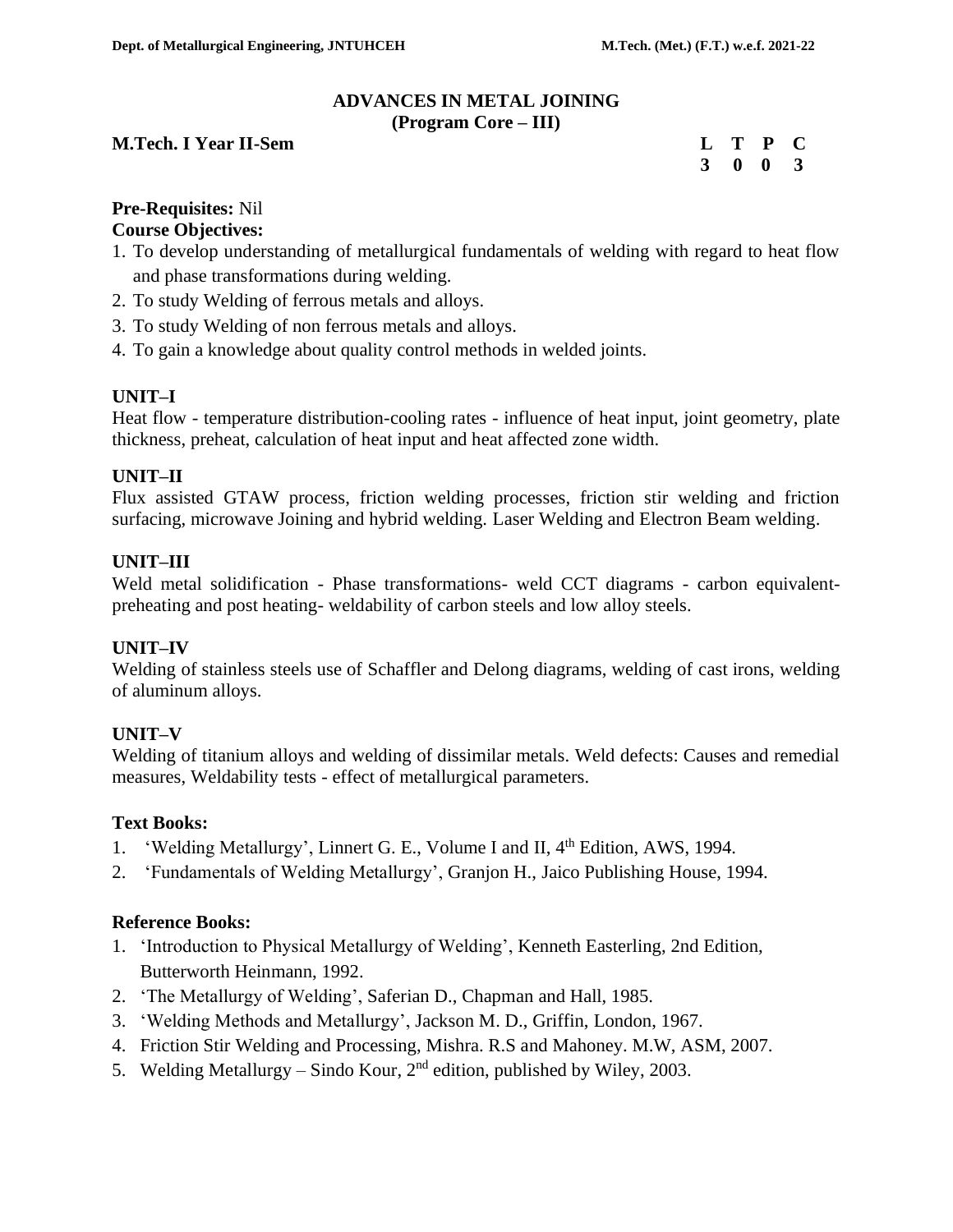#### **ADVANCES IN METAL JOINING (Program Core – III)**

#### **M.Tech. I Year II-Sem L T P C**

 **3 0 0 3**

# **Pre-Requisites:** Nil

#### **Course Objectives:**

- 1. To develop understanding of metallurgical fundamentals of welding with regard to heat flow and phase transformations during welding.
- 2. To study Welding of ferrous metals and alloys.
- 3. To study Welding of non ferrous metals and alloys.
- 4. To gain a knowledge about quality control methods in welded joints.

#### **UNIT–I**

Heat flow - temperature distribution-cooling rates - influence of heat input, joint geometry, plate thickness, preheat, calculation of heat input and heat affected zone width.

#### **UNIT–II**

Flux assisted GTAW process, friction welding processes, friction stir welding and friction surfacing, microwave Joining and hybrid welding. Laser Welding and Electron Beam welding.

#### **UNIT–III**

Weld metal solidification - Phase transformations- weld CCT diagrams - carbon equivalentpreheating and post heating- weldability of carbon steels and low alloy steels.

#### **UNIT–IV**

Welding of stainless steels use of Schaffler and Delong diagrams, welding of cast irons, welding of aluminum alloys.

#### **UNIT–V**

Welding of titanium alloys and welding of dissimilar metals. Weld defects: Causes and remedial measures, Weldability tests - effect of metallurgical parameters.

#### **Text Books:**

- 1. 'Welding Metallurgy', Linnert G. E., Volume I and II, 4<sup>th</sup> Edition, AWS, 1994.
- 2. 'Fundamentals of Welding Metallurgy', Granjon H., Jaico Publishing House, 1994.

#### **Reference Books:**

- 1. 'Introduction to Physical Metallurgy of Welding', Kenneth Easterling, 2nd Edition, Butterworth Heinmann, 1992.
- 2. 'The Metallurgy of Welding', Saferian D., Chapman and Hall, 1985.
- 3. 'Welding Methods and Metallurgy', Jackson M. D., Griffin, London, 1967.
- 4. Friction Stir Welding and Processing, Mishra. R.S and Mahoney. M.W, ASM, 2007.
- 5. Welding Metallurgy Sindo Kour,  $2<sup>nd</sup>$  edition, published by Wiley, 2003.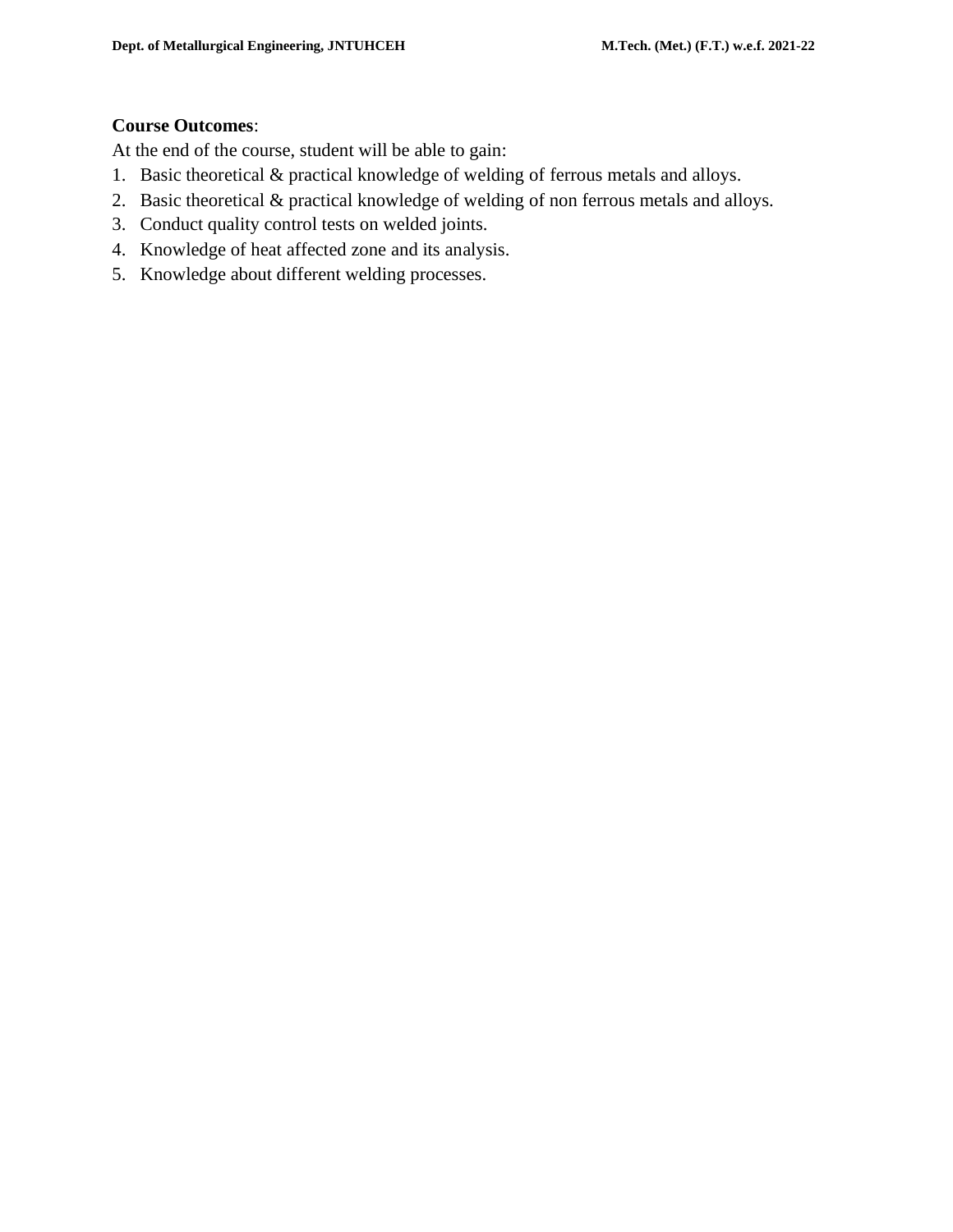# **Course Outcomes**:

At the end of the course, student will be able to gain:

- 1. Basic theoretical & practical knowledge of welding of ferrous metals and alloys.
- 2. Basic theoretical & practical knowledge of welding of non ferrous metals and alloys.
- 3. Conduct quality control tests on welded joints.
- 4. Knowledge of heat affected zone and its analysis.
- 5. Knowledge about different welding processes.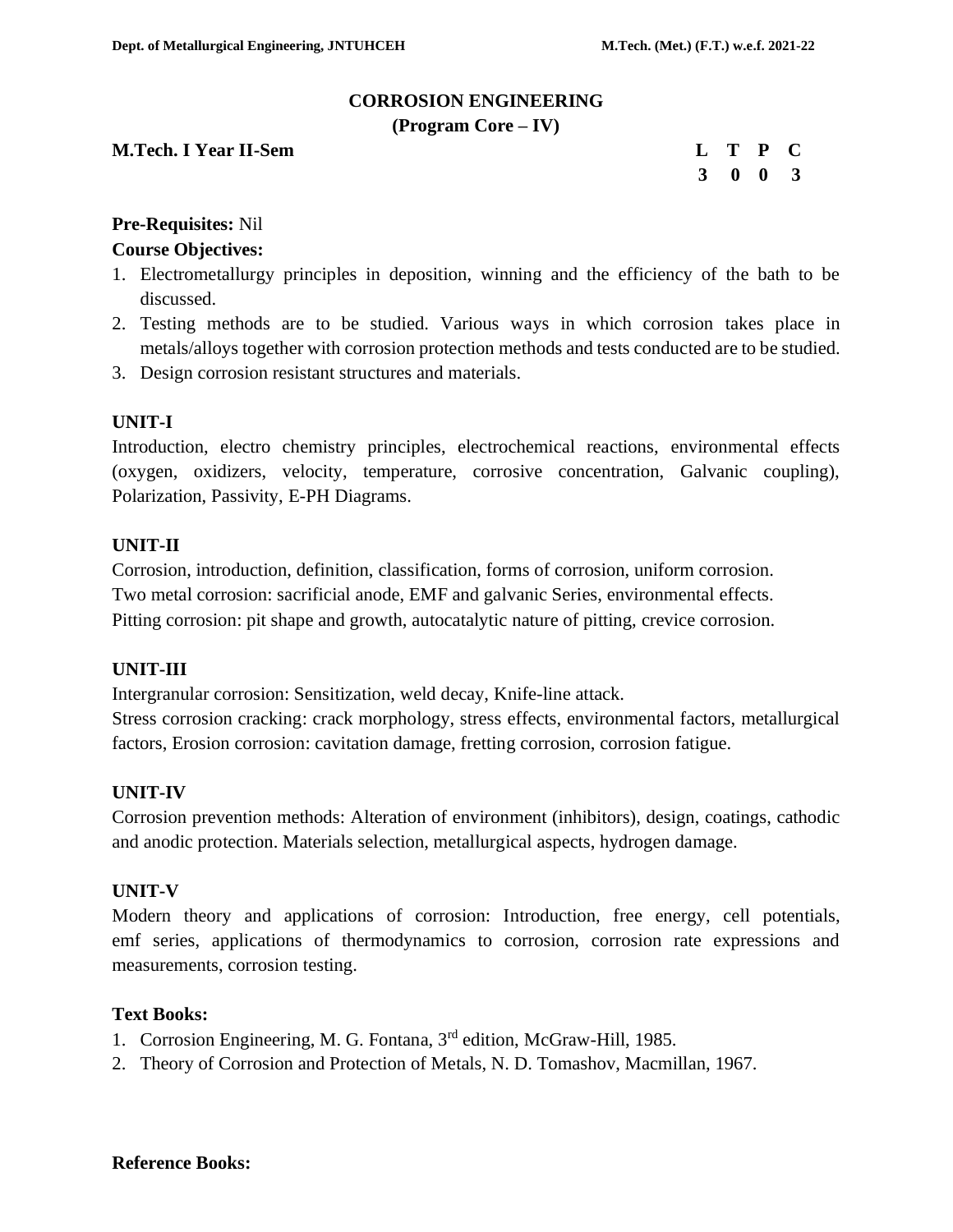#### **CORROSION ENGINEERING**

**(Program Core – IV)**

**M.Tech. I Year II-Sem** 

|  | L T P C         |  |
|--|-----------------|--|
|  | $3 \t0 \t0 \t3$ |  |

# **Pre-Requisites:** Nil

#### **Course Objectives:**

- 1. Electrometallurgy principles in deposition, winning and the efficiency of the bath to be discussed.
- 2. Testing methods are to be studied. Various ways in which corrosion takes place in metals/alloys together with corrosion protection methods and tests conducted are to be studied.
- 3. Design corrosion resistant structures and materials.

#### **UNIT-I**

Introduction, electro chemistry principles, electrochemical reactions, environmental effects (oxygen, oxidizers, velocity, temperature, corrosive concentration, Galvanic coupling), Polarization, Passivity, E-PH Diagrams.

#### **UNIT-II**

Corrosion, introduction, definition, classification, forms of corrosion, uniform corrosion. Two metal corrosion: sacrificial anode, EMF and galvanic Series, environmental effects. Pitting corrosion: pit shape and growth, autocatalytic nature of pitting, crevice corrosion.

#### **UNIT-III**

Intergranular corrosion: Sensitization, weld decay, Knife-line attack.

Stress corrosion cracking: crack morphology, stress effects, environmental factors, metallurgical factors, Erosion corrosion: cavitation damage, fretting corrosion, corrosion fatigue.

#### **UNIT-IV**

Corrosion prevention methods: Alteration of environment (inhibitors), design, coatings, cathodic and anodic protection. Materials selection, metallurgical aspects, hydrogen damage.

#### **UNIT-V**

Modern theory and applications of corrosion: Introduction, free energy, cell potentials, emf series, applications of thermodynamics to corrosion, corrosion rate expressions and measurements, corrosion testing.

#### **Text Books:**

- 1. Corrosion Engineering, M. G. Fontana, 3<sup>rd</sup> edition, McGraw-Hill, 1985.
- 2. Theory of Corrosion and Protection of Metals, N. D. Tomashov, Macmillan, 1967.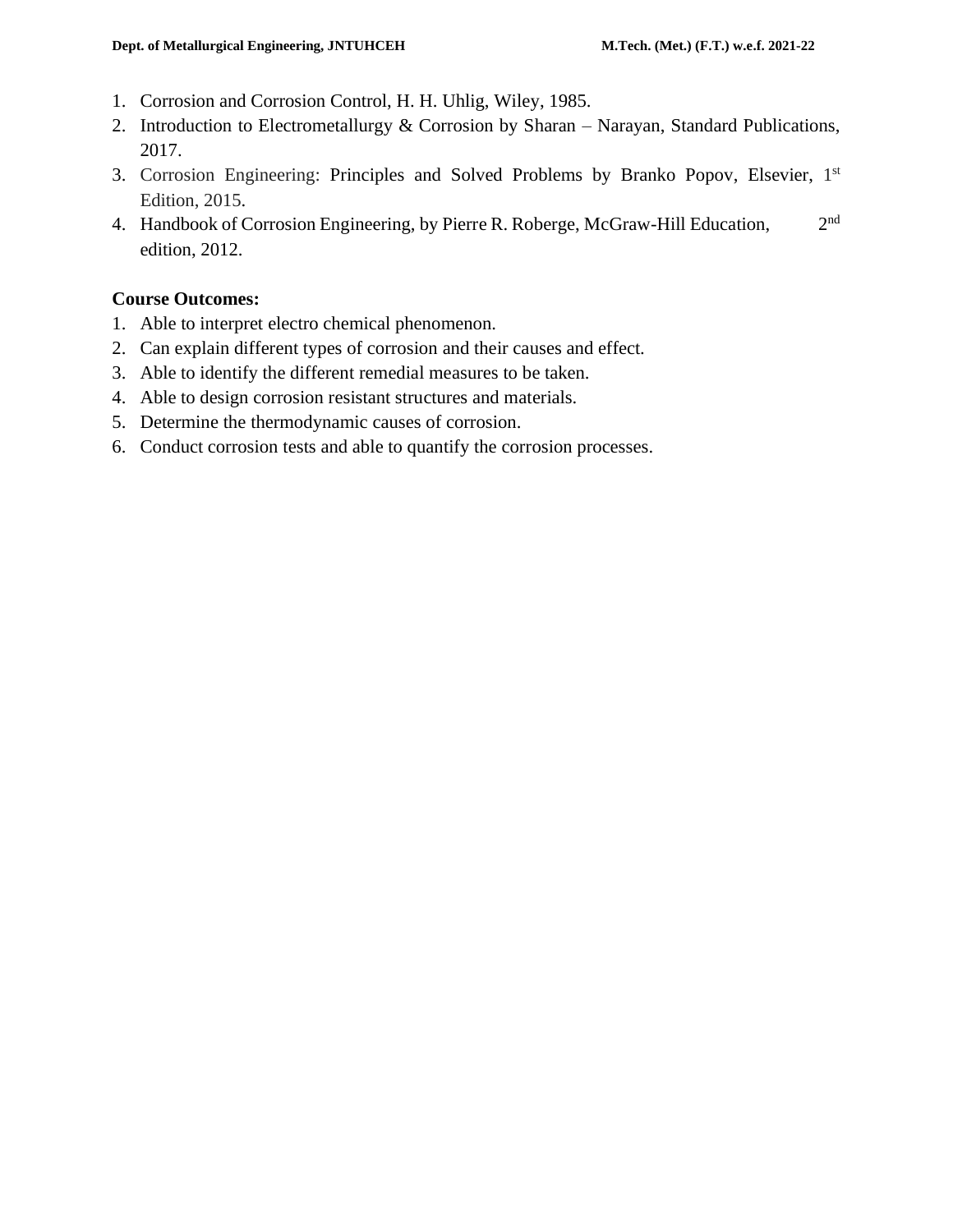- 1. Corrosion and Corrosion Control, H. H. Uhlig, Wiley, 1985.
- 2. Introduction to Electrometallurgy & Corrosion by Sharan Narayan, Standard Publications, 2017.
- 3. Corrosion Engineering: Principles and Solved Problems by Branko Popov, Elsevier, 1st Edition, 2015.
- 4. Handbook of Corrosion Engineering, by Pierre R. Roberge, McGraw-Hill Education, 2  $2<sup>nd</sup>$ edition, 2012.

#### **Course Outcomes:**

- 1. Able to interpret electro chemical phenomenon.
- 2. Can explain different types of corrosion and their causes and effect.
- 3. Able to identify the different remedial measures to be taken.
- 4. Able to design corrosion resistant structures and materials.
- 5. Determine the thermodynamic causes of corrosion.
- 6. Conduct corrosion tests and able to quantify the corrosion processes.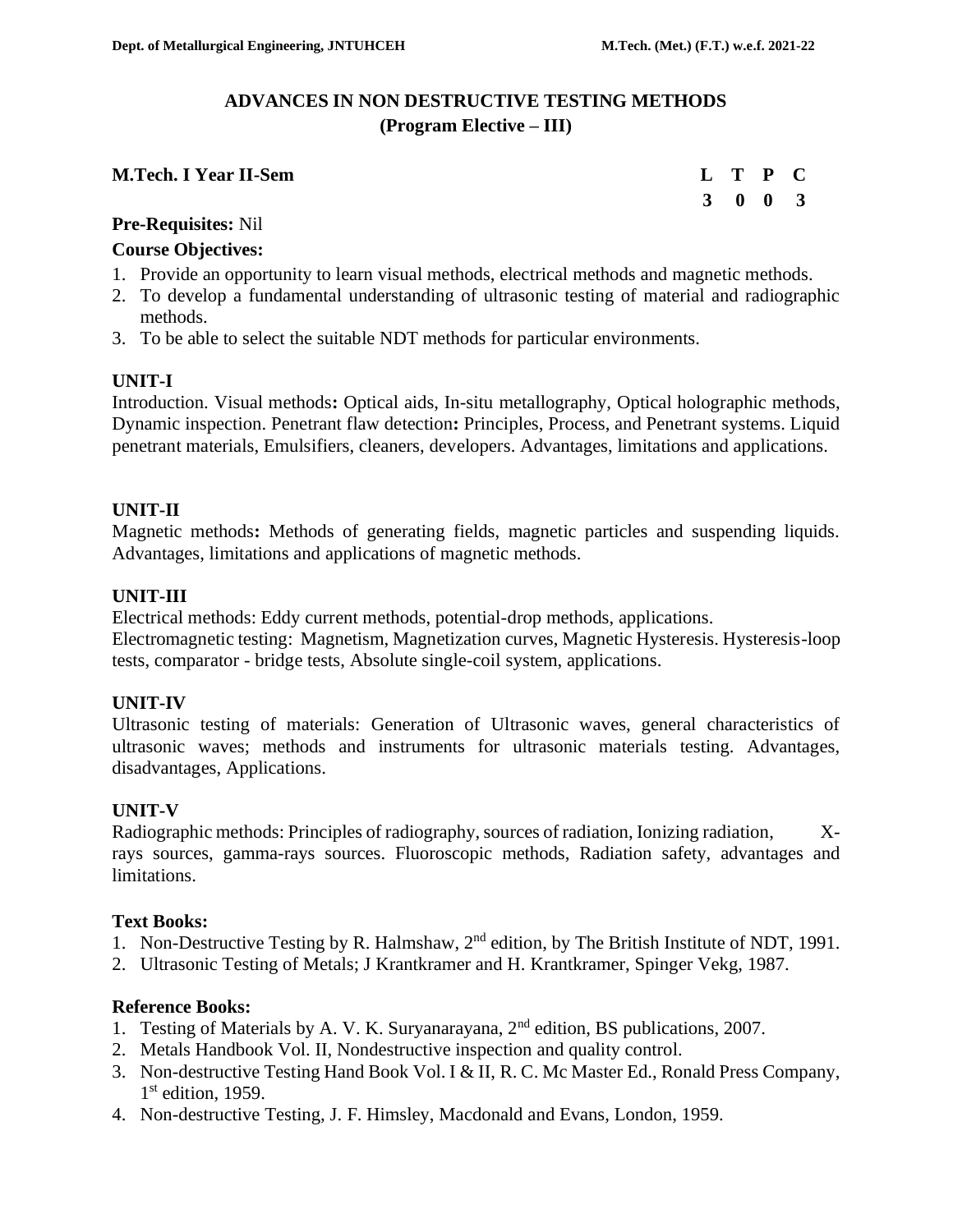# **ADVANCES IN NON DESTRUCTIVE TESTING METHODS (Program Elective – III)**

| <b>M.Tech. I Year II-Sem</b> |  | L T P C |  |
|------------------------------|--|---------|--|
|                              |  |         |  |

|  | L T P C                     |  |
|--|-----------------------------|--|
|  | $3 \quad 0 \quad 0 \quad 3$ |  |

#### **Pre-Requisites:** Nil

# **Course Objectives:**

- 1. Provide an opportunity to learn visual methods, electrical methods and magnetic methods.
- 2. To develop a fundamental understanding of ultrasonic testing of material and radiographic methods.
- 3. To be able to select the suitable NDT methods for particular environments.

# **UNIT-I**

Introduction. Visual methods**:** Optical aids, In-situ metallography, Optical holographic methods, Dynamic inspection. Penetrant flaw detection**:** Principles, Process, and Penetrant systems. Liquid penetrant materials, Emulsifiers, cleaners, developers. Advantages, limitations and applications.

# **UNIT-II**

Magnetic methods**:** Methods of generating fields, magnetic particles and suspending liquids. Advantages, limitations and applications of magnetic methods.

# **UNIT-III**

Electrical methods: Eddy current methods, potential-drop methods, applications. Electromagnetic testing: Magnetism, Magnetization curves, Magnetic Hysteresis. Hysteresis-loop

tests, comparator - bridge tests, Absolute single-coil system, applications.

# **UNIT-IV**

Ultrasonic testing of materials: Generation of Ultrasonic waves, general characteristics of ultrasonic waves; methods and instruments for ultrasonic materials testing. Advantages, disadvantages, Applications.

# **UNIT-V**

Radiographic methods: Principles of radiography, sources of radiation, Ionizing radiation, Xrays sources, gamma-rays sources. Fluoroscopic methods, Radiation safety, advantages and limitations.

# **Text Books:**

- 1. Non-Destructive Testing by R. Halmshaw,  $2<sup>nd</sup>$  edition, by The British Institute of NDT, 1991.
- 2. Ultrasonic Testing of Metals; J Krantkramer and H. Krantkramer, Spinger Vekg, 1987.

# **Reference Books:**

- 1. Testing of Materials by A. V. K. Suryanarayana, 2nd edition, BS publications, 2007.
- 2. Metals Handbook Vol. II, Nondestructive inspection and quality control.
- 3. Non-destructive Testing Hand Book Vol. I & II, R. C. Mc Master Ed., Ronald Press Company, 1st edition, 1959.
- 4. Non-destructive Testing, J. F. Himsley, Macdonald and Evans, London, 1959.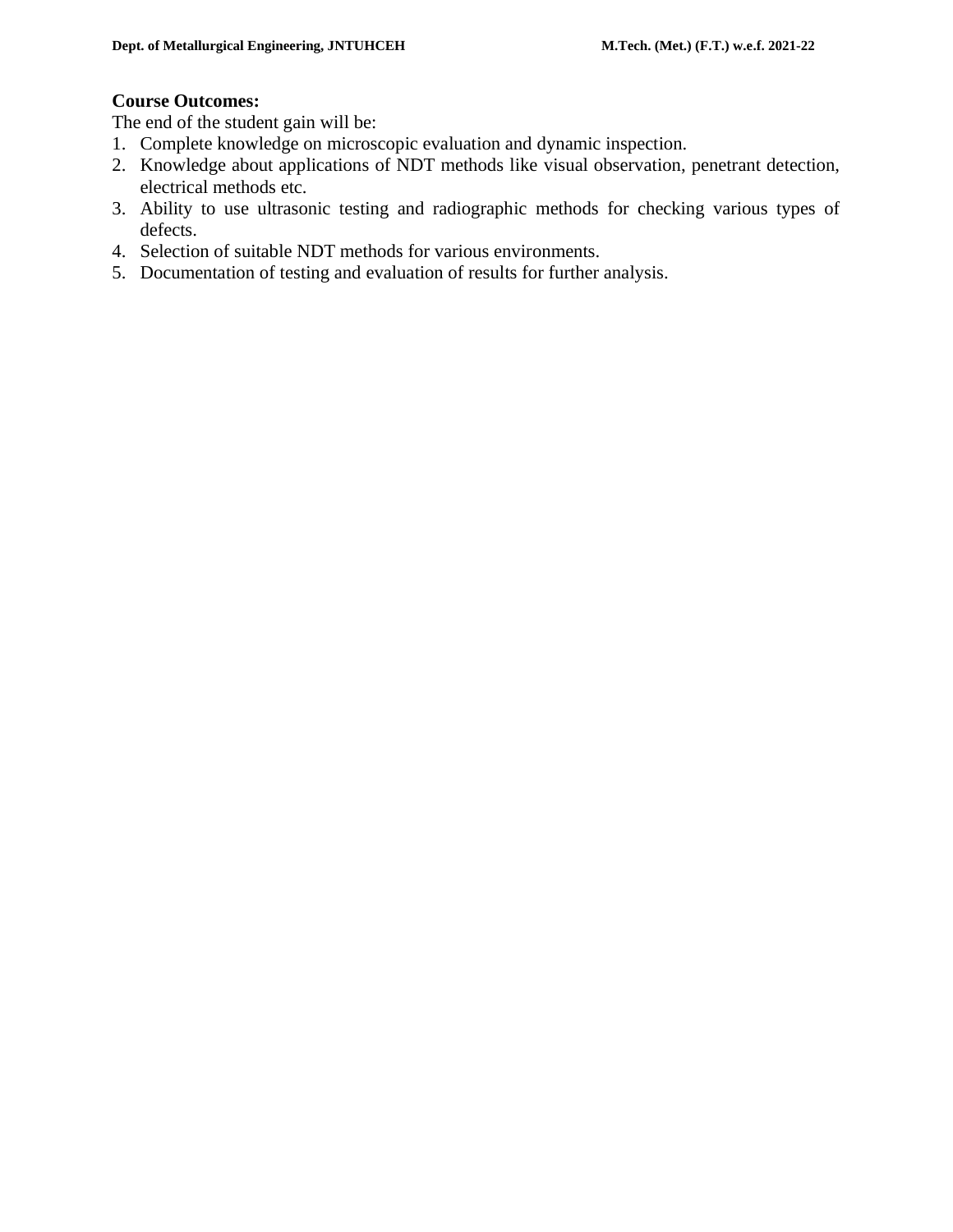#### **Course Outcomes:**

The end of the student gain will be:

- 1. Complete knowledge on microscopic evaluation and dynamic inspection.
- 2. Knowledge about applications of NDT methods like visual observation, penetrant detection, electrical methods etc.
- 3. Ability to use ultrasonic testing and radiographic methods for checking various types of defects.
- 4. Selection of suitable NDT methods for various environments.
- 5. Documentation of testing and evaluation of results for further analysis.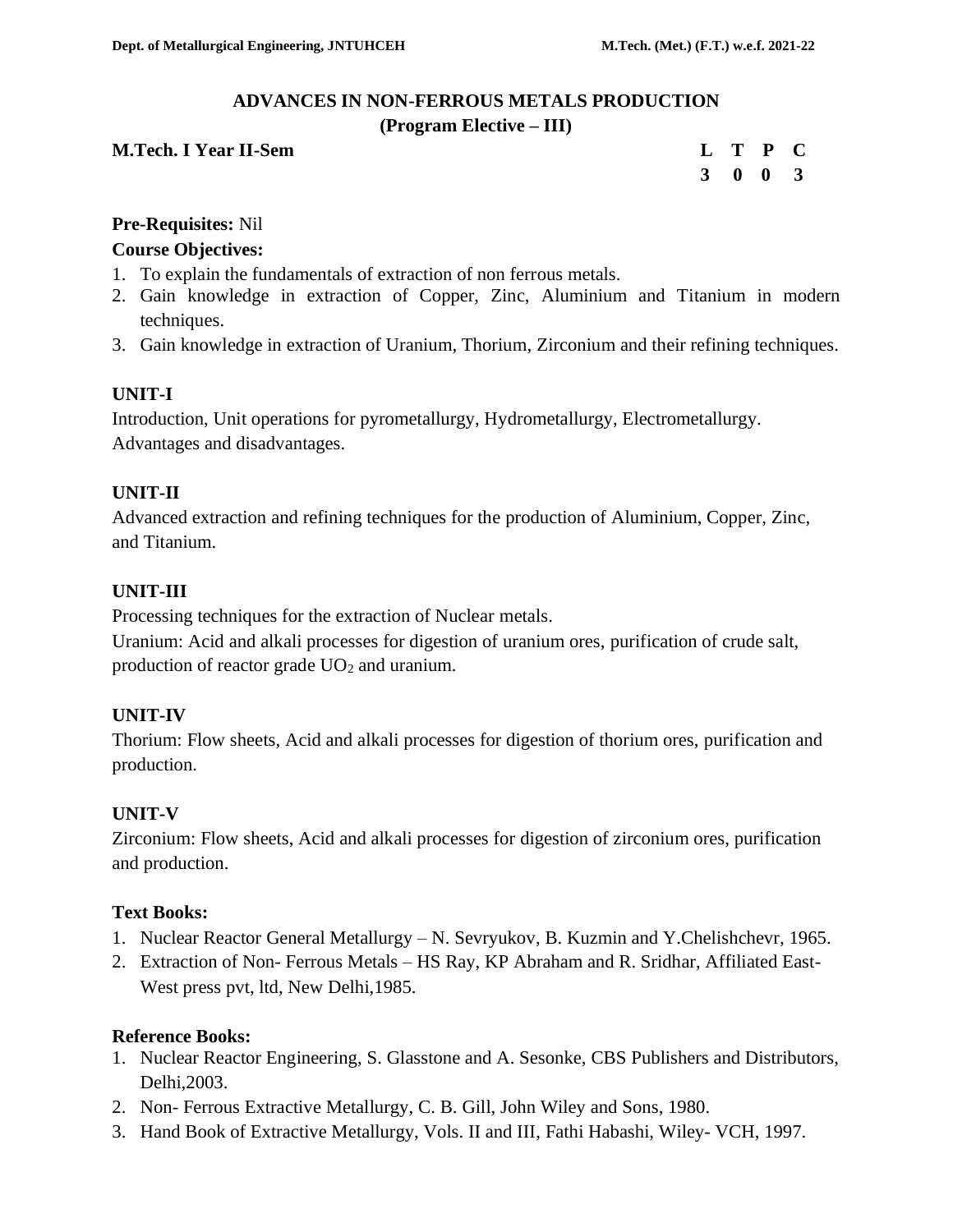# **ADVANCES IN NON-FERROUS METALS PRODUCTION**

#### **(Program Elective – III)**

| <b>M.Tech. I Year II-Sem</b> |  | L T P C                     |  |
|------------------------------|--|-----------------------------|--|
|                              |  | $3 \quad 0 \quad 0 \quad 3$ |  |

#### **Pre-Requisites:** Nil

#### **Course Objectives:**

- 1. To explain the fundamentals of extraction of non ferrous metals.
- 2. Gain knowledge in extraction of Copper, Zinc, Aluminium and Titanium in modern techniques.
- 3. Gain knowledge in extraction of Uranium, Thorium, Zirconium and their refining techniques.

# **UNIT-I**

Introduction, Unit operations for pyrometallurgy, Hydrometallurgy, Electrometallurgy. Advantages and disadvantages.

# **UNIT-II**

Advanced extraction and refining techniques for the production of Aluminium, Copper, Zinc, and Titanium.

# **UNIT-III**

Processing techniques for the extraction of Nuclear metals.

Uranium: Acid and alkali processes for digestion of uranium ores, purification of crude salt, production of reactor grade UO<sub>2</sub> and uranium.

# **UNIT-IV**

Thorium: Flow sheets, Acid and alkali processes for digestion of thorium ores, purification and production.

# **UNIT-V**

Zirconium: Flow sheets, Acid and alkali processes for digestion of zirconium ores, purification and production.

# **Text Books:**

- 1. Nuclear Reactor General Metallurgy N. Sevryukov, B. Kuzmin and Y.Chelishchevr, 1965.
- 2. Extraction of Non- Ferrous Metals HS Ray, KP Abraham and R. Sridhar, Affiliated East-West press pvt, ltd, New Delhi,1985.

#### **Reference Books:**

- 1. Nuclear Reactor Engineering, S. Glasstone and A. Sesonke, CBS Publishers and Distributors, Delhi,2003.
- 2. Non- Ferrous Extractive Metallurgy, C. B. Gill, John Wiley and Sons, 1980.
- 3. Hand Book of Extractive Metallurgy, Vols. II and III, Fathi Habashi, Wiley- VCH, 1997.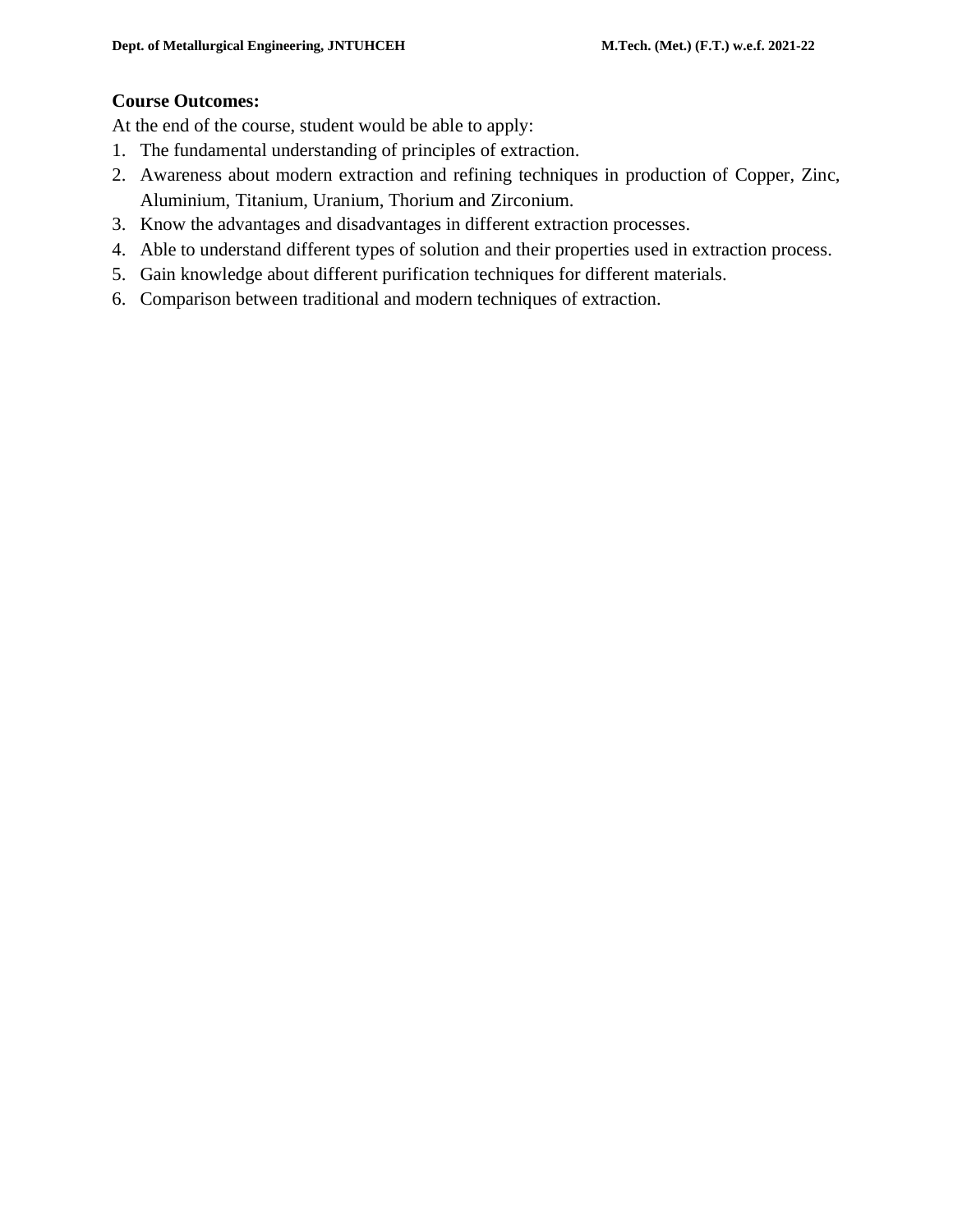# **Course Outcomes:**

At the end of the course, student would be able to apply:

- 1. The fundamental understanding of principles of extraction.
- 2. Awareness about modern extraction and refining techniques in production of Copper, Zinc, Aluminium, Titanium, Uranium, Thorium and Zirconium.
- 3. Know the advantages and disadvantages in different extraction processes.
- 4. Able to understand different types of solution and their properties used in extraction process.
- 5. Gain knowledge about different purification techniques for different materials.
- 6. Comparison between traditional and modern techniques of extraction.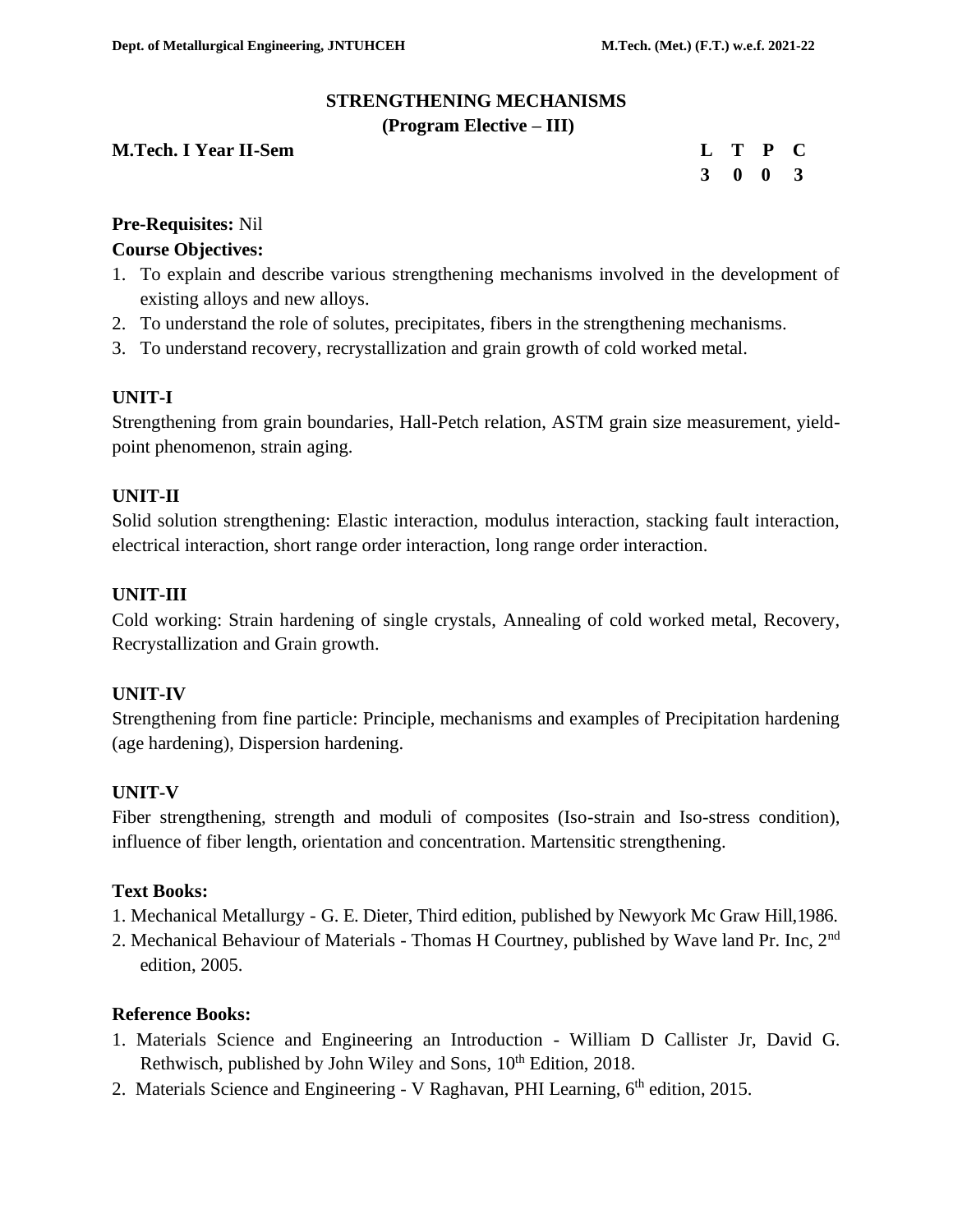# **STRENGTHENING MECHANISMS**

#### **(Program Elective – III)**

| <b>M.Tech. I Year II-Sem</b> | L T P C                     |  |  |
|------------------------------|-----------------------------|--|--|
|                              | $3 \quad 0 \quad 0 \quad 3$ |  |  |

# **Pre-Requisites:** Nil

# **Course Objectives:**

- 1. To explain and describe various strengthening mechanisms involved in the development of existing alloys and new alloys.
- 2. To understand the role of solutes, precipitates, fibers in the strengthening mechanisms.
- 3. To understand recovery, recrystallization and grain growth of cold worked metal.

# **UNIT-I**

Strengthening from grain boundaries, Hall-Petch relation, ASTM grain size measurement, yieldpoint phenomenon, strain aging.

# **UNIT-II**

Solid solution strengthening: Elastic interaction, modulus interaction, stacking fault interaction, electrical interaction, short range order interaction, long range order interaction.

# **UNIT-III**

Cold working: Strain hardening of single crystals, Annealing of cold worked metal, Recovery, Recrystallization and Grain growth.

# **UNIT-IV**

Strengthening from fine particle: Principle, mechanisms and examples of Precipitation hardening (age hardening), Dispersion hardening.

# **UNIT-V**

Fiber strengthening, strength and moduli of composites (Iso-strain and Iso-stress condition), influence of fiber length, orientation and concentration. Martensitic strengthening.

# **Text Books:**

- 1. Mechanical Metallurgy G. E. Dieter, Third edition, published by Newyork Mc Graw Hill,1986.
- 2. Mechanical Behaviour of Materials Thomas H Courtney, published by Wave land Pr. Inc, 2nd edition, 2005.

# **Reference Books:**

- 1. Materials Science and Engineering an Introduction William D Callister Jr, David G. Rethwisch, published by John Wiley and Sons,  $10<sup>th</sup>$  Edition, 2018.
- 2. Materials Science and Engineering V Raghavan, PHI Learning, 6<sup>th</sup> edition, 2015.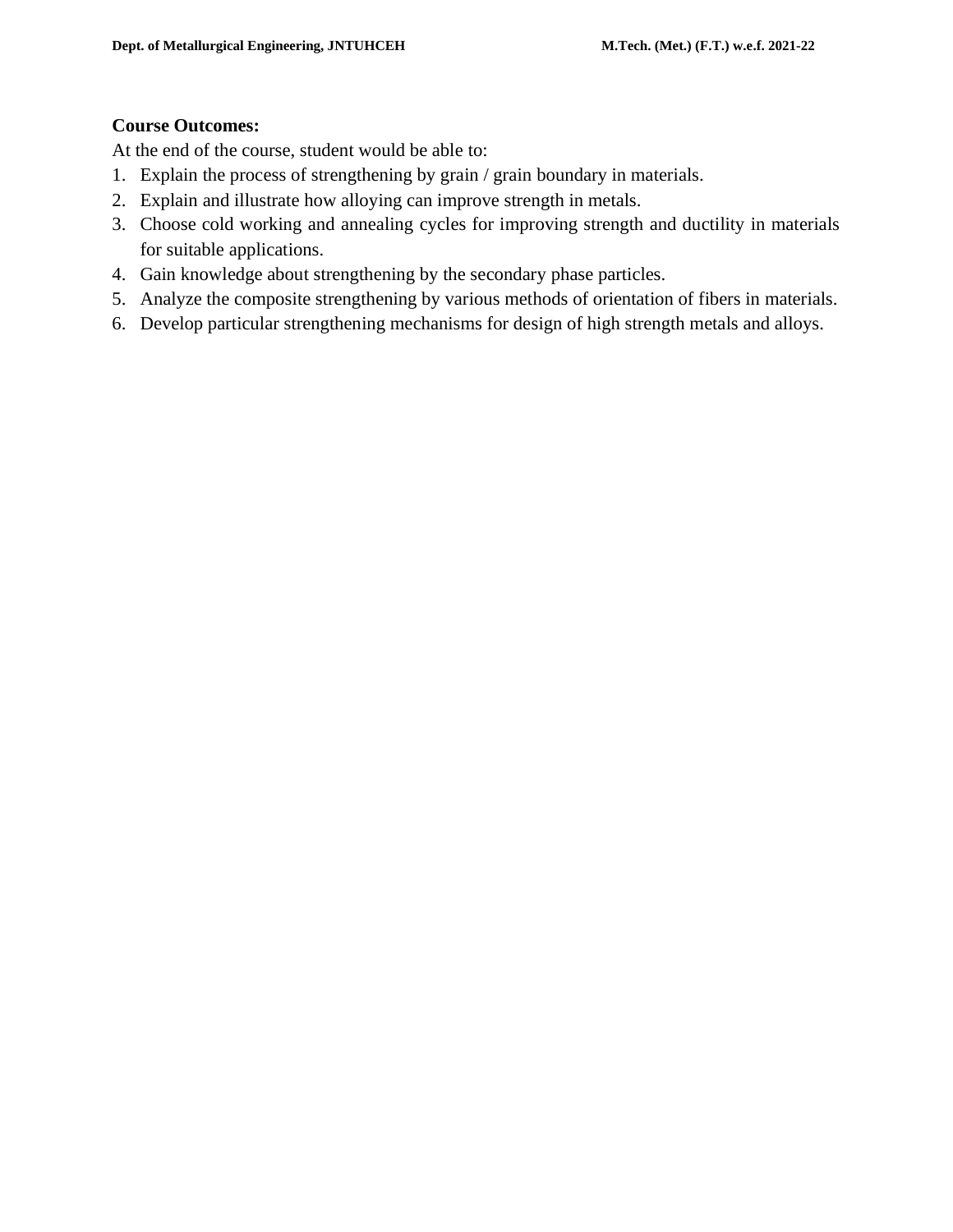# **Course Outcomes:**

At the end of the course, student would be able to:

- 1. Explain the process of strengthening by grain / grain boundary in materials.
- 2. Explain and illustrate how alloying can improve strength in metals.
- 3. Choose cold working and annealing cycles for improving strength and ductility in materials for suitable applications.
- 4. Gain knowledge about strengthening by the secondary phase particles.
- 5. Analyze the composite strengthening by various methods of orientation of fibers in materials.
- 6. Develop particular strengthening mechanisms for design of high strength metals and alloys.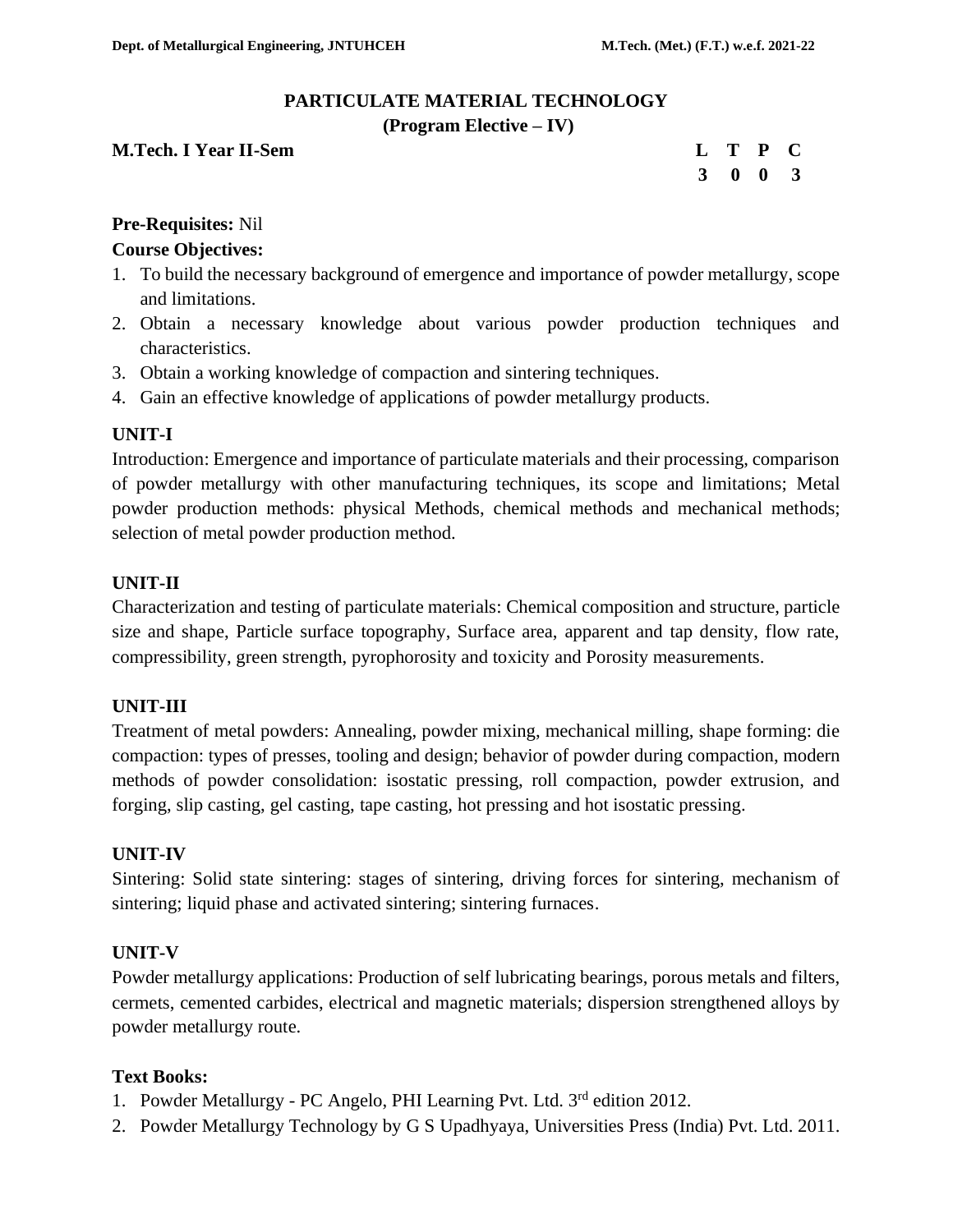# **PARTICULATE MATERIAL TECHNOLOGY**

**(Program Elective – IV)**

| <b>M.Tech. I Year II-Sem</b> | L T P C |  |  |
|------------------------------|---------|--|--|
|                              | 3 0 0 3 |  |  |

# **Pre-Requisites:** Nil

#### **Course Objectives:**

- 1. To build the necessary background of emergence and importance of powder metallurgy, scope and limitations.
- 2. Obtain a necessary knowledge about various powder production techniques and characteristics.
- 3. Obtain a working knowledge of compaction and sintering techniques.
- 4. Gain an effective knowledge of applications of powder metallurgy products.

# **UNIT-I**

Introduction: Emergence and importance of particulate materials and their processing, comparison of powder metallurgy with other manufacturing techniques, its scope and limitations; Metal powder production methods: physical Methods, chemical methods and mechanical methods; selection of metal powder production method.

# **UNIT-II**

Characterization and testing of particulate materials: Chemical composition and structure, particle size and shape, Particle surface topography, Surface area, apparent and tap density, flow rate, compressibility, green strength, pyrophorosity and toxicity and Porosity measurements.

# **UNIT-III**

Treatment of metal powders: Annealing, powder mixing, mechanical milling, shape forming: die compaction: types of presses, tooling and design; behavior of powder during compaction, modern methods of powder consolidation: isostatic pressing, roll compaction, powder extrusion, and forging, slip casting, gel casting, tape casting, hot pressing and hot isostatic pressing.

# **UNIT-IV**

Sintering: Solid state sintering: stages of sintering, driving forces for sintering, mechanism of sintering; liquid phase and activated sintering; sintering furnaces.

# **UNIT-V**

Powder metallurgy applications: Production of self lubricating bearings, porous metals and filters, cermets, cemented carbides, electrical and magnetic materials; dispersion strengthened alloys by powder metallurgy route.

#### **Text Books:**

- 1. Powder Metallurgy PC Angelo, PHI Learning Pvt. Ltd. 3<sup>rd</sup> edition 2012.
- 2. Powder Metallurgy Technology by G S Upadhyaya, Universities Press (India) Pvt. Ltd. 2011.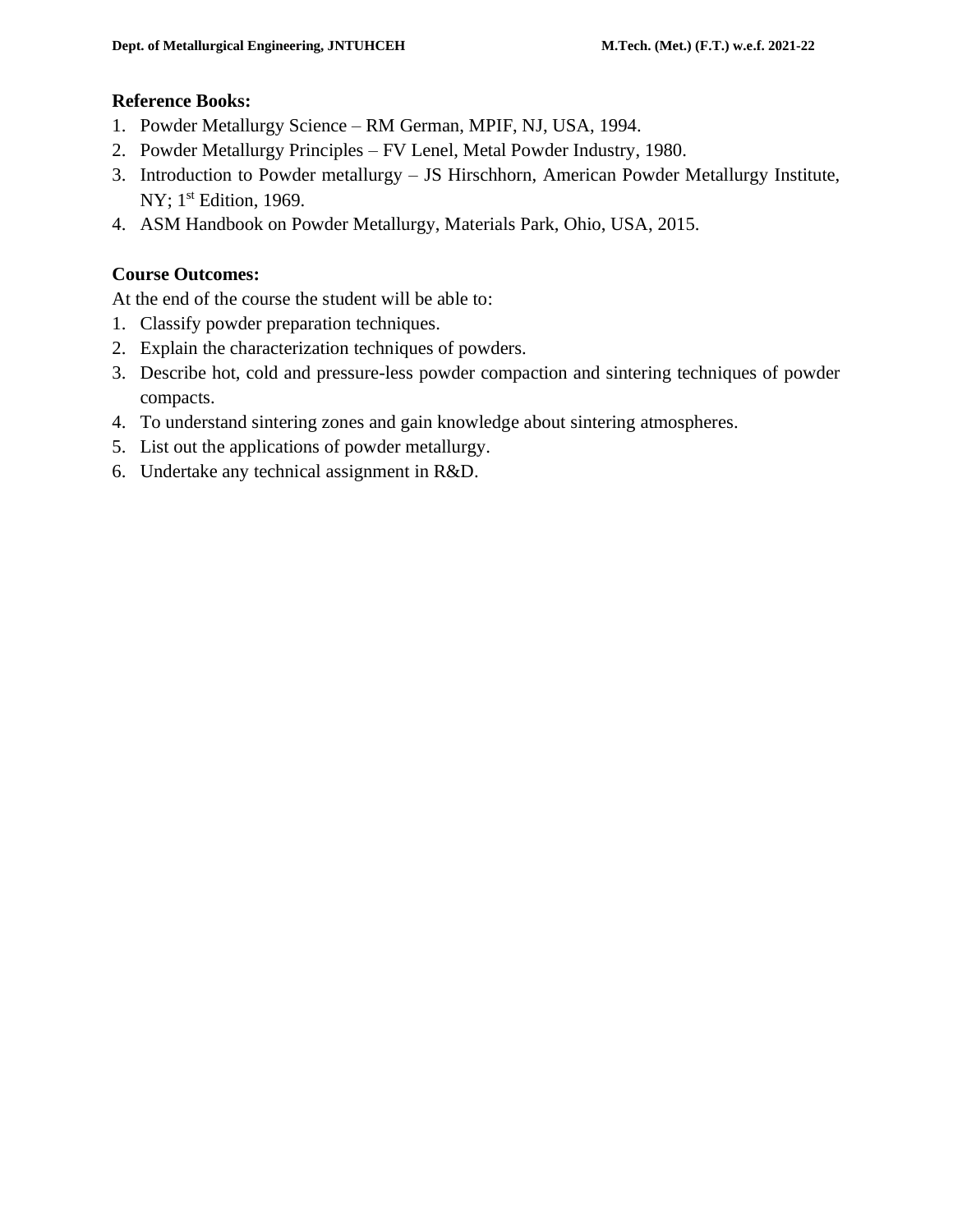#### **Reference Books:**

- 1. Powder Metallurgy Science RM German, MPIF, NJ, USA, 1994.
- 2. Powder Metallurgy Principles FV Lenel, Metal Powder Industry, 1980.
- 3. Introduction to Powder metallurgy JS Hirschhorn, American Powder Metallurgy Institute, NY; 1<sup>st</sup> Edition, 1969.
- 4. ASM Handbook on Powder Metallurgy, Materials Park, Ohio, USA, 2015.

# **Course Outcomes:**

At the end of the course the student will be able to:

- 1. Classify powder preparation techniques.
- 2. Explain the characterization techniques of powders.
- 3. Describe hot, cold and pressure-less powder compaction and sintering techniques of powder compacts.
- 4. To understand sintering zones and gain knowledge about sintering atmospheres.
- 5. List out the applications of powder metallurgy.
- 6. Undertake any technical assignment in R&D.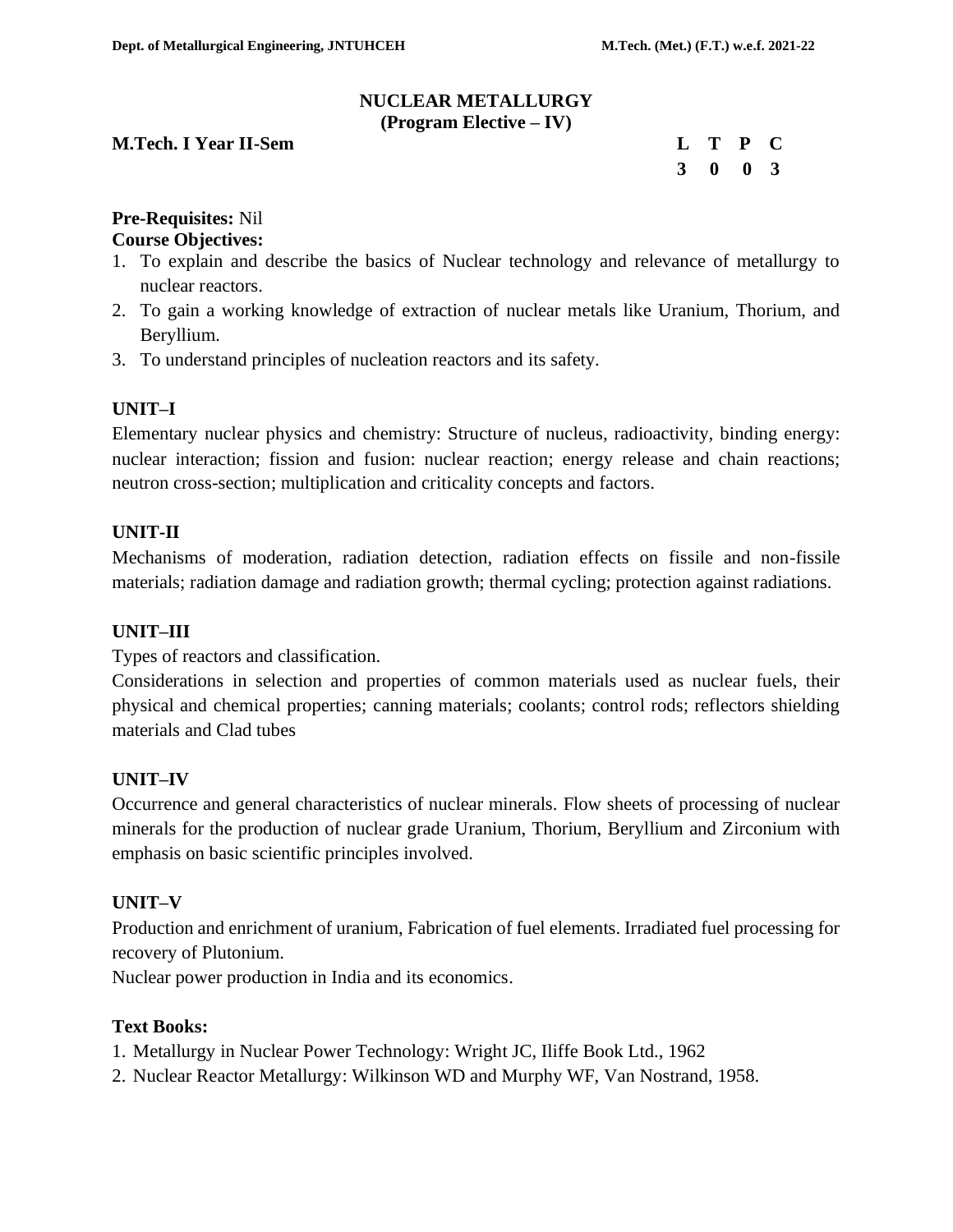#### **NUCLEAR METALLURGY (Program Elective – IV)**

#### **M.Tech. I Year II-Sem**

|  | L T P C                     |  |
|--|-----------------------------|--|
|  | $3 \quad 0 \quad 0 \quad 3$ |  |

**Pre-Requisites:** Nil

# **Course Objectives:**

- 1. To explain and describe the basics of Nuclear technology and relevance of metallurgy to nuclear reactors.
- 2. To gain a working knowledge of extraction of nuclear metals like Uranium, Thorium, and Beryllium.
- 3. To understand principles of nucleation reactors and its safety.

# **UNIT–I**

Elementary nuclear physics and chemistry: Structure of nucleus, radioactivity, binding energy: nuclear interaction; fission and fusion: nuclear reaction; energy release and chain reactions; neutron cross-section; multiplication and criticality concepts and factors.

#### **UNIT-II**

Mechanisms of moderation, radiation detection, radiation effects on fissile and non-fissile materials; radiation damage and radiation growth; thermal cycling; protection against radiations.

#### **UNIT–III**

Types of reactors and classification.

Considerations in selection and properties of common materials used as nuclear fuels, their physical and chemical properties; canning materials; coolants; control rods; reflectors shielding materials and Clad tubes

# **UNIT–IV**

Occurrence and general characteristics of nuclear minerals. Flow sheets of processing of nuclear minerals for the production of nuclear grade Uranium, Thorium, Beryllium and Zirconium with emphasis on basic scientific principles involved.

#### **UNIT–V**

Production and enrichment of uranium, Fabrication of fuel elements. Irradiated fuel processing for recovery of Plutonium.

Nuclear power production in India and its economics.

#### **Text Books:**

- 1. Metallurgy in Nuclear Power Technology: Wright JC, Iliffe Book Ltd., 1962
- 2. Nuclear Reactor Metallurgy: Wilkinson WD and Murphy WF, Van Nostrand, 1958.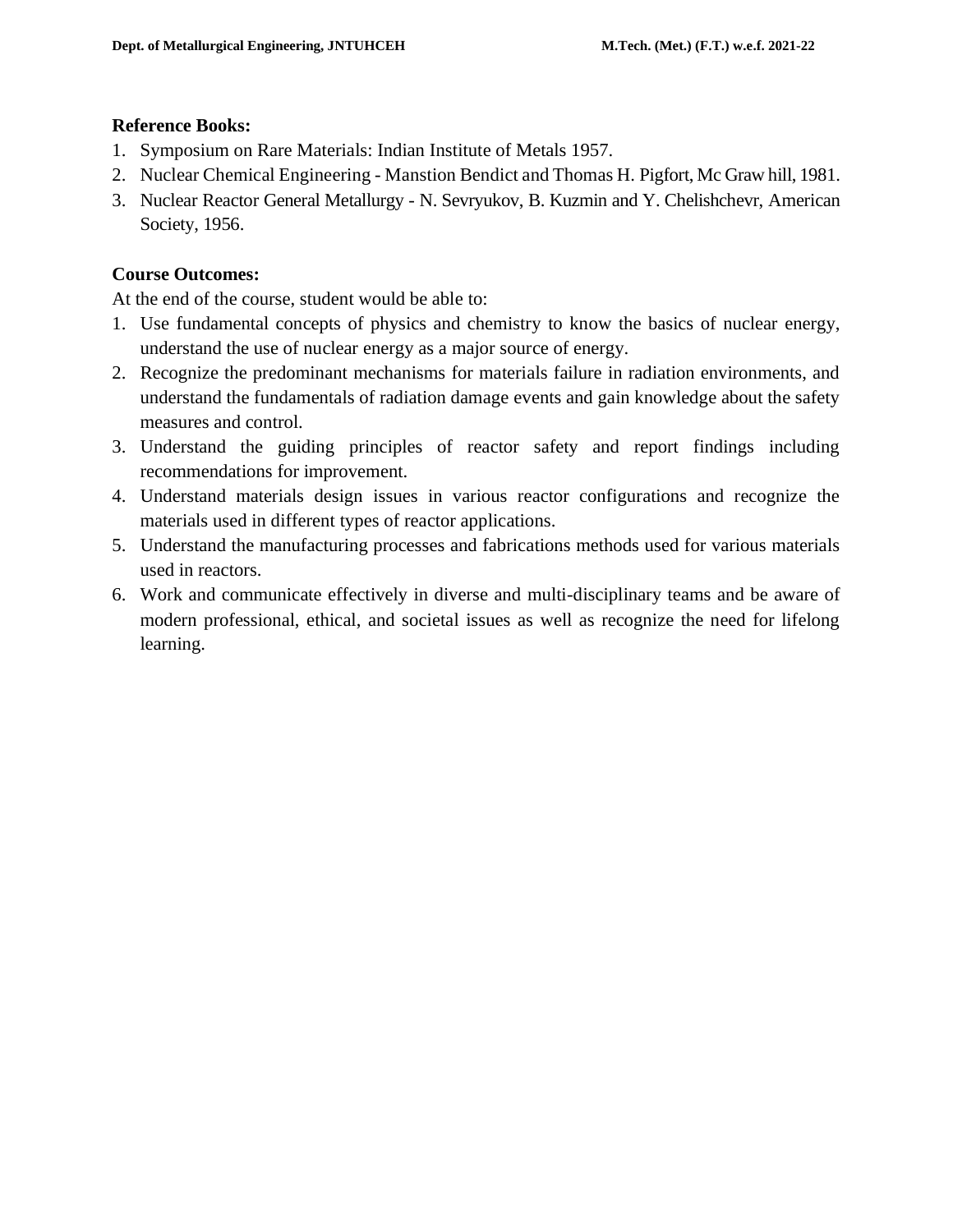#### **Reference Books:**

- 1. Symposium on Rare Materials: Indian Institute of Metals 1957.
- 2. Nuclear Chemical Engineering Manstion Bendict and Thomas H. Pigfort, Mc Graw hill, 1981.
- 3. Nuclear Reactor General Metallurgy N. Sevryukov, B. Kuzmin and Y. Chelishchevr, American Society, 1956.

# **Course Outcomes:**

At the end of the course, student would be able to:

- 1. Use fundamental concepts of physics and chemistry to know the basics of nuclear energy, understand the use of nuclear energy as a major source of energy.
- 2. Recognize the predominant mechanisms for materials failure in radiation environments, and understand the fundamentals of radiation damage events and gain knowledge about the safety measures and control.
- 3. Understand the guiding principles of reactor safety and report findings including recommendations for improvement.
- 4. Understand materials design issues in various reactor configurations and recognize the materials used in different types of reactor applications.
- 5. Understand the manufacturing processes and fabrications methods used for various materials used in reactors.
- 6. Work and communicate effectively in diverse and multi-disciplinary teams and be aware of modern professional, ethical, and societal issues as well as recognize the need for lifelong learning.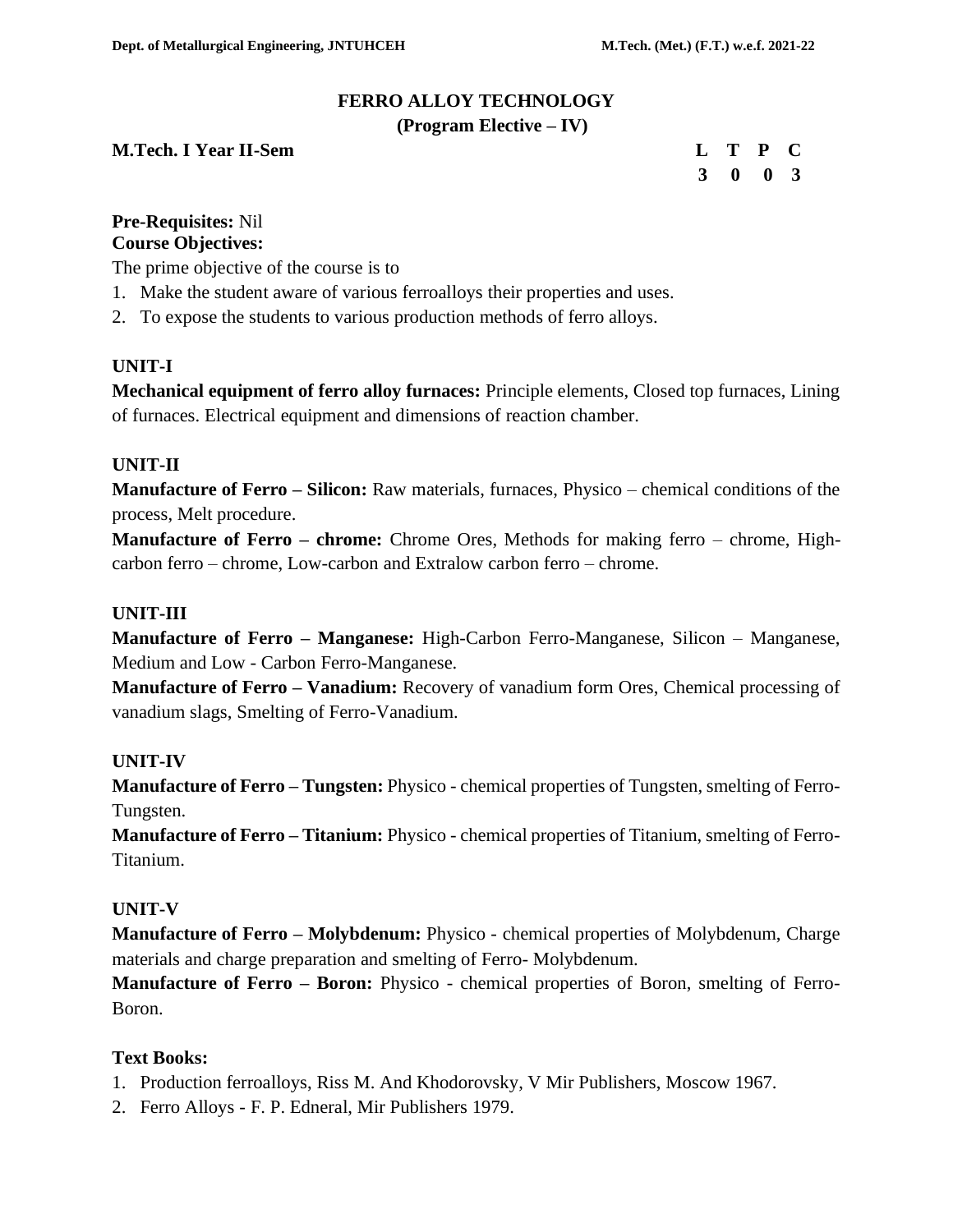# **FERRO ALLOY TECHNOLOGY**

#### **(Program Elective – IV)**

**M.Tech. I Year II-Sem** 

|  | L T P C                     |  |
|--|-----------------------------|--|
|  | $3 \quad 0 \quad 0 \quad 3$ |  |

#### **Pre-Requisites:** Nil **Course Objectives:**

The prime objective of the course is to

- 1. Make the student aware of various ferroalloys their properties and uses.
- 2. To expose the students to various production methods of ferro alloys.

# **UNIT-I**

**Mechanical equipment of ferro alloy furnaces:** Principle elements, Closed top furnaces, Lining of furnaces. Electrical equipment and dimensions of reaction chamber.

# **UNIT-II**

**Manufacture of Ferro – Silicon:** Raw materials, furnaces, Physico – chemical conditions of the process, Melt procedure.

**Manufacture of Ferro – chrome:** Chrome Ores, Methods for making ferro – chrome, Highcarbon ferro – chrome, Low-carbon and Extralow carbon ferro – chrome.

# **UNIT-III**

**Manufacture of Ferro – Manganese:** High-Carbon Ferro-Manganese, Silicon – Manganese, Medium and Low - Carbon Ferro-Manganese.

**Manufacture of Ferro – Vanadium:** Recovery of vanadium form Ores, Chemical processing of vanadium slags, Smelting of Ferro-Vanadium.

# **UNIT-IV**

**Manufacture of Ferro – Tungsten:** Physico - chemical properties of Tungsten, smelting of Ferro-Tungsten.

**Manufacture of Ferro – Titanium:** Physico - chemical properties of Titanium, smelting of Ferro-Titanium.

# **UNIT-V**

**Manufacture of Ferro – Molybdenum:** Physico - chemical properties of Molybdenum, Charge materials and charge preparation and smelting of Ferro- Molybdenum.

**Manufacture of Ferro – Boron:** Physico - chemical properties of Boron, smelting of Ferro-Boron.

# **Text Books:**

- 1. Production ferroalloys, Riss M. And Khodorovsky, V Mir Publishers, Moscow 1967.
- 2. Ferro Alloys F. P. Edneral, Mir Publishers 1979.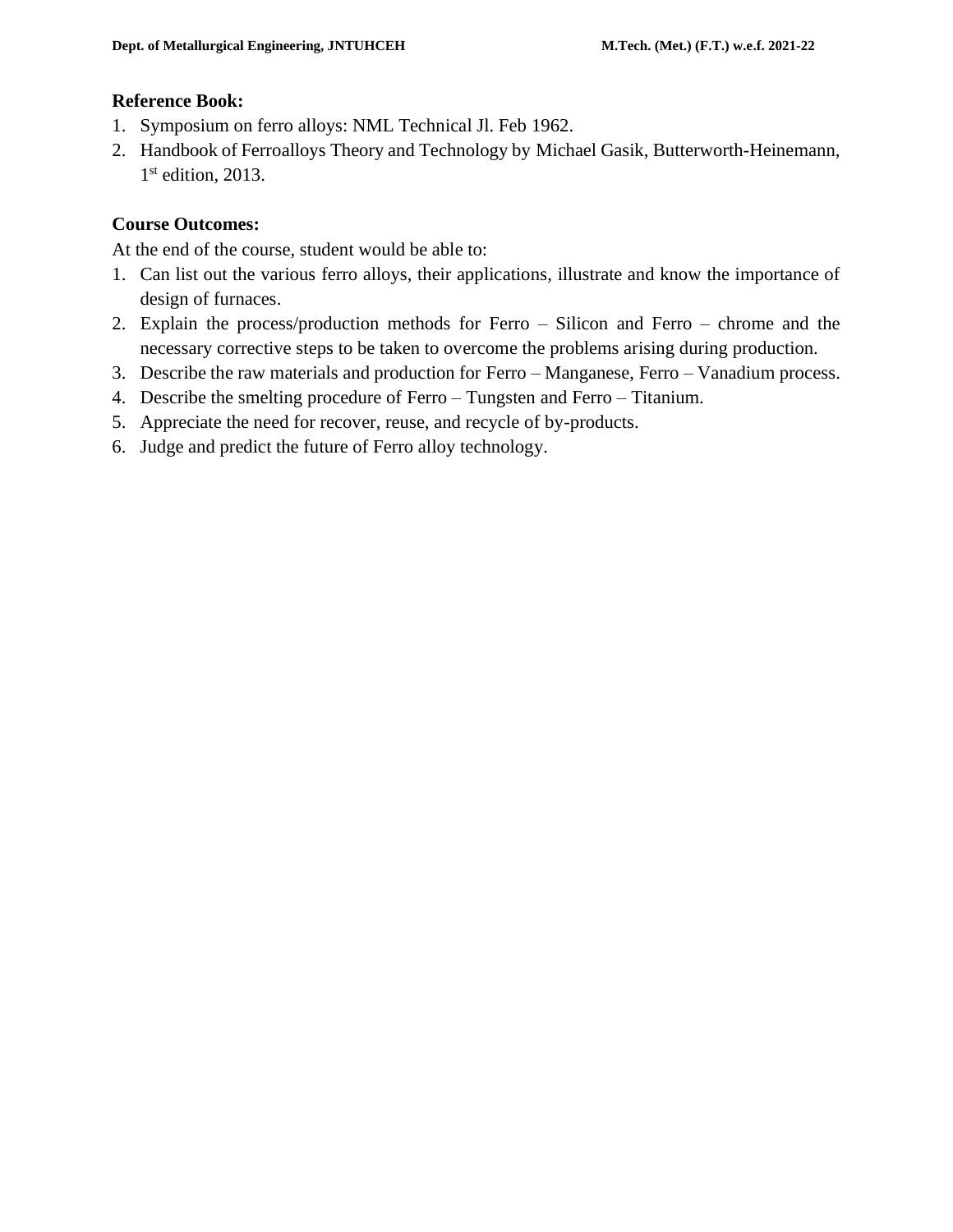#### **Reference Book:**

- 1. Symposium on ferro alloys: NML Technical Jl. Feb 1962.
- 2. Handbook of Ferroalloys Theory and Technology by Michael Gasik, Butterworth-Heinemann, 1st edition, 2013.

# **Course Outcomes:**

At the end of the course, student would be able to:

- 1. Can list out the various ferro alloys, their applications, illustrate and know the importance of design of furnaces.
- 2. Explain the process/production methods for Ferro Silicon and Ferro chrome and the necessary corrective steps to be taken to overcome the problems arising during production.
- 3. Describe the raw materials and production for Ferro Manganese, Ferro Vanadium process.
- 4. Describe the smelting procedure of Ferro Tungsten and Ferro Titanium.
- 5. Appreciate the need for recover, reuse, and recycle of by-products.
- 6. Judge and predict the future of Ferro alloy technology.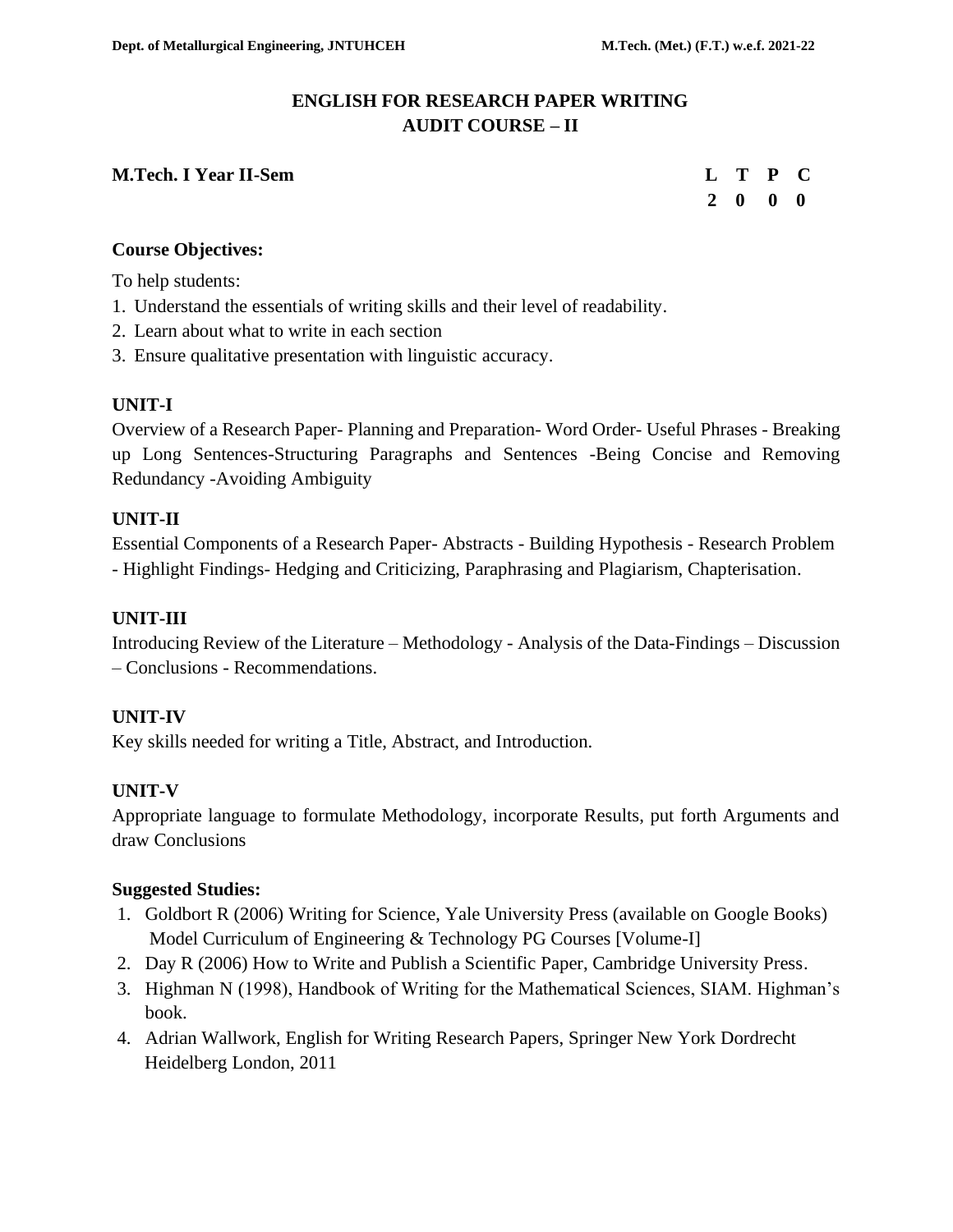# **ENGLISH FOR RESEARCH PAPER WRITING AUDIT COURSE – II**

# **M.Tech. I Year II-Sem**

|  | L T P C                  |  |
|--|--------------------------|--|
|  | $2\quad 0\quad 0\quad 0$ |  |

# **Course Objectives:**

To help students:

- 1. Understand the essentials of writing skills and their level of readability.
- 2. Learn about what to write in each section
- 3. Ensure qualitative presentation with linguistic accuracy.

# **UNIT-I**

Overview of a Research Paper- Planning and Preparation- Word Order- Useful Phrases - Breaking up Long Sentences-Structuring Paragraphs and Sentences -Being Concise and Removing Redundancy -Avoiding Ambiguity

# **UNIT-II**

Essential Components of a Research Paper- Abstracts - Building Hypothesis - Research Problem - Highlight Findings- Hedging and Criticizing, Paraphrasing and Plagiarism, Chapterisation.

# **UNIT-III**

Introducing Review of the Literature – Methodology - Analysis of the Data-Findings – Discussion – Conclusions - Recommendations.

# **UNIT-IV**

Key skills needed for writing a Title, Abstract, and Introduction.

# **UNIT-V**

Appropriate language to formulate Methodology, incorporate Results, put forth Arguments and draw Conclusions

# **Suggested Studies:**

- 1. Goldbort R (2006) Writing for Science, Yale University Press (available on Google Books) Model Curriculum of Engineering & Technology PG Courses [Volume-I]
- 2. Day R (2006) How to Write and Publish a Scientific Paper, Cambridge University Press.
- 3. Highman N (1998), Handbook of Writing for the Mathematical Sciences, SIAM. Highman's book.
- 4. Adrian Wallwork, English for Writing Research Papers, Springer New York Dordrecht Heidelberg London, 2011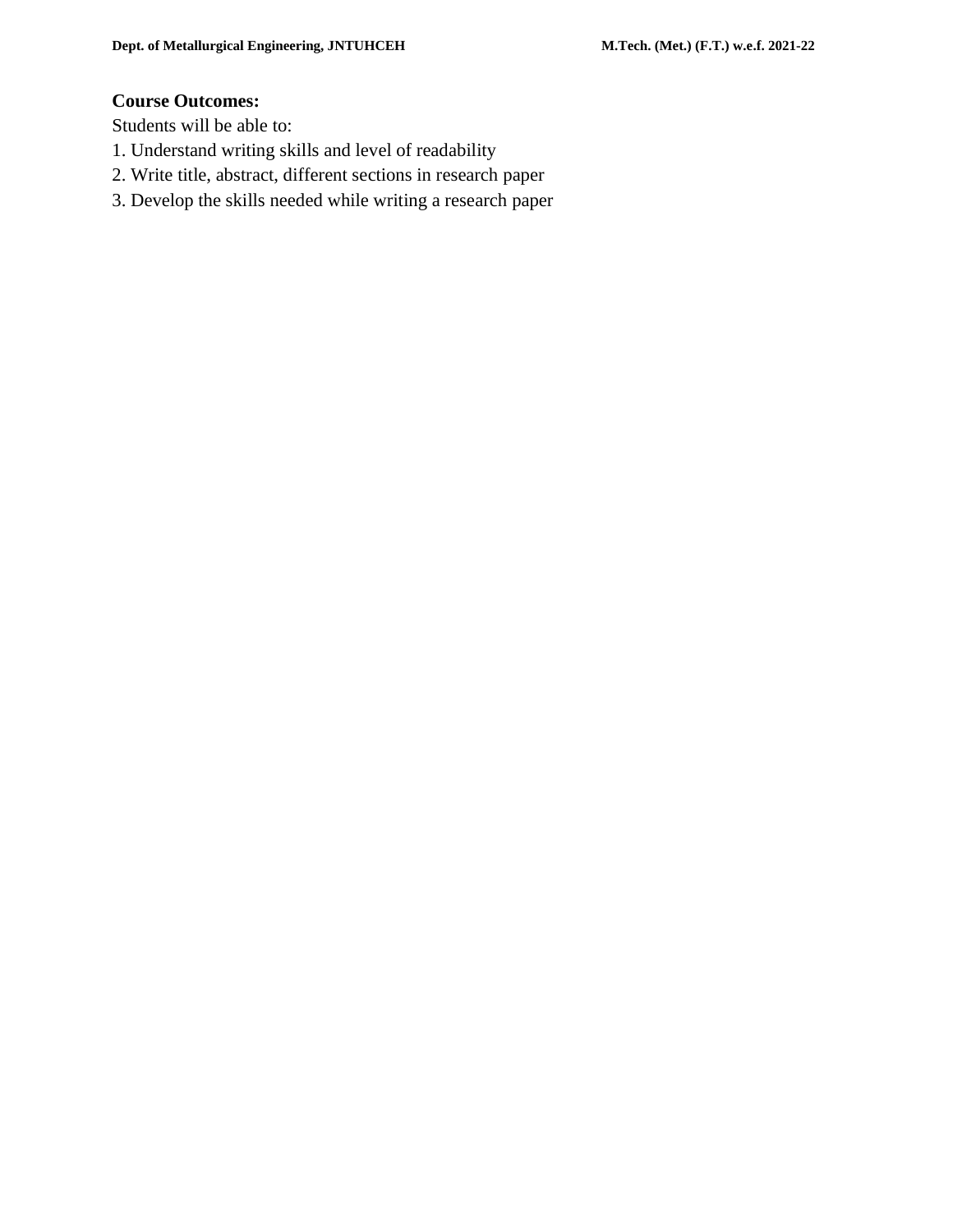#### **Course Outcomes:**

Students will be able to:

- 1. Understand writing skills and level of readability
- 2. Write title, abstract, different sections in research paper
- 3. Develop the skills needed while writing a research paper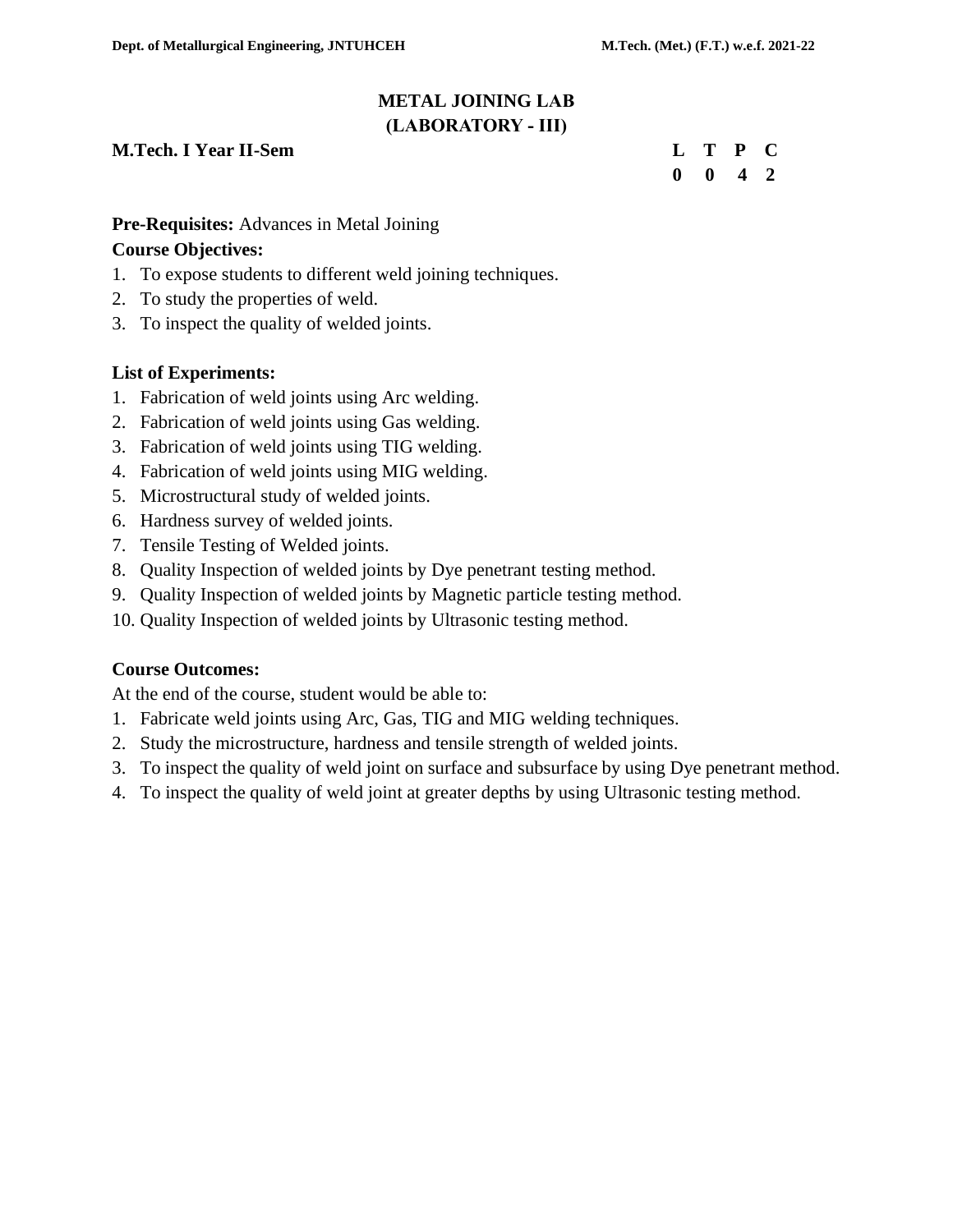# **METAL JOINING LAB (LABORATORY - III)**

# **M.Tech. I Year II-Sem Letter Contract the Contract Contract Contract Contract Contract Contract Contract Contract Contract Contract Contract Contract Contract Contract Contract Contract Contract Contract Contract Contract**

|  | L T P C                     |  |
|--|-----------------------------|--|
|  | $0 \quad 0 \quad 4 \quad 2$ |  |

# **Pre-Requisites:** Advances in Metal Joining

# **Course Objectives:**

- 1. To expose students to different weld joining techniques.
- 2. To study the properties of weld.
- 3. To inspect the quality of welded joints.

# **List of Experiments:**

- 1. Fabrication of weld joints using Arc welding.
- 2. Fabrication of weld joints using Gas welding.
- 3. Fabrication of weld joints using TIG welding.
- 4. Fabrication of weld joints using MIG welding.
- 5. Microstructural study of welded joints.
- 6. Hardness survey of welded joints.
- 7. Tensile Testing of Welded joints.
- 8. Quality Inspection of welded joints by Dye penetrant testing method.
- 9. Quality Inspection of welded joints by Magnetic particle testing method.
- 10. Quality Inspection of welded joints by Ultrasonic testing method.

# **Course Outcomes:**

At the end of the course, student would be able to:

- 1. Fabricate weld joints using Arc, Gas, TIG and MIG welding techniques.
- 2. Study the microstructure, hardness and tensile strength of welded joints.
- 3. To inspect the quality of weld joint on surface and subsurface by using Dye penetrant method.
- 4. To inspect the quality of weld joint at greater depths by using Ultrasonic testing method.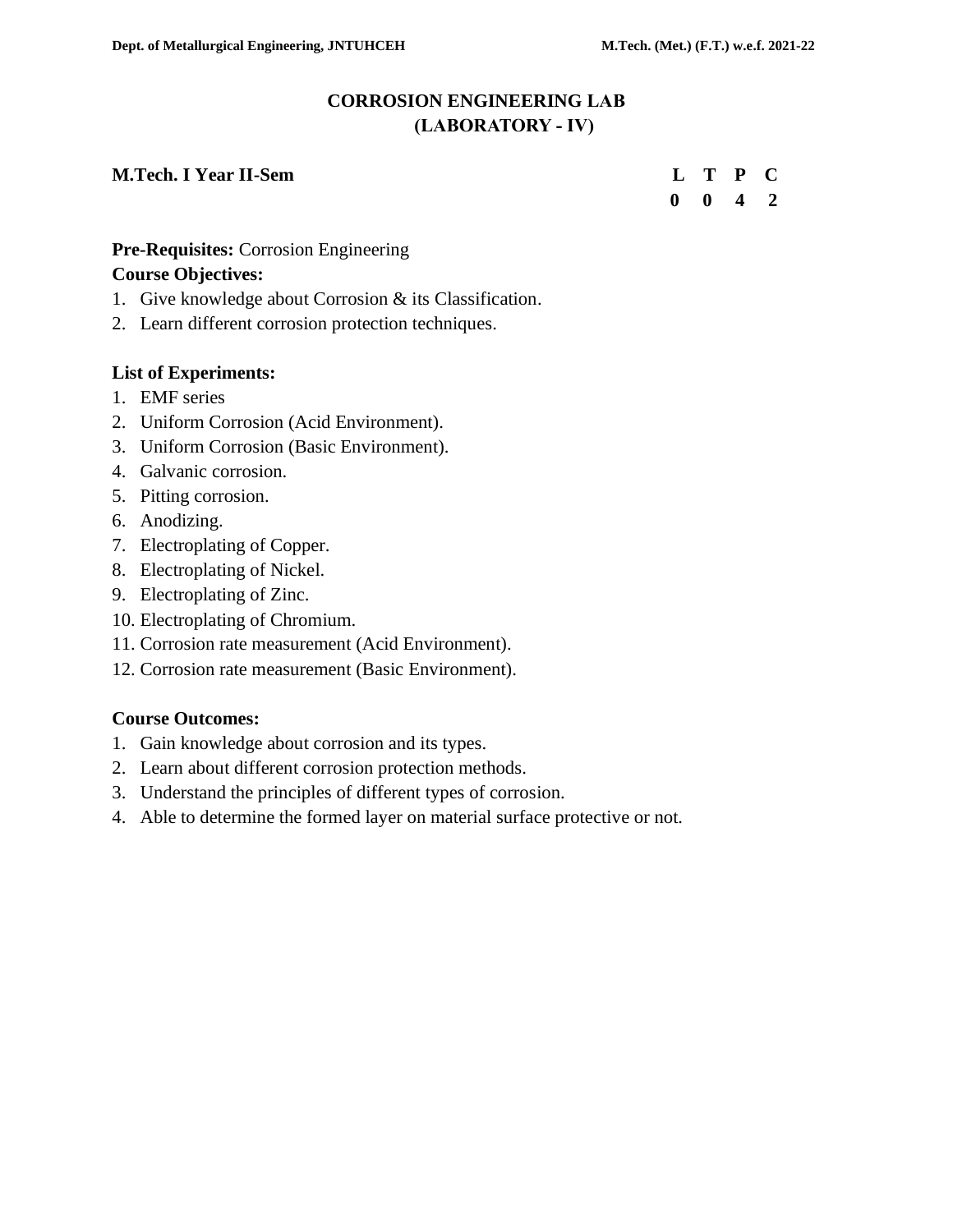# **CORROSION ENGINEERING LAB (LABORATORY - IV)**

#### **M.Tech. I Year II-Sem**

|  | L T P C                     |  |
|--|-----------------------------|--|
|  | $0 \quad 0 \quad 4 \quad 2$ |  |

# **Pre-Requisites:** Corrosion Engineering

#### **Course Objectives:**

- 1. Give knowledge about Corrosion & its Classification.
- 2. Learn different corrosion protection techniques.

#### **List of Experiments:**

- 1. EMF series
- 2. Uniform Corrosion (Acid Environment).
- 3. Uniform Corrosion (Basic Environment).
- 4. Galvanic corrosion.
- 5. Pitting corrosion.
- 6. Anodizing.
- 7. Electroplating of Copper.
- 8. Electroplating of Nickel.
- 9. Electroplating of Zinc.
- 10. Electroplating of Chromium.
- 11. Corrosion rate measurement (Acid Environment).
- 12. Corrosion rate measurement (Basic Environment).

#### **Course Outcomes:**

- 1. Gain knowledge about corrosion and its types.
- 2. Learn about different corrosion protection methods.
- 3. Understand the principles of different types of corrosion.
- 4. Able to determine the formed layer on material surface protective or not.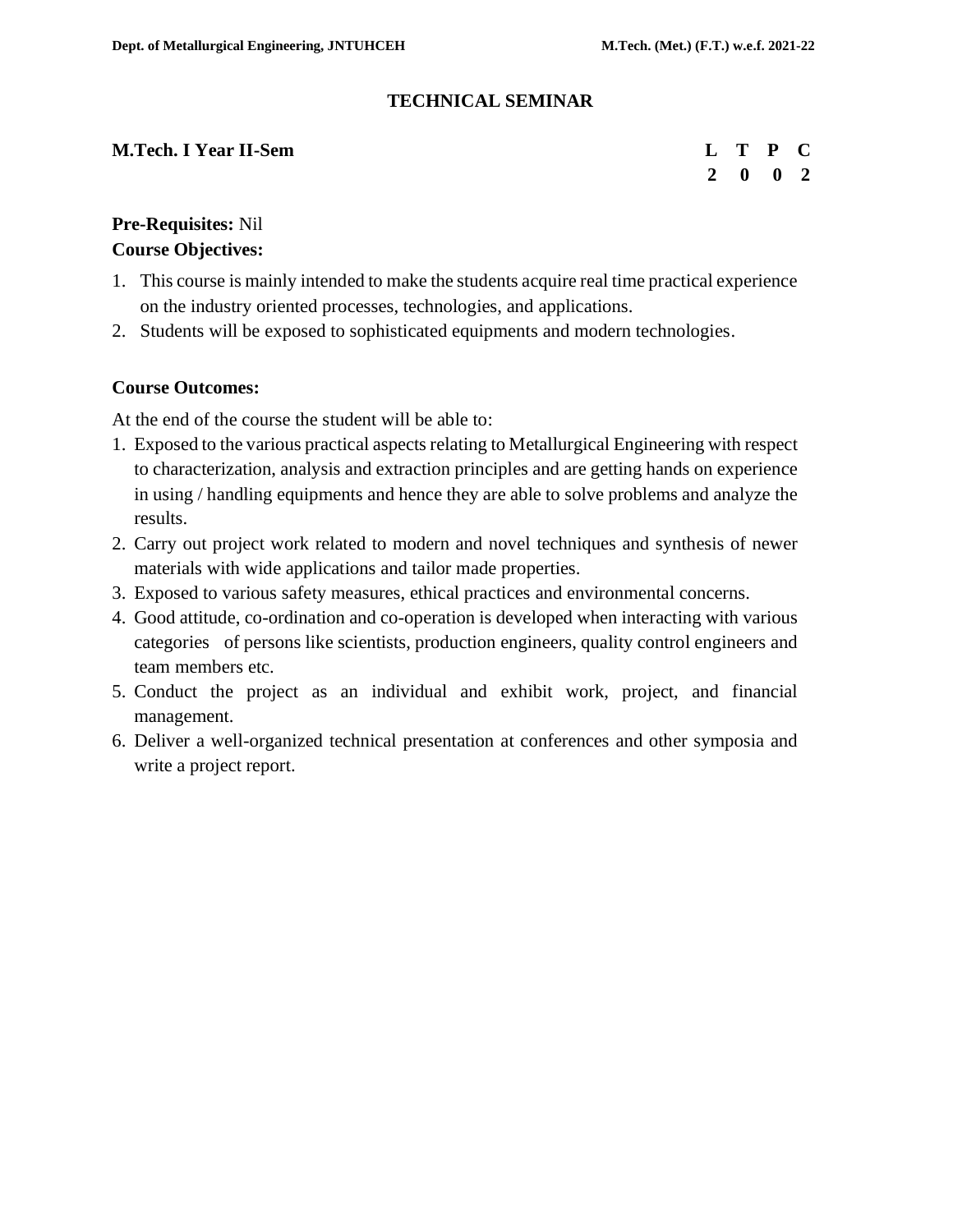#### **TECHNICAL SEMINAR**

| <b>M.Tech. I Year II-Sem</b> | L T P C |                             |  |
|------------------------------|---------|-----------------------------|--|
|                              |         | $2 \quad 0 \quad 0 \quad 2$ |  |

# **Pre-Requisites:** Nil **Course Objectives:**

- 1. This course is mainly intended to make the students acquire real time practical experience on the industry oriented processes, technologies, and applications.
- 2. Students will be exposed to sophisticated equipments and modern technologies.

#### **Course Outcomes:**

At the end of the course the student will be able to:

- 1. Exposed to the various practical aspects relating to Metallurgical Engineering with respect to characterization, analysis and extraction principles and are getting hands on experience in using / handling equipments and hence they are able to solve problems and analyze the results.
- 2. Carry out project work related to modern and novel techniques and synthesis of newer materials with wide applications and tailor made properties.
- 3. Exposed to various safety measures, ethical practices and environmental concerns.
- 4. Good attitude, co-ordination and co-operation is developed when interacting with various categories of persons like scientists, production engineers, quality control engineers and team members etc.
- 5. Conduct the project as an individual and exhibit work, project, and financial management.
- 6. Deliver a well-organized technical presentation at conferences and other symposia and write a project report.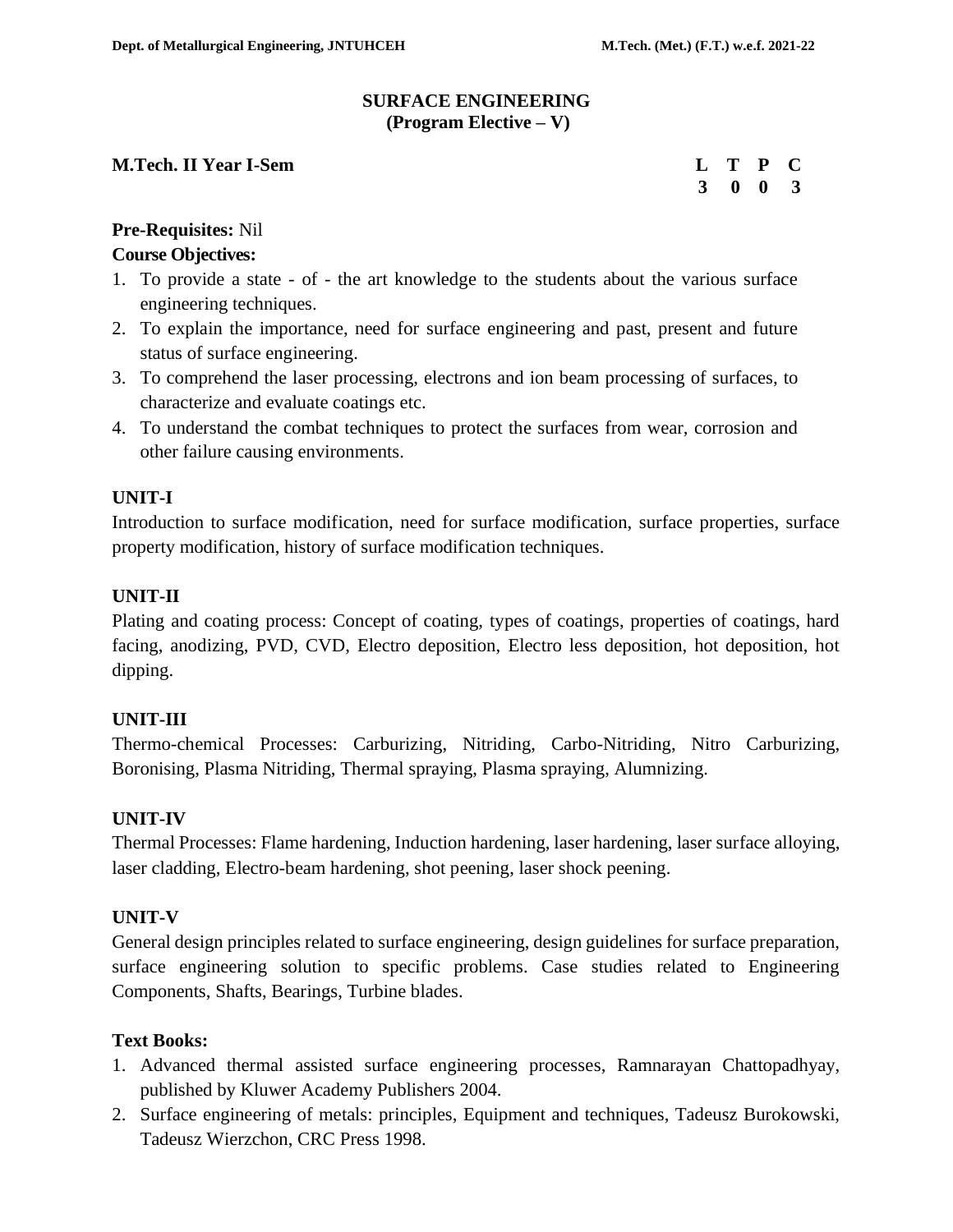#### **SURFACE ENGINEERING (Program Elective – V)**

#### **M.Tech. II Year I-Sem**

| L T P C                     |  |
|-----------------------------|--|
| $3 \quad 0 \quad 0 \quad 3$ |  |

# **Pre-Requisites:** Nil

# **Course Objectives:**

- 1. To provide a state of the art knowledge to the students about the various surface engineering techniques.
- 2. To explain the importance, need for surface engineering and past, present and future status of surface engineering.
- 3. To comprehend the laser processing, electrons and ion beam processing of surfaces, to characterize and evaluate coatings etc.
- 4. To understand the combat techniques to protect the surfaces from wear, corrosion and other failure causing environments.

# **UNIT-I**

Introduction to surface modification, need for surface modification, surface properties, surface property modification, history of surface modification techniques.

# **UNIT-II**

Plating and coating process: Concept of coating, types of coatings, properties of coatings, hard facing, anodizing, PVD, CVD, Electro deposition, Electro less deposition, hot deposition, hot dipping.

# **UNIT-III**

Thermo-chemical Processes: Carburizing, Nitriding, Carbo-Nitriding, Nitro Carburizing, Boronising, Plasma Nitriding, Thermal spraying, Plasma spraying, Alumnizing.

# **UNIT-IV**

Thermal Processes: Flame hardening, Induction hardening, laser hardening, laser surface alloying, laser cladding, Electro-beam hardening, shot peening, laser shock peening.

# **UNIT-V**

General design principles related to surface engineering, design guidelines for surface preparation, surface engineering solution to specific problems. Case studies related to Engineering Components, Shafts, Bearings, Turbine blades.

# **Text Books:**

- 1. Advanced thermal assisted surface engineering processes, Ramnarayan Chattopadhyay, published by Kluwer Academy Publishers 2004.
- 2. Surface engineering of metals: principles, Equipment and techniques, Tadeusz Burokowski, Tadeusz Wierzchon, CRC Press 1998.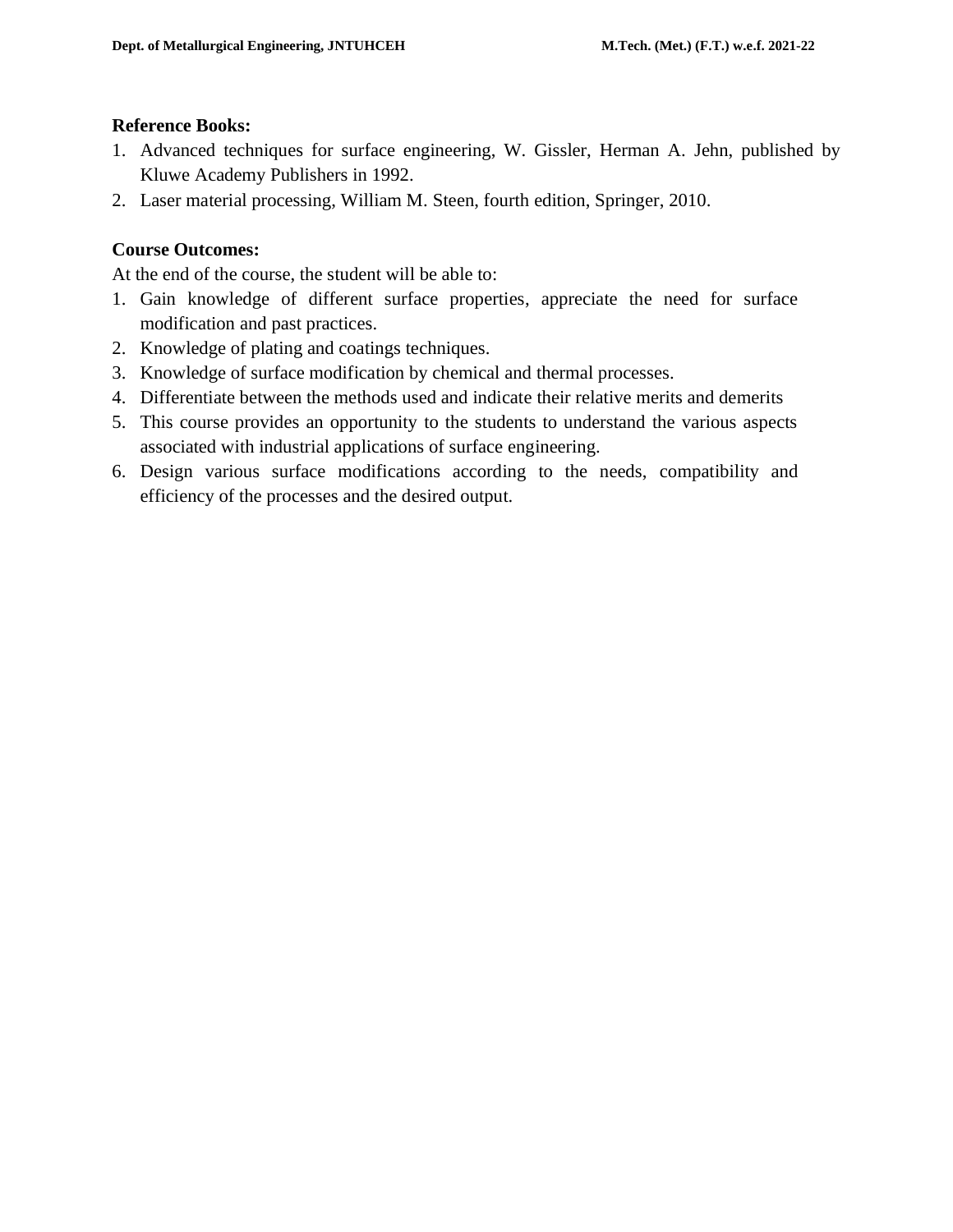#### **Reference Books:**

- 1. Advanced techniques for surface engineering, W. Gissler, Herman A. Jehn, published by Kluwe Academy Publishers in 1992.
- 2. Laser material processing, William M. Steen, fourth edition, Springer, 2010.

# **Course Outcomes:**

At the end of the course, the student will be able to:

- 1. Gain knowledge of different surface properties, appreciate the need for surface modification and past practices.
- 2. Knowledge of plating and coatings techniques.
- 3. Knowledge of surface modification by chemical and thermal processes.
- 4. Differentiate between the methods used and indicate their relative merits and demerits
- 5. This course provides an opportunity to the students to understand the various aspects associated with industrial applications of surface engineering.
- 6. Design various surface modifications according to the needs, compatibility and efficiency of the processes and the desired output.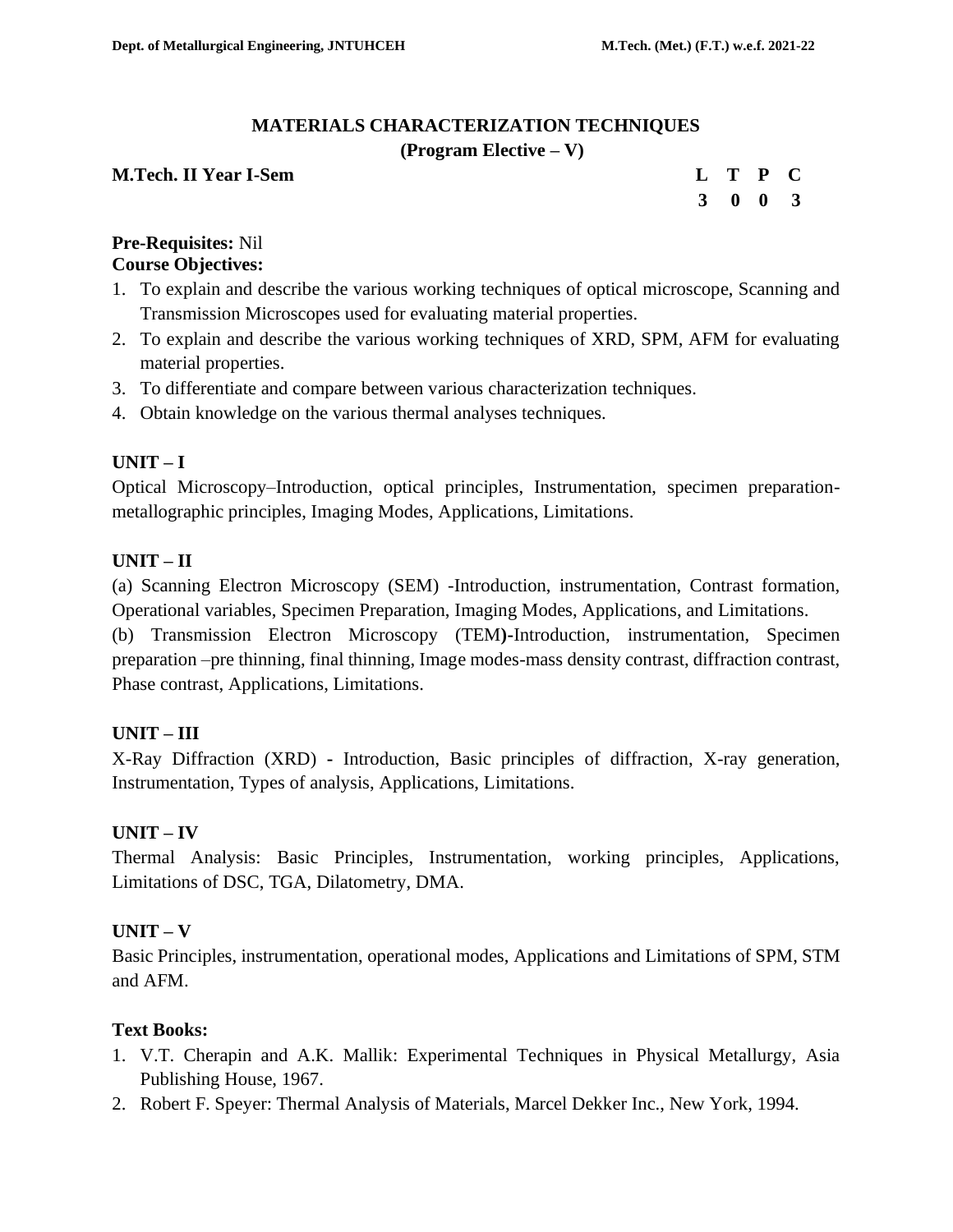# **MATERIALS CHARACTERIZATION TECHNIQUES**

#### **(Program Elective – V)**

# **M.Tech. II Year I-Sem Letter Contract the Contract Contract Contract Contract Contract Contract Contract Contract Contract Contract Contract Contract Contract Contract Contract Contract Contract Contract Contract Contract**

|  | L T P C         |  |
|--|-----------------|--|
|  | $3 \t0 \t0 \t3$ |  |

#### **Pre-Requisites:** Nil **Course Objectives:**

- 1. To explain and describe the various working techniques of optical microscope, Scanning and Transmission Microscopes used for evaluating material properties.
- 2. To explain and describe the various working techniques of XRD, SPM, AFM for evaluating material properties.
- 3. To differentiate and compare between various characterization techniques.
- 4. Obtain knowledge on the various thermal analyses techniques.

# **UNIT – I**

Optical Microscopy–Introduction, optical principles, Instrumentation, specimen preparationmetallographic principles, Imaging Modes, Applications, Limitations.

# **UNIT – II**

(a) Scanning Electron Microscopy (SEM) -Introduction, instrumentation, Contrast formation, Operational variables, Specimen Preparation, Imaging Modes, Applications, and Limitations.

(b) Transmission Electron Microscopy (TEM**)-**Introduction, instrumentation, Specimen preparation –pre thinning, final thinning, Image modes-mass density contrast, diffraction contrast, Phase contrast, Applications, Limitations.

# **UNIT – III**

X-Ray Diffraction (XRD) **-** Introduction, Basic principles of diffraction, X-ray generation, Instrumentation, Types of analysis, Applications, Limitations.

# **UNIT – IV**

Thermal Analysis: Basic Principles, Instrumentation, working principles, Applications, Limitations of DSC, TGA, Dilatometry, DMA.

# **UNIT – V**

Basic Principles, instrumentation, operational modes, Applications and Limitations of SPM, STM and AFM.

# **Text Books:**

- 1. V.T. Cherapin and A.K. Mallik: Experimental Techniques in Physical Metallurgy, Asia Publishing House, 1967.
- 2. Robert F. Speyer: Thermal Analysis of Materials, Marcel Dekker Inc., New York, 1994.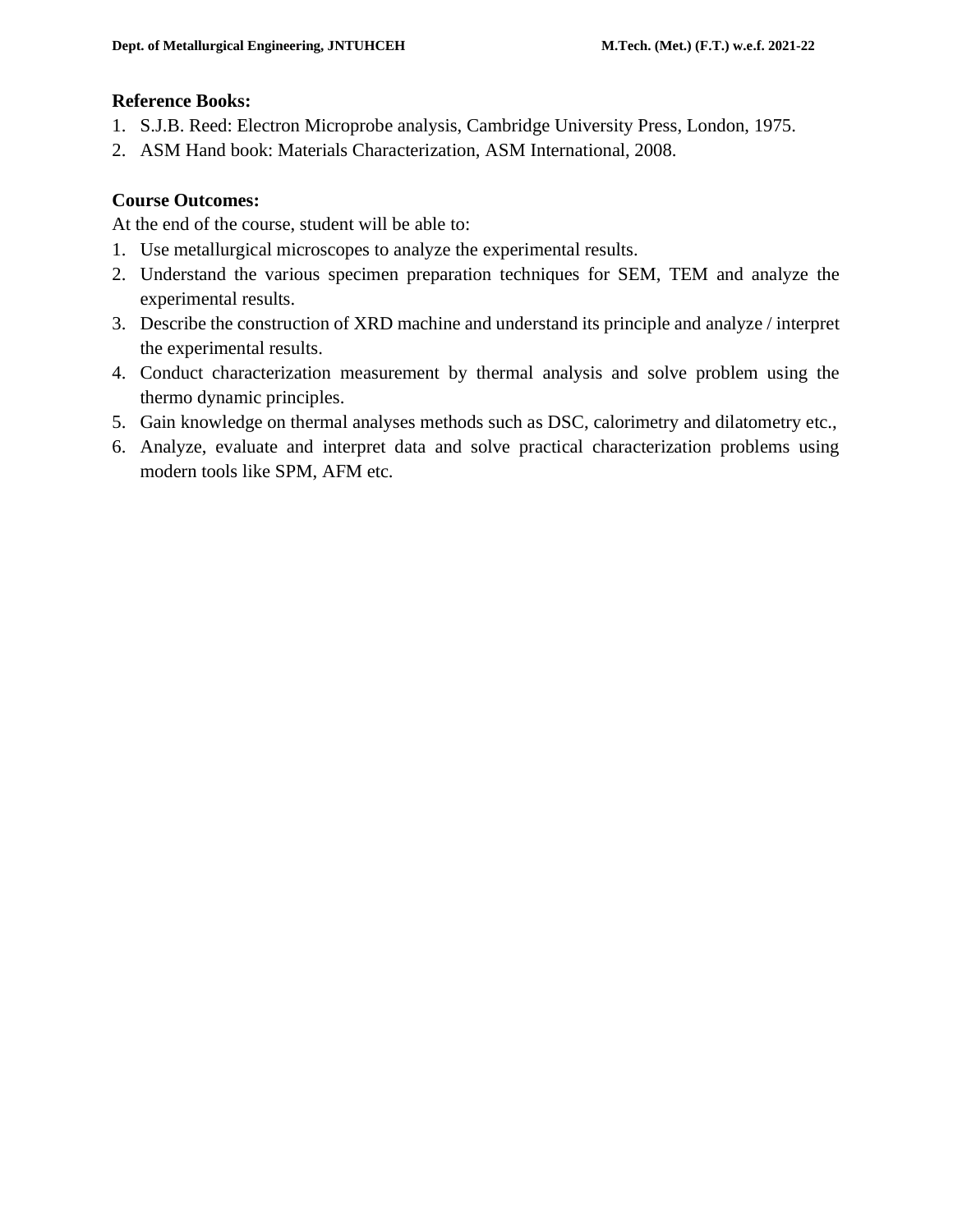#### **Reference Books:**

- 1. S.J.B. Reed: Electron Microprobe analysis, Cambridge University Press, London, 1975.
- 2. ASM Hand book: Materials Characterization, ASM International, 2008.

# **Course Outcomes:**

At the end of the course, student will be able to:

- 1. Use metallurgical microscopes to analyze the experimental results.
- 2. Understand the various specimen preparation techniques for SEM, TEM and analyze the experimental results.
- 3. Describe the construction of XRD machine and understand its principle and analyze / interpret the experimental results.
- 4. Conduct characterization measurement by thermal analysis and solve problem using the thermo dynamic principles.
- 5. Gain knowledge on thermal analyses methods such as DSC, calorimetry and dilatometry etc.,
- 6. Analyze, evaluate and interpret data and solve practical characterization problems using modern tools like SPM, AFM etc.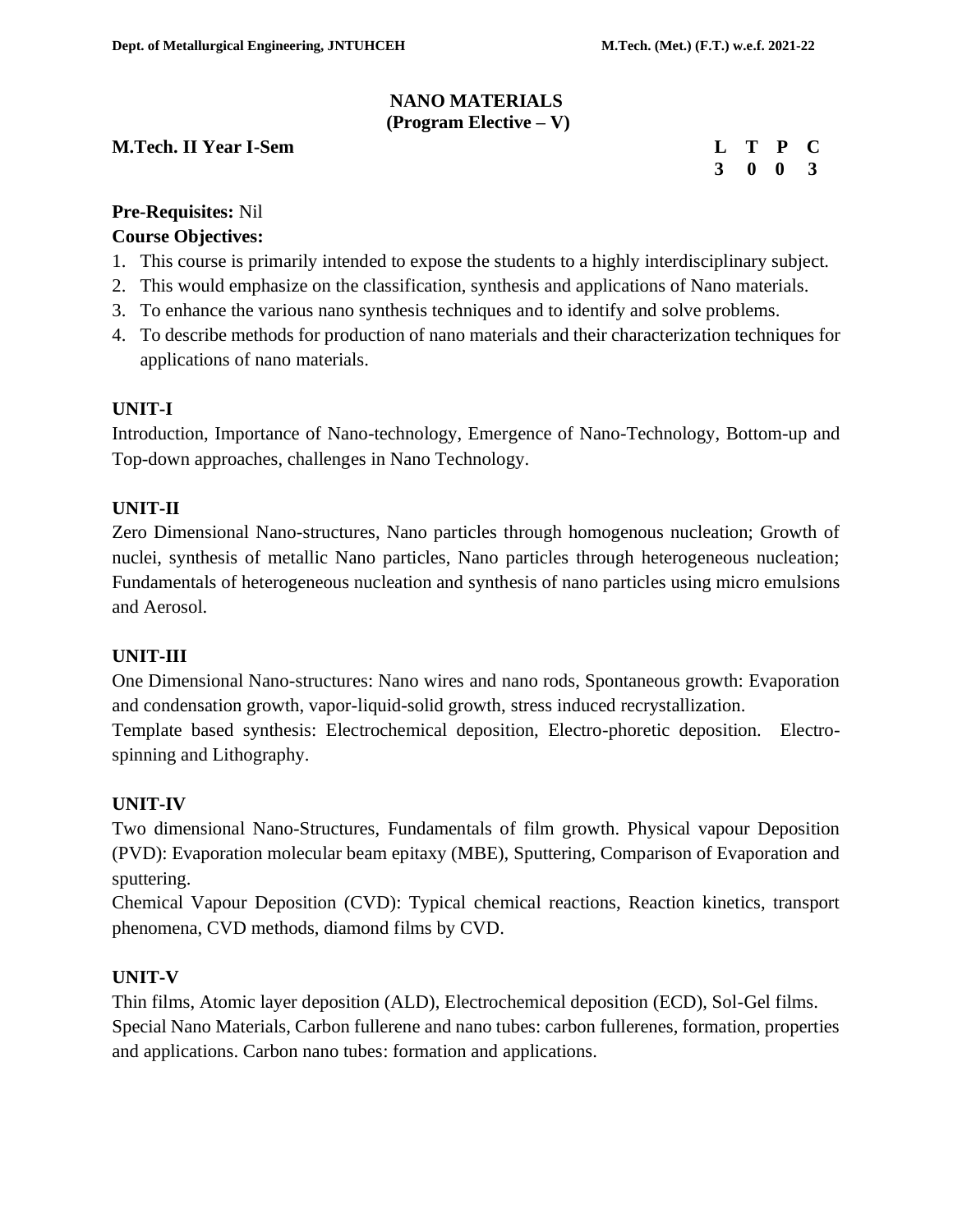#### **NANO MATERIALS (Program Elective – V)**

#### **M.Tech. II Year I-Sem L T P CONSUMING THE CONSUMING T**

|  | L T P C                     |  |
|--|-----------------------------|--|
|  | $3 \quad 0 \quad 0 \quad 3$ |  |

#### **Pre-Requisites:** Nil

#### **Course Objectives:**

- 1. This course is primarily intended to expose the students to a highly interdisciplinary subject.
- 2. This would emphasize on the classification, synthesis and applications of Nano materials.
- 3. To enhance the various nano synthesis techniques and to identify and solve problems.
- 4. To describe methods for production of nano materials and their characterization techniques for applications of nano materials.

#### **UNIT-I**

Introduction, Importance of Nano-technology, Emergence of Nano-Technology, Bottom-up and Top-down approaches, challenges in Nano Technology.

#### **UNIT-II**

Zero Dimensional Nano-structures, Nano particles through homogenous nucleation; Growth of nuclei, synthesis of metallic Nano particles, Nano particles through heterogeneous nucleation; Fundamentals of heterogeneous nucleation and synthesis of nano particles using micro emulsions and Aerosol.

#### **UNIT-III**

One Dimensional Nano-structures: Nano wires and nano rods, Spontaneous growth: Evaporation and condensation growth, vapor-liquid-solid growth, stress induced recrystallization.

Template based synthesis: Electrochemical deposition, Electro-phoretic deposition. Electrospinning and Lithography.

# **UNIT-IV**

Two dimensional Nano-Structures, Fundamentals of film growth. Physical vapour Deposition (PVD): Evaporation molecular beam epitaxy (MBE), Sputtering, Comparison of Evaporation and sputtering.

Chemical Vapour Deposition (CVD): Typical chemical reactions, Reaction kinetics, transport phenomena, CVD methods, diamond films by CVD.

#### **UNIT-V**

Thin films, Atomic layer deposition (ALD), Electrochemical deposition (ECD), Sol-Gel films. Special Nano Materials, Carbon fullerene and nano tubes: carbon fullerenes, formation, properties and applications. Carbon nano tubes: formation and applications.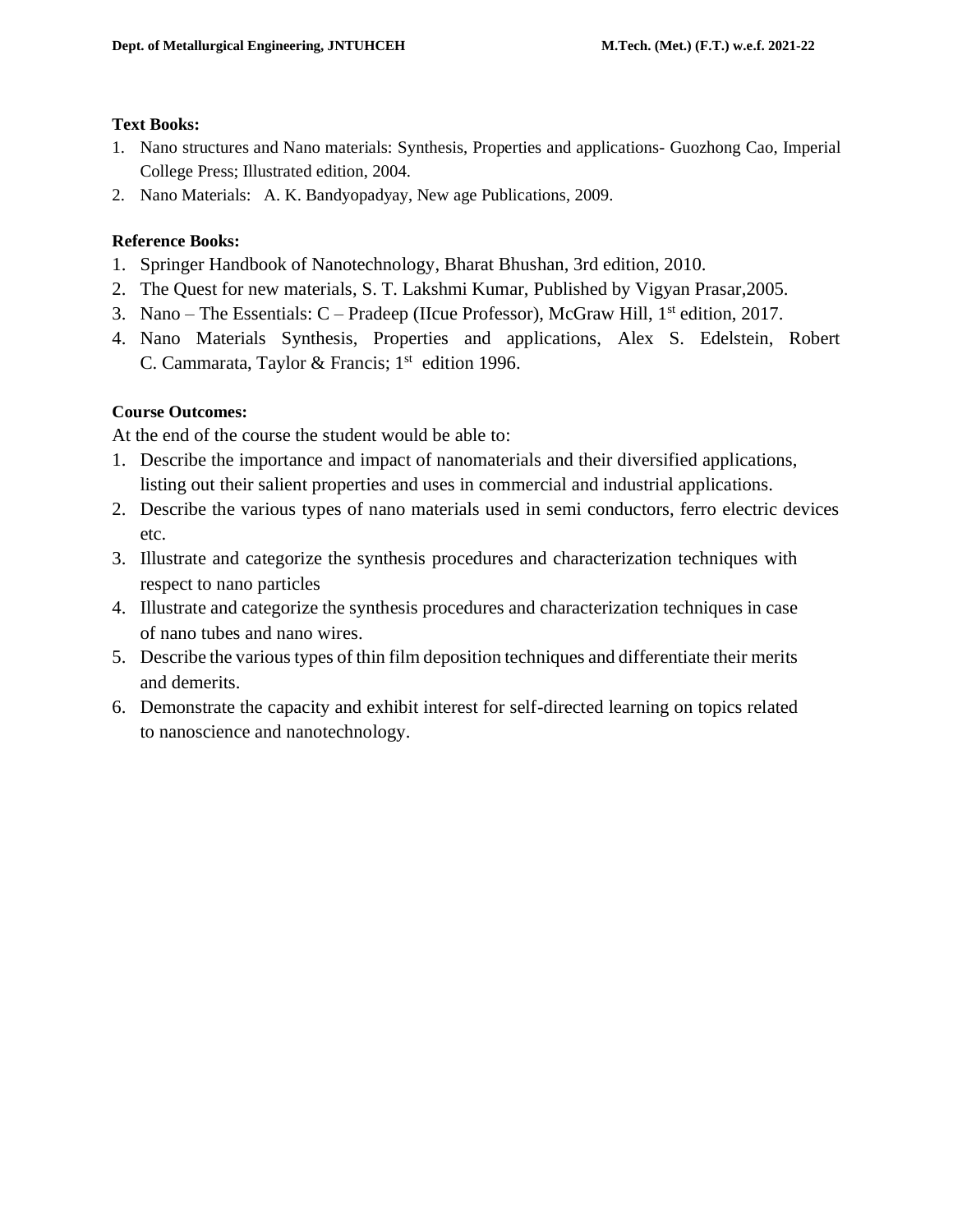#### **Text Books:**

- 1. Nano structures and Nano materials: Synthesis, Properties and applications- [Guozhong Cao,](https://www.worldscientific.com/author/Cao%2C+Guozhong) Imperial College Press; Illustrated edition, 2004.
- 2. Nano Materials: A. K. Bandyopadyay, New age Publications, 2009.

#### **Reference Books:**

- 1. Springer Handbook of Nanotechnology, Bharat Bhushan, 3rd edition, 2010.
- 2. The Quest for new materials, S. T. Lakshmi Kumar, Published by Vigyan Prasar,2005.
- 3. Nano The Essentials:  $C$  Pradeep (IIcue Professor), McGraw Hill,  $1<sup>st</sup>$  edition, 2017.
- 4. Nano Materials Synthesis, Properties and applications, Alex S. Edelstein, Robert C. Cammarata, Taylor & Francis;  $1<sup>st</sup>$  edition 1996.

# **Course Outcomes:**

At the end of the course the student would be able to:

- 1. Describe the importance and impact of nanomaterials and their diversified applications, listing out their salient properties and uses in commercial and industrial applications.
- 2. Describe the various types of nano materials used in semi conductors, ferro electric devices etc.
- 3. Illustrate and categorize the synthesis procedures and characterization techniques with respect to nano particles
- 4. Illustrate and categorize the synthesis procedures and characterization techniques in case of nano tubes and nano wires.
- 5. Describe the various types of thin film deposition techniques and differentiate their merits and demerits.
- 6. Demonstrate the capacity and exhibit interest for self-directed learning on topics related to nanoscience and nanotechnology.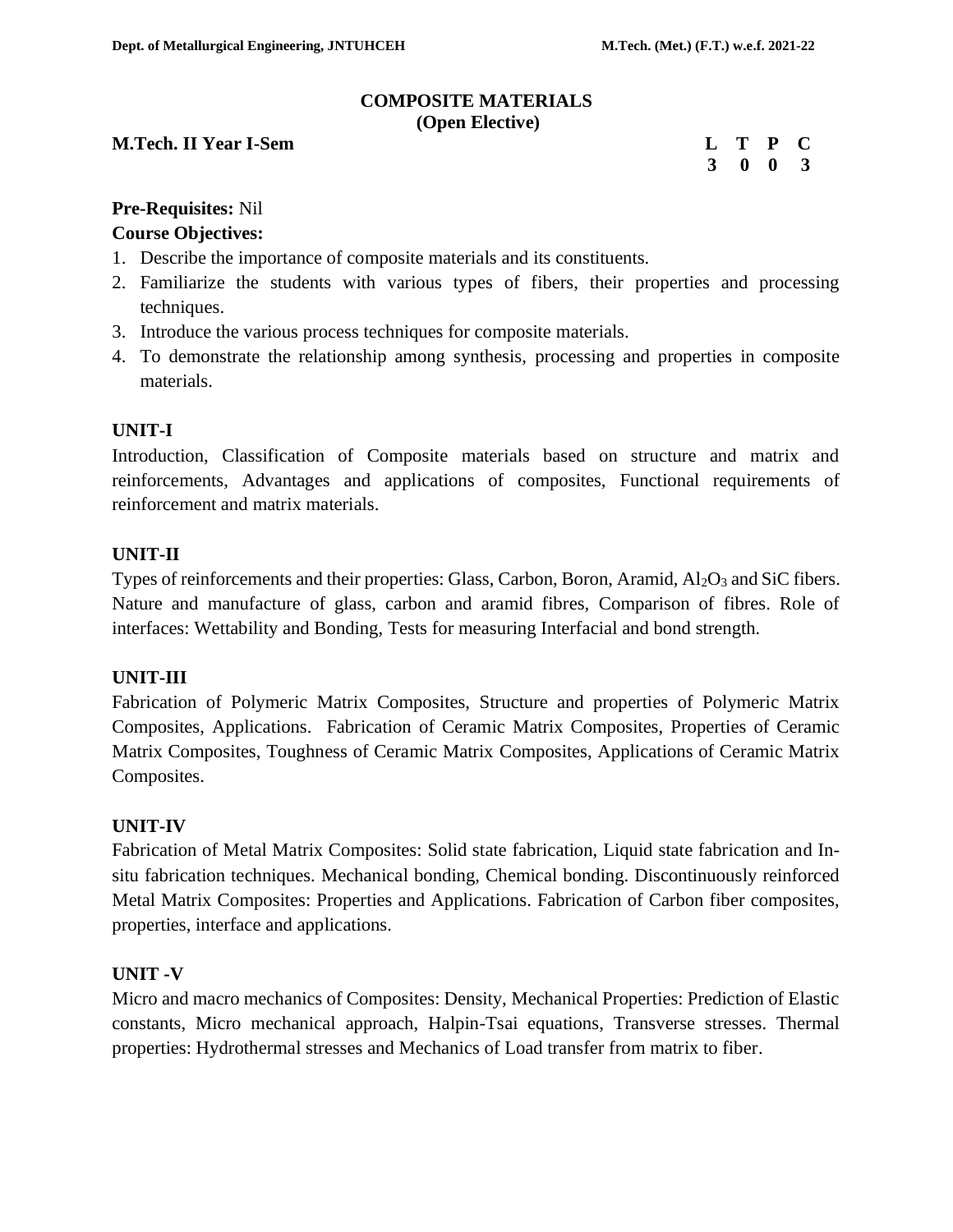#### **COMPOSITE MATERIALS (Open Elective)**

#### **M.Tech. II Year I-Sem**

|  | L T P C         |  |
|--|-----------------|--|
|  | $3 \t0 \t0 \t3$ |  |

#### **Pre-Requisites:** Nil

# **Course Objectives:**

- 1. Describe the importance of composite materials and its constituents.
- 2. Familiarize the students with various types of fibers, their properties and processing techniques.
- 3. Introduce the various process techniques for composite materials.
- 4. To demonstrate the relationship among synthesis, processing and properties in composite materials.

#### **UNIT-I**

Introduction, Classification of Composite materials based on structure and matrix and reinforcements, Advantages and applications of composites, Functional requirements of reinforcement and matrix materials.

#### **UNIT-II**

Types of reinforcements and their properties: Glass, Carbon, Boron, Aramid,  $Al_2O_3$  and SiC fibers. Nature and manufacture of glass, carbon and aramid fibres, Comparison of fibres. Role of interfaces: Wettability and Bonding, Tests for measuring Interfacial and bond strength.

# **UNIT-III**

Fabrication of Polymeric Matrix Composites, Structure and properties of Polymeric Matrix Composites, Applications. Fabrication of Ceramic Matrix Composites, Properties of Ceramic Matrix Composites, Toughness of Ceramic Matrix Composites, Applications of Ceramic Matrix Composites.

# **UNIT-IV**

Fabrication of Metal Matrix Composites: Solid state fabrication, Liquid state fabrication and Insitu fabrication techniques. Mechanical bonding, Chemical bonding. Discontinuously reinforced Metal Matrix Composites: Properties and Applications. Fabrication of Carbon fiber composites, properties, interface and applications.

# **UNIT -V**

Micro and macro mechanics of Composites: Density, Mechanical Properties: Prediction of Elastic constants, Micro mechanical approach, Halpin-Tsai equations, Transverse stresses. Thermal properties: Hydrothermal stresses and Mechanics of Load transfer from matrix to fiber.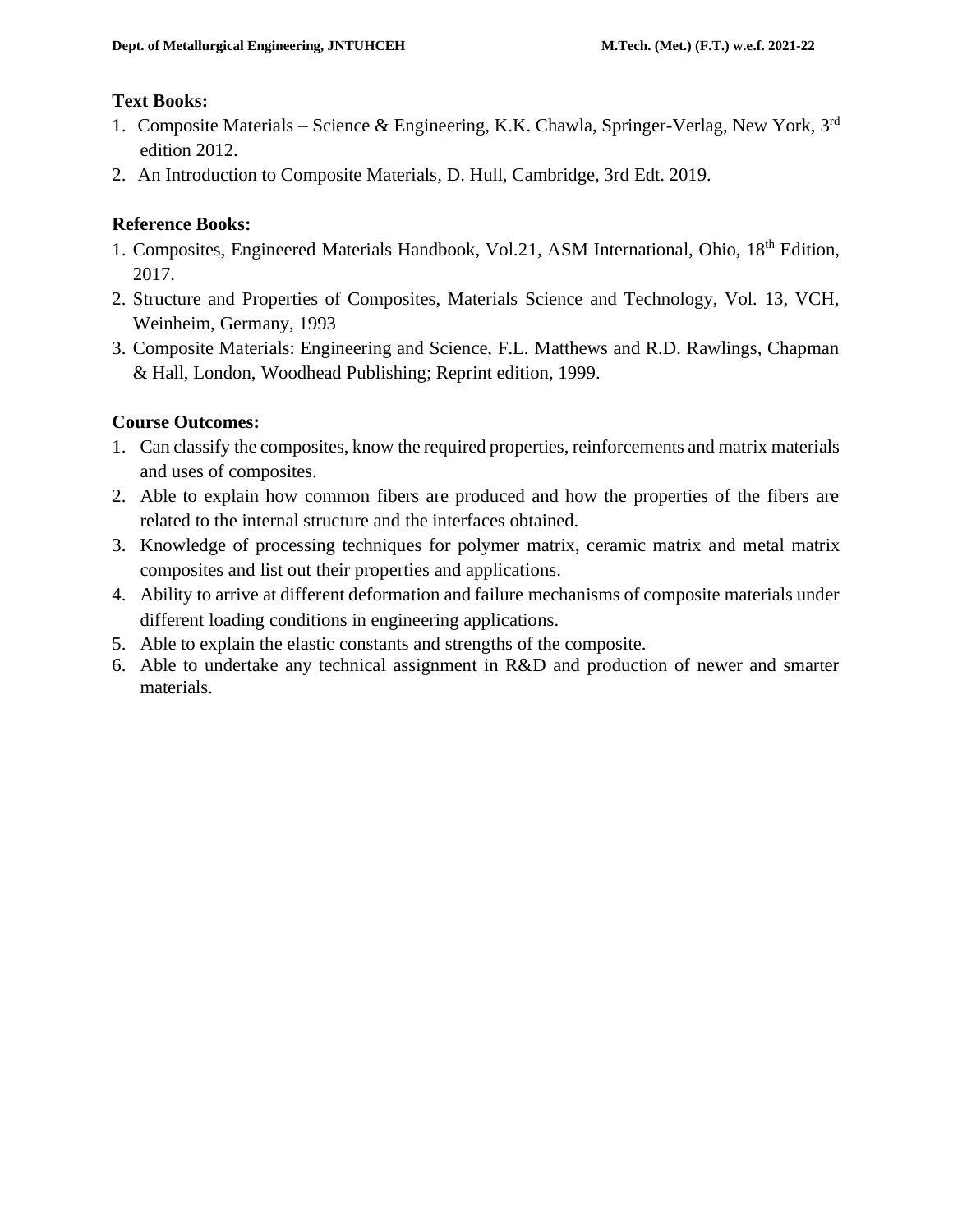# **Text Books:**

- 1. Composite Materials Science & Engineering, K.K. Chawla, Springer-Verlag, New York, 3rd edition 2012.
- 2. An Introduction to Composite Materials*,* D. Hull, Cambridge, 3rd Edt. 2019.

# **Reference Books:**

- 1. Composites, Engineered Materials Handbook, Vol.21, ASM International, Ohio, 18<sup>th</sup> Edition, 2017.
- 2. Structure and Properties of Composites, Materials Science and Technology, Vol. 13, VCH, Weinheim, Germany, 1993
- 3. Composite Materials: Engineering and Science, F.L. Matthews and R.D. Rawlings, Chapman & Hall, London, Woodhead Publishing; Reprint edition, 1999.

# **Course Outcomes:**

- 1. Can classify the composites, know the required properties, reinforcements and matrix materials and uses of composites.
- 2. Able to explain how common fibers are produced and how the properties of the fibers are related to the internal structure and the interfaces obtained.
- 3. Knowledge of processing techniques for polymer matrix, ceramic matrix and metal matrix composites and list out their properties and applications.
- 4. Ability to arrive at different deformation and failure mechanisms of composite materials under different loading conditions in engineering applications.
- 5. Able to explain the elastic constants and strengths of the composite.
- 6. Able to undertake any technical assignment in R&D and production of newer and smarter materials.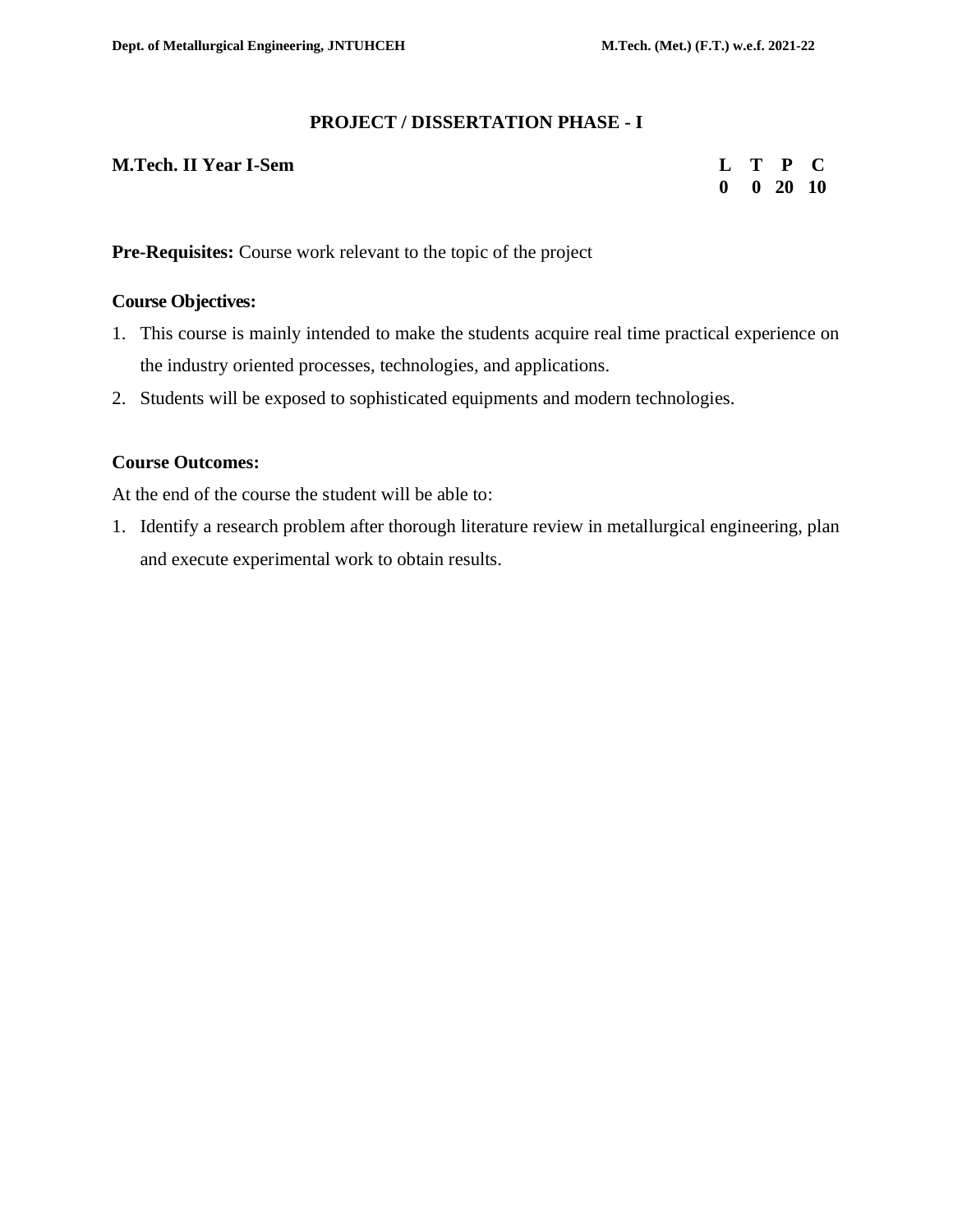#### **PROJECT / DISSERTATION PHASE - I**

#### **M.Tech. II Year I-Sem L T P C**

 **0 0 20 10** 

**Pre-Requisites:** Course work relevant to the topic of the project

#### **Course Objectives:**

- 1. This course is mainly intended to make the students acquire real time practical experience on the industry oriented processes, technologies, and applications.
- 2. Students will be exposed to sophisticated equipments and modern technologies.

#### **Course Outcomes:**

At the end of the course the student will be able to:

1. Identify a research problem after thorough literature review in metallurgical engineering, plan and execute experimental work to obtain results.